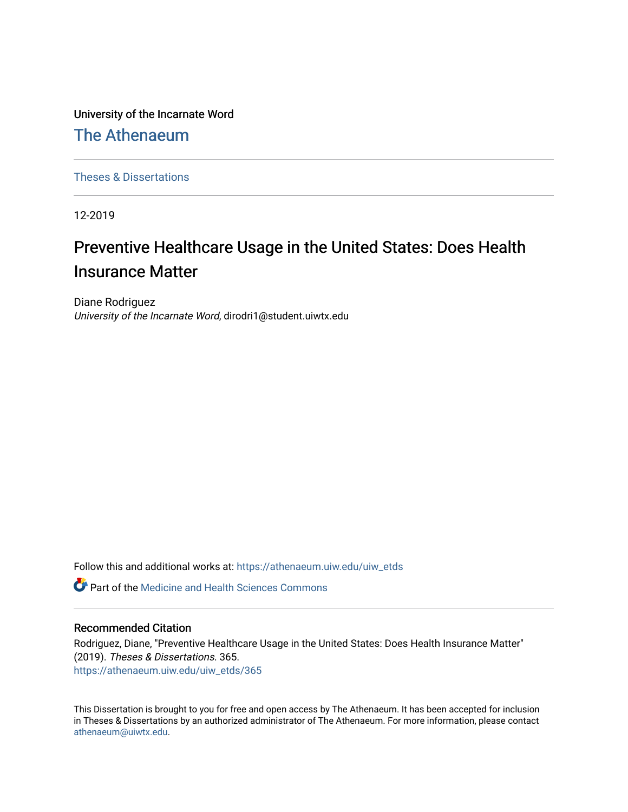University of the Incarnate Word

[The Athenaeum](https://athenaeum.uiw.edu/)

[Theses & Dissertations](https://athenaeum.uiw.edu/uiw_etds) 

12-2019

# Preventive Healthcare Usage in the United States: Does Health Insurance Matter

Diane Rodriguez University of the Incarnate Word, dirodri1@student.uiwtx.edu

Follow this and additional works at: [https://athenaeum.uiw.edu/uiw\\_etds](https://athenaeum.uiw.edu/uiw_etds?utm_source=athenaeum.uiw.edu%2Fuiw_etds%2F365&utm_medium=PDF&utm_campaign=PDFCoverPages)

**C** Part of the Medicine and Health Sciences Commons

### Recommended Citation

Rodriguez, Diane, "Preventive Healthcare Usage in the United States: Does Health Insurance Matter" (2019). Theses & Dissertations. 365. [https://athenaeum.uiw.edu/uiw\\_etds/365](https://athenaeum.uiw.edu/uiw_etds/365?utm_source=athenaeum.uiw.edu%2Fuiw_etds%2F365&utm_medium=PDF&utm_campaign=PDFCoverPages)

This Dissertation is brought to you for free and open access by The Athenaeum. It has been accepted for inclusion in Theses & Dissertations by an authorized administrator of The Athenaeum. For more information, please contact [athenaeum@uiwtx.edu.](mailto:athenaeum@uiwtx.edu)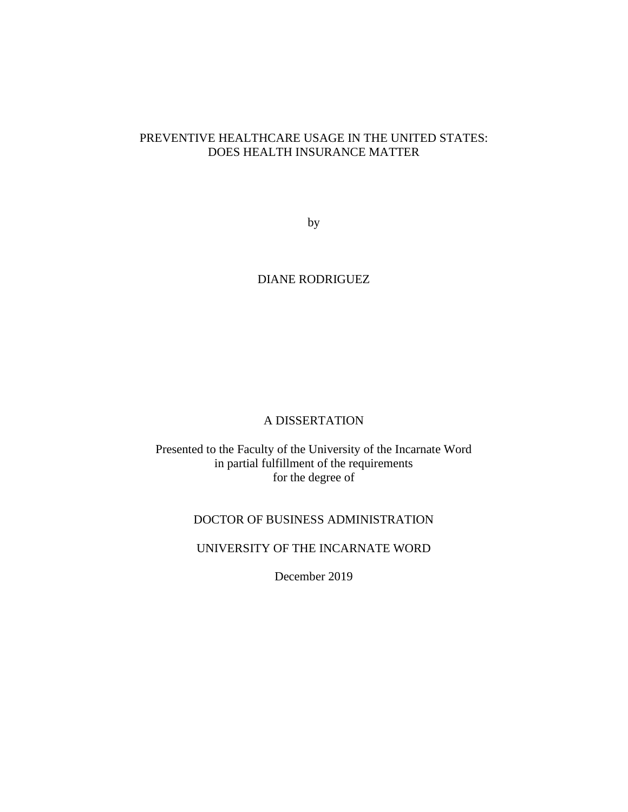# PREVENTIVE HEALTHCARE USAGE IN THE UNITED STATES: DOES HEALTH INSURANCE MATTER

by

## DIANE RODRIGUEZ

### A DISSERTATION

Presented to the Faculty of the University of the Incarnate Word in partial fulfillment of the requirements for the degree of

# DOCTOR OF BUSINESS ADMINISTRATION

# UNIVERSITY OF THE INCARNATE WORD

December 2019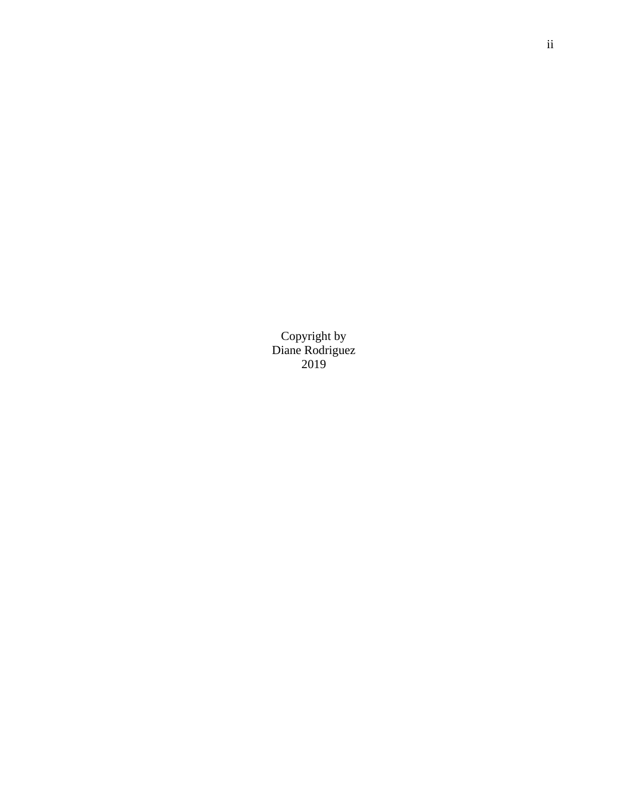Copyright by Diane Rodriguez 2019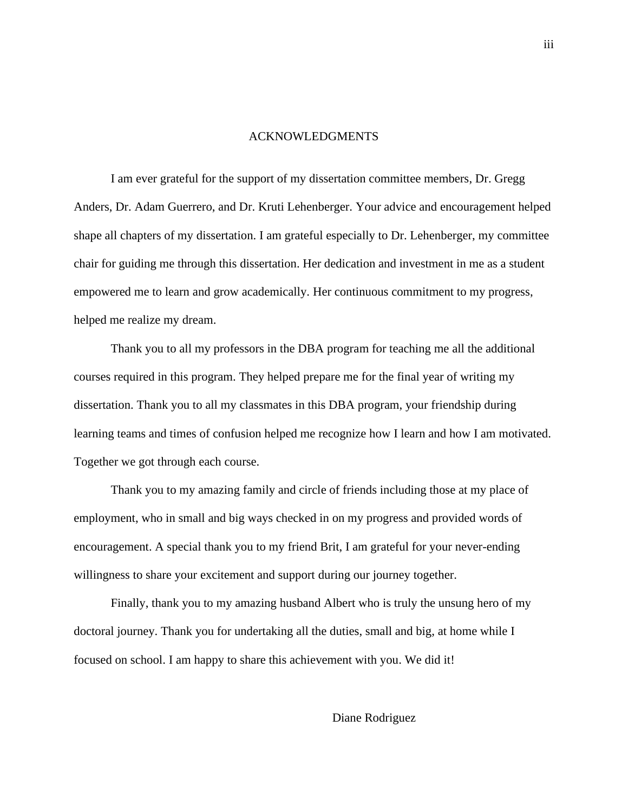#### ACKNOWLEDGMENTS

I am ever grateful for the support of my dissertation committee members, Dr. Gregg Anders, Dr. Adam Guerrero, and Dr. Kruti Lehenberger. Your advice and encouragement helped shape all chapters of my dissertation. I am grateful especially to Dr. Lehenberger, my committee chair for guiding me through this dissertation. Her dedication and investment in me as a student empowered me to learn and grow academically. Her continuous commitment to my progress, helped me realize my dream.

Thank you to all my professors in the DBA program for teaching me all the additional courses required in this program. They helped prepare me for the final year of writing my dissertation. Thank you to all my classmates in this DBA program, your friendship during learning teams and times of confusion helped me recognize how I learn and how I am motivated. Together we got through each course.

Thank you to my amazing family and circle of friends including those at my place of employment, who in small and big ways checked in on my progress and provided words of encouragement. A special thank you to my friend Brit, I am grateful for your never-ending willingness to share your excitement and support during our journey together.

Finally, thank you to my amazing husband Albert who is truly the unsung hero of my doctoral journey. Thank you for undertaking all the duties, small and big, at home while I focused on school. I am happy to share this achievement with you. We did it!

### Diane Rodriguez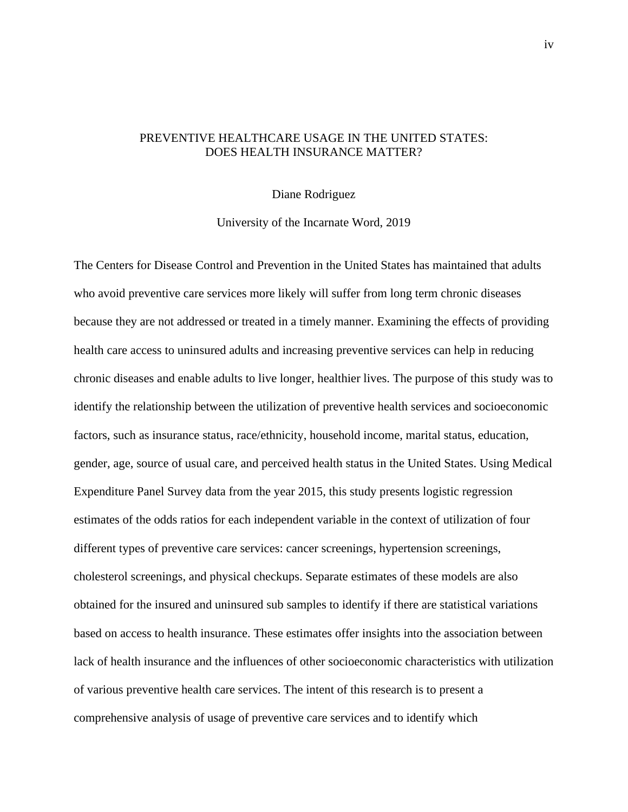### PREVENTIVE HEALTHCARE USAGE IN THE UNITED STATES: DOES HEALTH INSURANCE MATTER?

Diane Rodriguez

University of the Incarnate Word, 2019

The Centers for Disease Control and Prevention in the United States has maintained that adults who avoid preventive care services more likely will suffer from long term chronic diseases because they are not addressed or treated in a timely manner. Examining the effects of providing health care access to uninsured adults and increasing preventive services can help in reducing chronic diseases and enable adults to live longer, healthier lives. The purpose of this study was to identify the relationship between the utilization of preventive health services and socioeconomic factors, such as insurance status, race/ethnicity, household income, marital status, education, gender, age, source of usual care, and perceived health status in the United States. Using Medical Expenditure Panel Survey data from the year 2015, this study presents logistic regression estimates of the odds ratios for each independent variable in the context of utilization of four different types of preventive care services: cancer screenings, hypertension screenings, cholesterol screenings, and physical checkups. Separate estimates of these models are also obtained for the insured and uninsured sub samples to identify if there are statistical variations based on access to health insurance. These estimates offer insights into the association between lack of health insurance and the influences of other socioeconomic characteristics with utilization of various preventive health care services. The intent of this research is to present a comprehensive analysis of usage of preventive care services and to identify which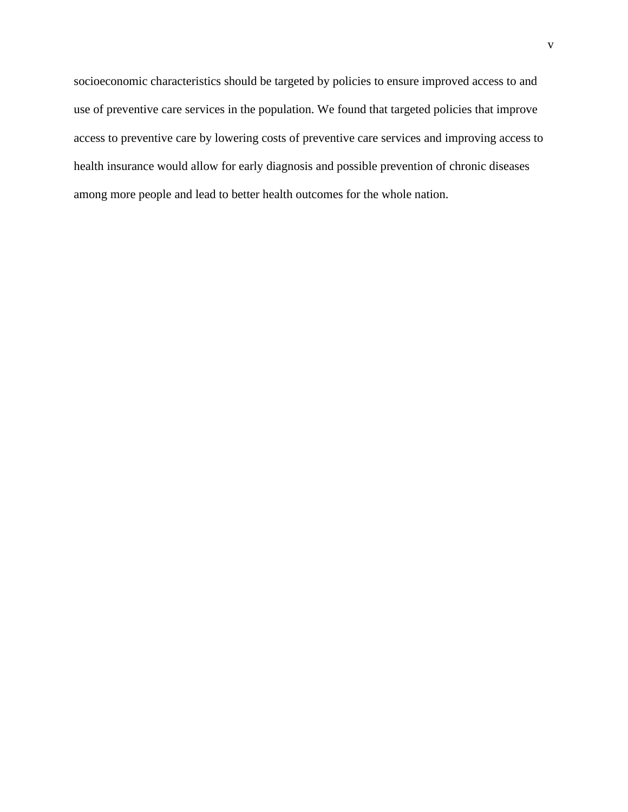socioeconomic characteristics should be targeted by policies to ensure improved access to and use of preventive care services in the population. We found that targeted policies that improve access to preventive care by lowering costs of preventive care services and improving access to health insurance would allow for early diagnosis and possible prevention of chronic diseases among more people and lead to better health outcomes for the whole nation.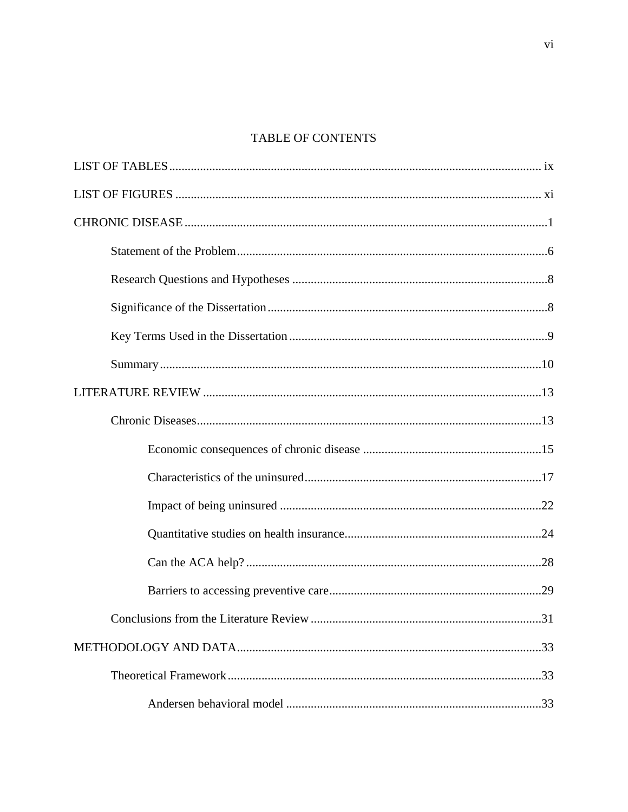# TABLE OF CONTENTS

| .31 |
|-----|
|     |
|     |
|     |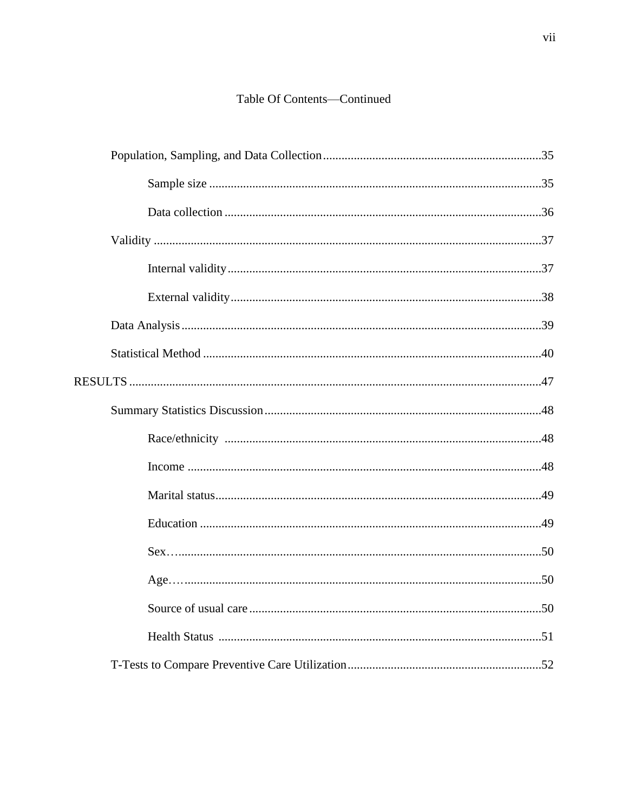# Table Of Contents-Continued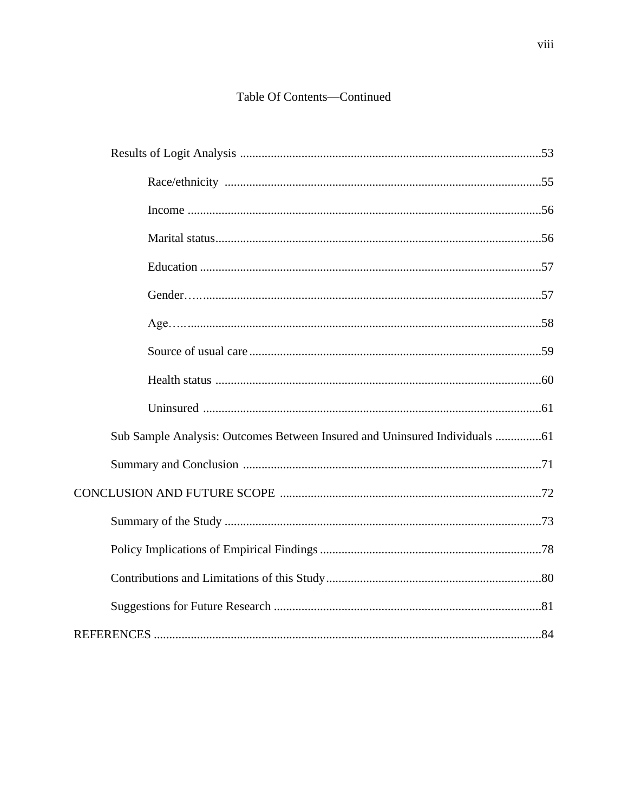# Table Of Contents-Continued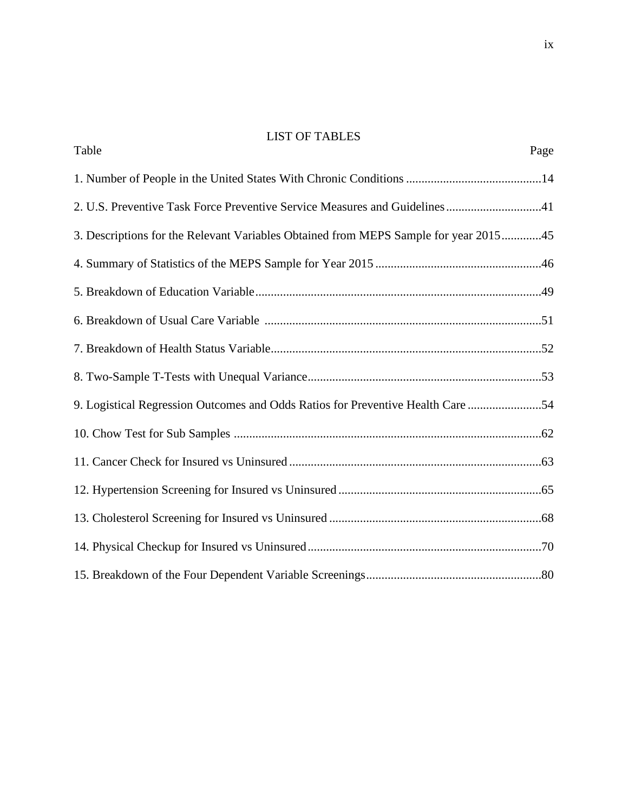# LIST OF TABLES Table Page

| 2. U.S. Preventive Task Force Preventive Service Measures and Guidelines41           |
|--------------------------------------------------------------------------------------|
| 3. Descriptions for the Relevant Variables Obtained from MEPS Sample for year 201545 |
|                                                                                      |
|                                                                                      |
|                                                                                      |
|                                                                                      |
|                                                                                      |
| 9. Logistical Regression Outcomes and Odds Ratios for Preventive Health Care 54      |
|                                                                                      |
|                                                                                      |
|                                                                                      |
|                                                                                      |
|                                                                                      |
|                                                                                      |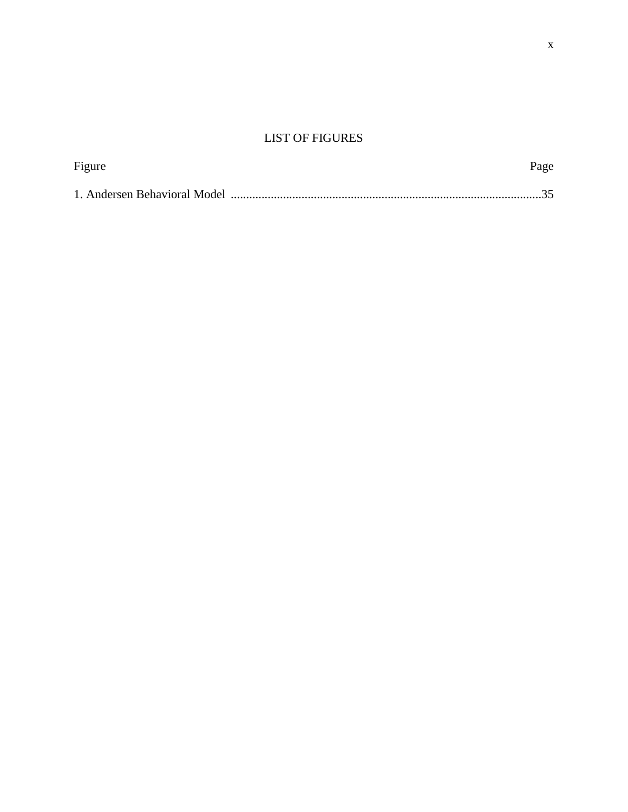# LIST OF FIGURES

| Figure | Page |
|--------|------|
|        |      |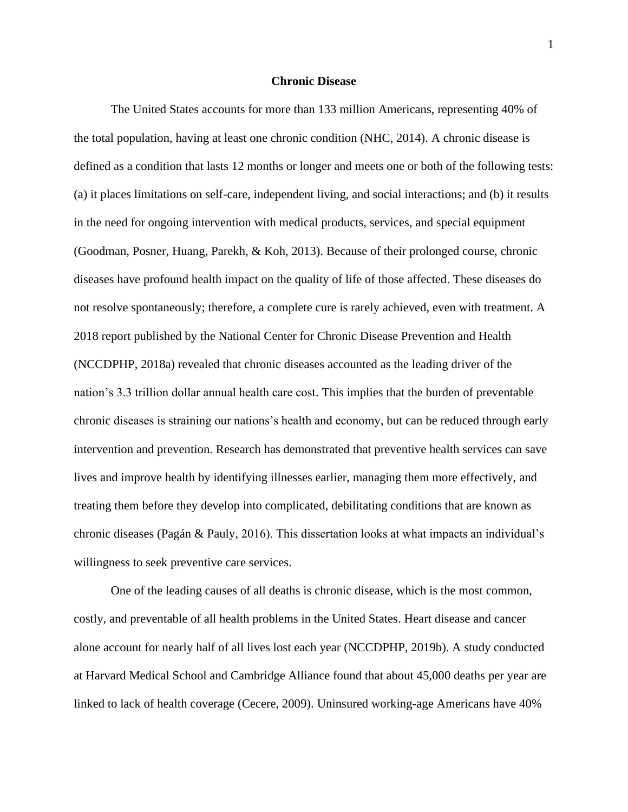### **Chronic Disease**

The United States accounts for more than 133 million Americans, representing 40% of the total population, having at least one chronic condition (NHC, 2014). A chronic disease is defined as a condition that lasts 12 months or longer and meets one or both of the following tests: (a) it places limitations on self-care, independent living, and social interactions; and (b) it results in the need for ongoing intervention with medical products, services, and special equipment (Goodman, Posner, Huang, Parekh, & Koh, 2013). Because of their prolonged course, chronic diseases have profound health impact on the quality of life of those affected. These diseases do not resolve spontaneously; therefore, a complete cure is rarely achieved, even with treatment. A 2018 report published by the National Center for Chronic Disease Prevention and Health (NCCDPHP, 2018a) revealed that chronic diseases accounted as the leading driver of the nation's 3.3 trillion dollar annual health care cost. This implies that the burden of preventable chronic diseases is straining our nations's health and economy, but can be reduced through early intervention and prevention. Research has demonstrated that preventive health services can save lives and improve health by identifying illnesses earlier, managing them more effectively, and treating them before they develop into complicated, debilitating conditions that are known as chronic diseases (Pagán & Pauly, 2016). This dissertation looks at what impacts an individual's willingness to seek preventive care services.

One of the leading causes of all deaths is chronic disease, which is the most common, costly, and preventable of all health problems in the United States. Heart disease and cancer alone account for nearly half of all lives lost each year (NCCDPHP, 2019b). A study conducted at Harvard Medical School and Cambridge Alliance found that about 45,000 deaths per year are linked to lack of health coverage (Cecere, 2009). Uninsured working-age Americans have 40%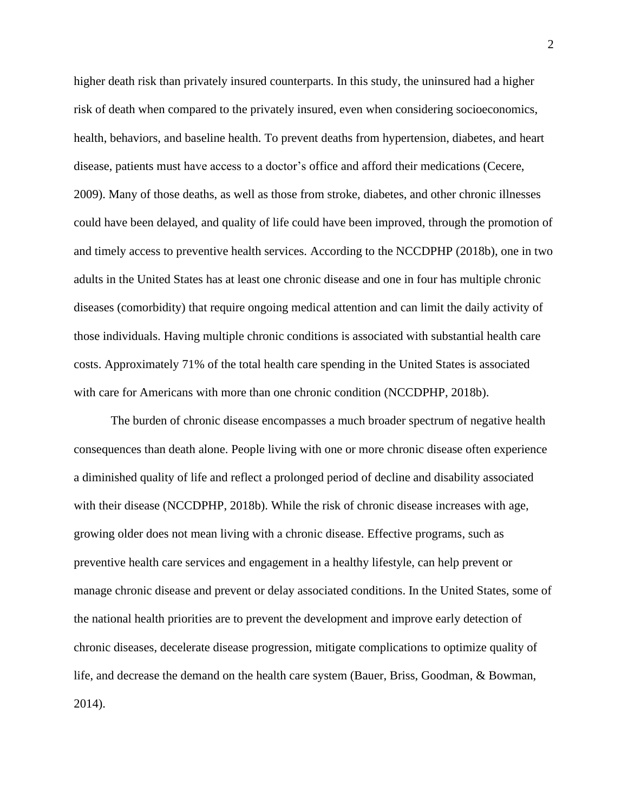higher death risk than privately insured counterparts. In this study, the uninsured had a higher risk of death when compared to the privately insured, even when considering socioeconomics, health, behaviors, and baseline health. To prevent deaths from hypertension, diabetes, and heart disease, patients must have access to a doctor's office and afford their medications (Cecere, 2009). Many of those deaths, as well as those from stroke, diabetes, and other chronic illnesses could have been delayed, and quality of life could have been improved, through the promotion of and timely access to preventive health services. According to the NCCDPHP (2018b), one in two adults in the United States has at least one chronic disease and one in four has multiple chronic diseases (comorbidity) that require ongoing medical attention and can limit the daily activity of those individuals. Having multiple chronic conditions is associated with substantial health care costs. Approximately 71% of the total health care spending in the United States is associated with care for Americans with more than one chronic condition (NCCDPHP, 2018b).

The burden of chronic disease encompasses a much broader spectrum of negative health consequences than death alone. People living with one or more chronic disease often experience a diminished quality of life and reflect a prolonged period of decline and disability associated with their disease (NCCDPHP, 2018b). While the risk of chronic disease increases with age, growing older does not mean living with a chronic disease. Effective programs, such as preventive health care services and engagement in a healthy lifestyle, can help prevent or manage chronic disease and prevent or delay associated conditions. In the United States, some of the national health priorities are to prevent the development and improve early detection of chronic diseases, decelerate disease progression, mitigate complications to optimize quality of life, and decrease the demand on the health care system (Bauer, Briss, Goodman, & Bowman, 2014).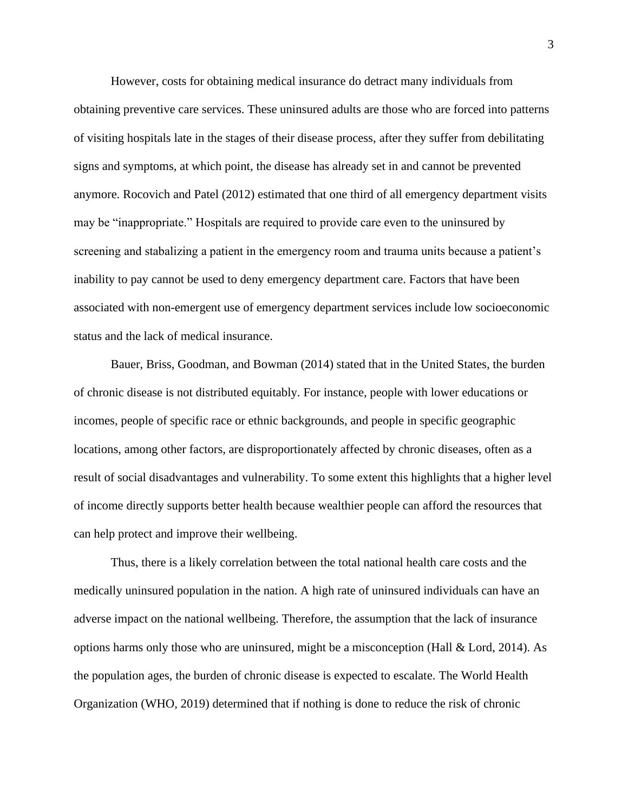However, costs for obtaining medical insurance do detract many individuals from obtaining preventive care services. These uninsured adults are those who are forced into patterns of visiting hospitals late in the stages of their disease process, after they suffer from debilitating signs and symptoms, at which point, the disease has already set in and cannot be prevented anymore. Rocovich and Patel (2012) estimated that one third of all emergency department visits may be "inappropriate." Hospitals are required to provide care even to the uninsured by screening and stabalizing a patient in the emergency room and trauma units because a patient's inability to pay cannot be used to deny emergency department care. Factors that have been associated with non-emergent use of emergency department services include low socioeconomic status and the lack of medical insurance.

Bauer, Briss, Goodman, and Bowman (2014) stated that in the United States, the burden of chronic disease is not distributed equitably. For instance, people with lower educations or incomes, people of specific race or ethnic backgrounds, and people in specific geographic locations, among other factors, are disproportionately affected by chronic diseases, often as a result of social disadvantages and vulnerability. To some extent this highlights that a higher level of income directly supports better health because wealthier people can afford the resources that can help protect and improve their wellbeing.

Thus, there is a likely correlation between the total national health care costs and the medically uninsured population in the nation. A high rate of uninsured individuals can have an adverse impact on the national wellbeing. Therefore, the assumption that the lack of insurance options harms only those who are uninsured, might be a misconception (Hall & Lord, 2014). As the population ages, the burden of chronic disease is expected to escalate. The World Health Organization (WHO, 2019) determined that if nothing is done to reduce the risk of chronic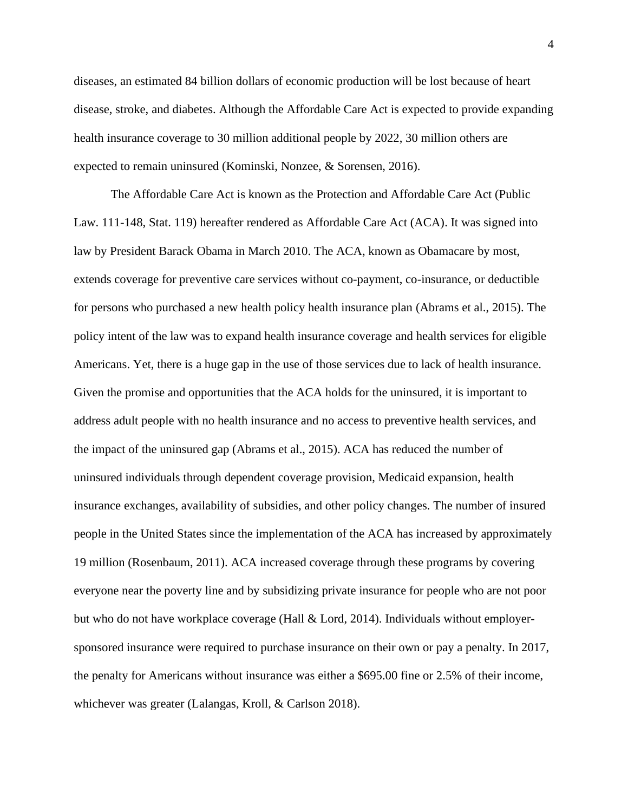diseases, an estimated 84 billion dollars of economic production will be lost because of heart disease, stroke, and diabetes. Although the Affordable Care Act is expected to provide expanding health insurance coverage to 30 million additional people by 2022, 30 million others are expected to remain uninsured (Kominski, Nonzee, & Sorensen, 2016).

The Affordable Care Act is known as the Protection and Affordable Care Act (Public Law. 111-148, Stat. 119) hereafter rendered as Affordable Care Act (ACA). It was signed into law by President Barack Obama in March 2010. The ACA, known as Obamacare by most, extends coverage for preventive care services without co-payment, co-insurance, or deductible for persons who purchased a new health policy health insurance plan (Abrams et al., 2015). The policy intent of the law was to expand health insurance coverage and health services for eligible Americans. Yet, there is a huge gap in the use of those services due to lack of health insurance. Given the promise and opportunities that the ACA holds for the uninsured, it is important to address adult people with no health insurance and no access to preventive health services, and the impact of the uninsured gap (Abrams et al., 2015). ACA has reduced the number of uninsured individuals through dependent coverage provision, Medicaid expansion, health insurance exchanges, availability of subsidies, and other policy changes. The number of insured people in the United States since the implementation of the ACA has increased by approximately 19 million (Rosenbaum, 2011). ACA increased coverage through these programs by covering everyone near the poverty line and by subsidizing private insurance for people who are not poor but who do not have workplace coverage (Hall & Lord, 2014). Individuals without employersponsored insurance were required to purchase insurance on their own or pay a penalty. In 2017, the penalty for Americans without insurance was either a \$695.00 fine or 2.5% of their income, whichever was greater (Lalangas, Kroll, & Carlson 2018).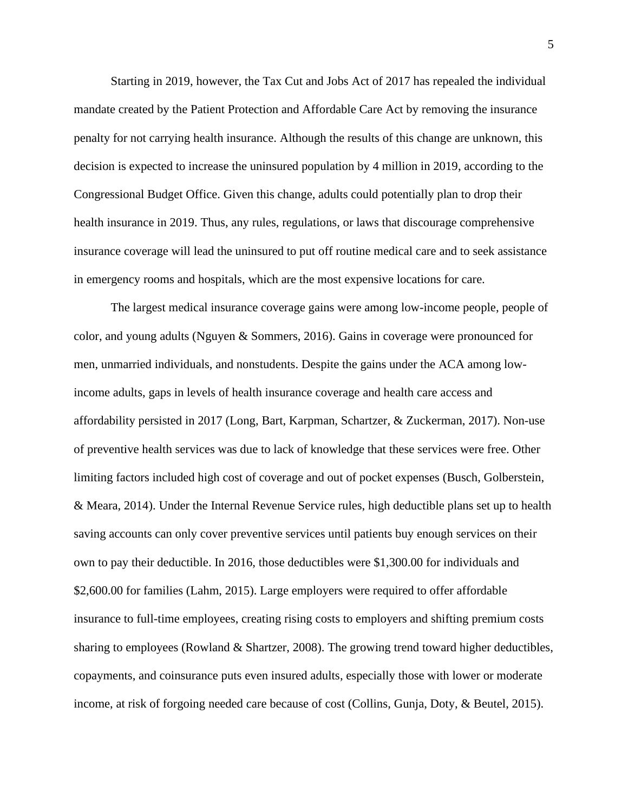Starting in 2019, however, the Tax Cut and Jobs Act of 2017 has repealed the individual mandate created by the Patient Protection and Affordable Care Act by removing the insurance penalty for not carrying health insurance. Although the results of this change are unknown, this decision is expected to increase the uninsured population by 4 million in 2019, according to the Congressional Budget Office. Given this change, adults could potentially plan to drop their health insurance in 2019. Thus, any rules, regulations, or laws that discourage comprehensive insurance coverage will lead the uninsured to put off routine medical care and to seek assistance in emergency rooms and hospitals, which are the most expensive locations for care.

The largest medical insurance coverage gains were among low-income people, people of color, and young adults (Nguyen & Sommers, 2016). Gains in coverage were pronounced for men, unmarried individuals, and nonstudents. Despite the gains under the ACA among lowincome adults, gaps in levels of health insurance coverage and health care access and affordability persisted in 2017 (Long, Bart, Karpman, Schartzer, & Zuckerman, 2017). Non-use of preventive health services was due to lack of knowledge that these services were free. Other limiting factors included high cost of coverage and out of pocket expenses (Busch, Golberstein, & Meara, 2014). Under the Internal Revenue Service rules, high deductible plans set up to health saving accounts can only cover preventive services until patients buy enough services on their own to pay their deductible. In 2016, those deductibles were \$1,300.00 for individuals and \$2,600.00 for families (Lahm, 2015). Large employers were required to offer affordable insurance to full-time employees, creating rising costs to employers and shifting premium costs sharing to employees (Rowland & Shartzer, 2008). The growing trend toward higher deductibles, copayments, and coinsurance puts even insured adults, especially those with lower or moderate income, at risk of forgoing needed care because of cost (Collins, Gunja, Doty, & Beutel, 2015).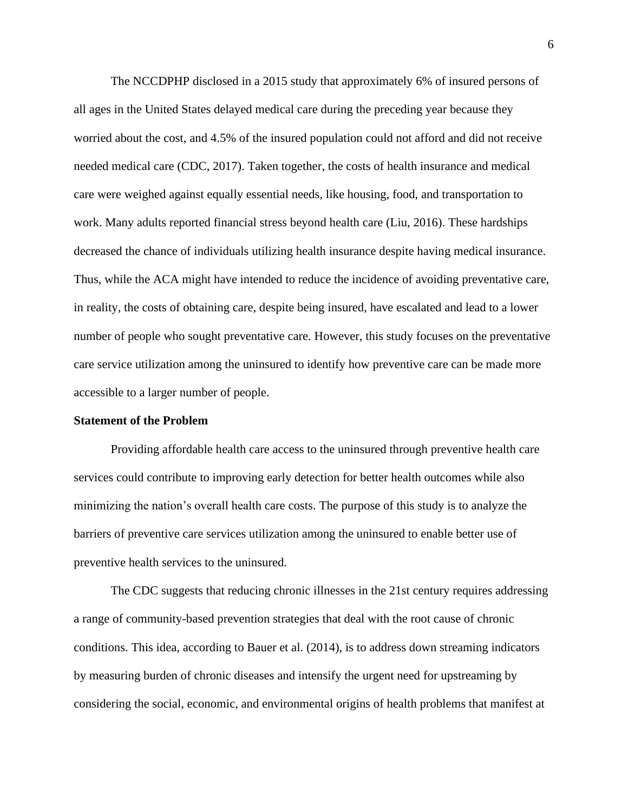The NCCDPHP disclosed in a 2015 study that approximately 6% of insured persons of all ages in the United States delayed medical care during the preceding year because they worried about the cost, and 4.5% of the insured population could not afford and did not receive needed medical care (CDC, 2017). Taken together, the costs of health insurance and medical care were weighed against equally essential needs, like housing, food, and transportation to work. Many adults reported financial stress beyond health care (Liu, 2016). These hardships decreased the chance of individuals utilizing health insurance despite having medical insurance. Thus, while the ACA might have intended to reduce the incidence of avoiding preventative care, in reality, the costs of obtaining care, despite being insured, have escalated and lead to a lower number of people who sought preventative care. However, this study focuses on the preventative care service utilization among the uninsured to identify how preventive care can be made more accessible to a larger number of people.

### **Statement of the Problem**

Providing affordable health care access to the uninsured through preventive health care services could contribute to improving early detection for better health outcomes while also minimizing the nation's overall health care costs. The purpose of this study is to analyze the barriers of preventive care services utilization among the uninsured to enable better use of preventive health services to the uninsured.

The CDC suggests that reducing chronic illnesses in the 21st century requires addressing a range of community-based prevention strategies that deal with the root cause of chronic conditions. This idea, according to Bauer et al. (2014), is to address down streaming indicators by measuring burden of chronic diseases and intensify the urgent need for upstreaming by considering the social, economic, and environmental origins of health problems that manifest at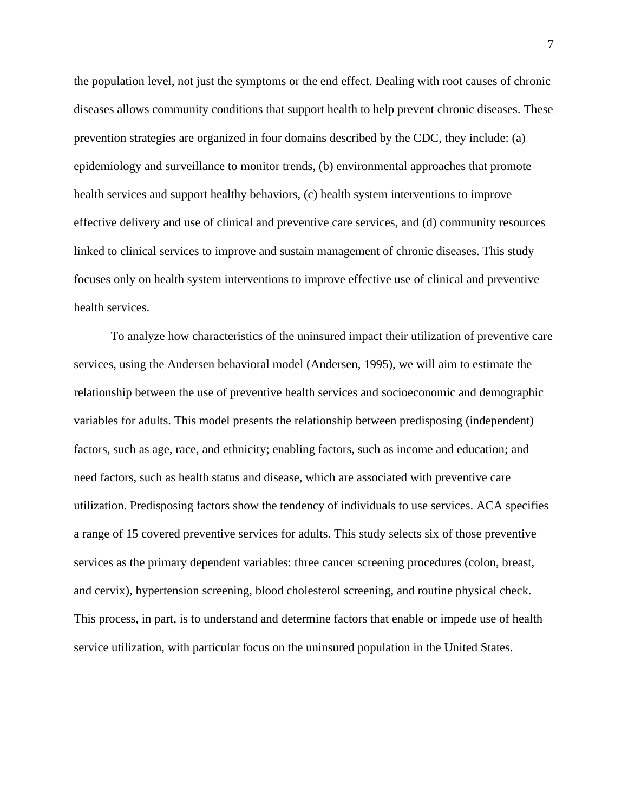the population level, not just the symptoms or the end effect. Dealing with root causes of chronic diseases allows community conditions that support health to help prevent chronic diseases. These prevention strategies are organized in four domains described by the CDC, they include: (a) epidemiology and surveillance to monitor trends, (b) environmental approaches that promote health services and support healthy behaviors, (c) health system interventions to improve effective delivery and use of clinical and preventive care services, and (d) community resources linked to clinical services to improve and sustain management of chronic diseases. This study focuses only on health system interventions to improve effective use of clinical and preventive health services.

To analyze how characteristics of the uninsured impact their utilization of preventive care services, using the Andersen behavioral model (Andersen, 1995), we will aim to estimate the relationship between the use of preventive health services and socioeconomic and demographic variables for adults. This model presents the relationship between predisposing (independent) factors, such as age, race, and ethnicity; enabling factors, such as income and education; and need factors, such as health status and disease, which are associated with preventive care utilization. Predisposing factors show the tendency of individuals to use services. ACA specifies a range of 15 covered preventive services for adults. This study selects six of those preventive services as the primary dependent variables: three cancer screening procedures (colon, breast, and cervix), hypertension screening, blood cholesterol screening, and routine physical check. This process, in part, is to understand and determine factors that enable or impede use of health service utilization, with particular focus on the uninsured population in the United States.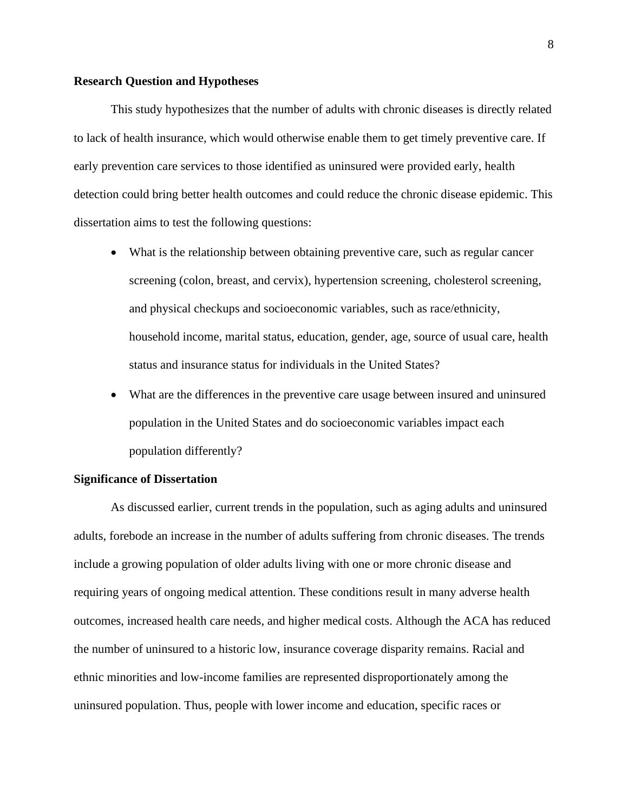#### **Research Question and Hypotheses**

This study hypothesizes that the number of adults with chronic diseases is directly related to lack of health insurance, which would otherwise enable them to get timely preventive care. If early prevention care services to those identified as uninsured were provided early, health detection could bring better health outcomes and could reduce the chronic disease epidemic. This dissertation aims to test the following questions:

- What is the relationship between obtaining preventive care, such as regular cancer screening (colon, breast, and cervix), hypertension screening, cholesterol screening, and physical checkups and socioeconomic variables, such as race/ethnicity, household income, marital status, education, gender, age, source of usual care, health status and insurance status for individuals in the United States?
- What are the differences in the preventive care usage between insured and uninsured population in the United States and do socioeconomic variables impact each population differently?

### **Significance of Dissertation**

As discussed earlier, current trends in the population, such as aging adults and uninsured adults, forebode an increase in the number of adults suffering from chronic diseases. The trends include a growing population of older adults living with one or more chronic disease and requiring years of ongoing medical attention. These conditions result in many adverse health outcomes, increased health care needs, and higher medical costs. Although the ACA has reduced the number of uninsured to a historic low, insurance coverage disparity remains. Racial and ethnic minorities and low-income families are represented disproportionately among the uninsured population. Thus, people with lower income and education, specific races or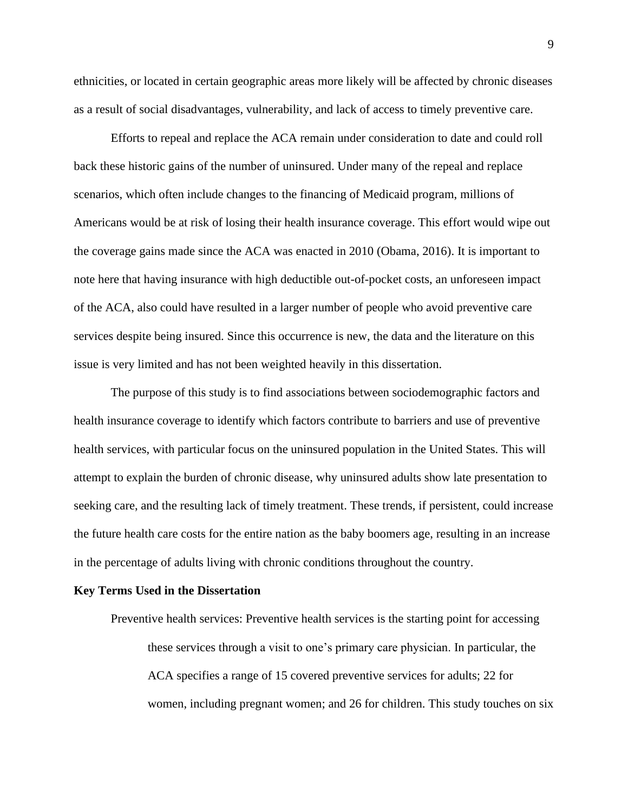ethnicities, or located in certain geographic areas more likely will be affected by chronic diseases as a result of social disadvantages, vulnerability, and lack of access to timely preventive care.

Efforts to repeal and replace the ACA remain under consideration to date and could roll back these historic gains of the number of uninsured. Under many of the repeal and replace scenarios, which often include changes to the financing of Medicaid program, millions of Americans would be at risk of losing their health insurance coverage. This effort would wipe out the coverage gains made since the ACA was enacted in 2010 (Obama, 2016). It is important to note here that having insurance with high deductible out-of-pocket costs, an unforeseen impact of the ACA, also could have resulted in a larger number of people who avoid preventive care services despite being insured. Since this occurrence is new, the data and the literature on this issue is very limited and has not been weighted heavily in this dissertation.

The purpose of this study is to find associations between sociodemographic factors and health insurance coverage to identify which factors contribute to barriers and use of preventive health services, with particular focus on the uninsured population in the United States. This will attempt to explain the burden of chronic disease, why uninsured adults show late presentation to seeking care, and the resulting lack of timely treatment. These trends, if persistent, could increase the future health care costs for the entire nation as the baby boomers age, resulting in an increase in the percentage of adults living with chronic conditions throughout the country.

#### **Key Terms Used in the Dissertation**

Preventive health services: Preventive health services is the starting point for accessing these services through a visit to one's primary care physician. In particular, the ACA specifies a range of 15 covered preventive services for adults; 22 for women, including pregnant women; and 26 for children. This study touches on six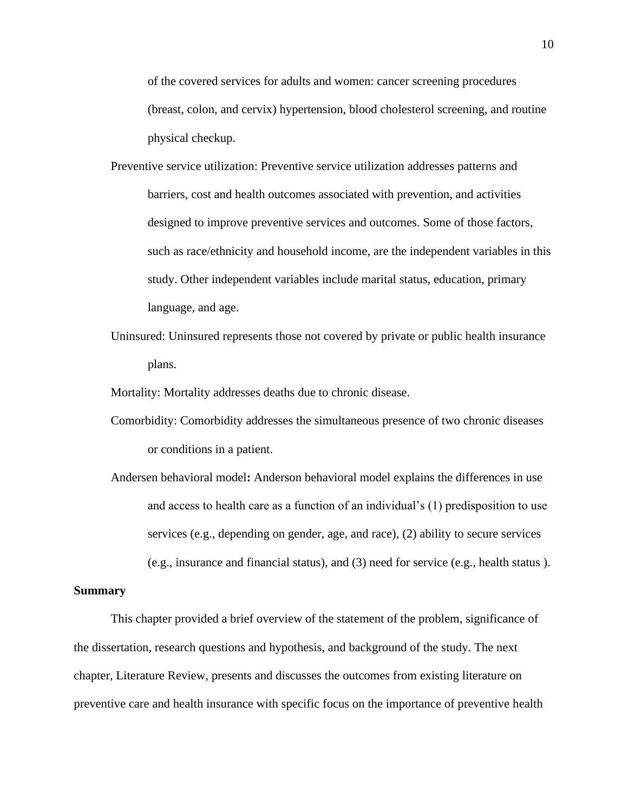of the covered services for adults and women: cancer screening procedures (breast, colon, and cervix) hypertension, blood cholesterol screening, and routine physical checkup.

- Preventive service utilization: Preventive service utilization addresses patterns and barriers, cost and health outcomes associated with prevention, and activities designed to improve preventive services and outcomes. Some of those factors, such as race/ethnicity and household income, are the independent variables in this study. Other independent variables include marital status, education, primary language, and age.
- Uninsured: Uninsured represents those not covered by private or public health insurance plans.
- Mortality: Mortality addresses deaths due to chronic disease.
- Comorbidity: Comorbidity addresses the simultaneous presence of two chronic diseases or conditions in a patient.
- Andersen behavioral model**:** Anderson behavioral model explains the differences in use and access to health care as a function of an individual's (1) predisposition to use services (e.g., depending on gender, age, and race), (2) ability to secure services (e.g., insurance and financial status), and (3) need for service (e.g., health status ).

### **Summary**

This chapter provided a brief overview of the statement of the problem, significance of the dissertation, research questions and hypothesis, and background of the study. The next chapter, Literature Review, presents and discusses the outcomes from existing literature on preventive care and health insurance with specific focus on the importance of preventive health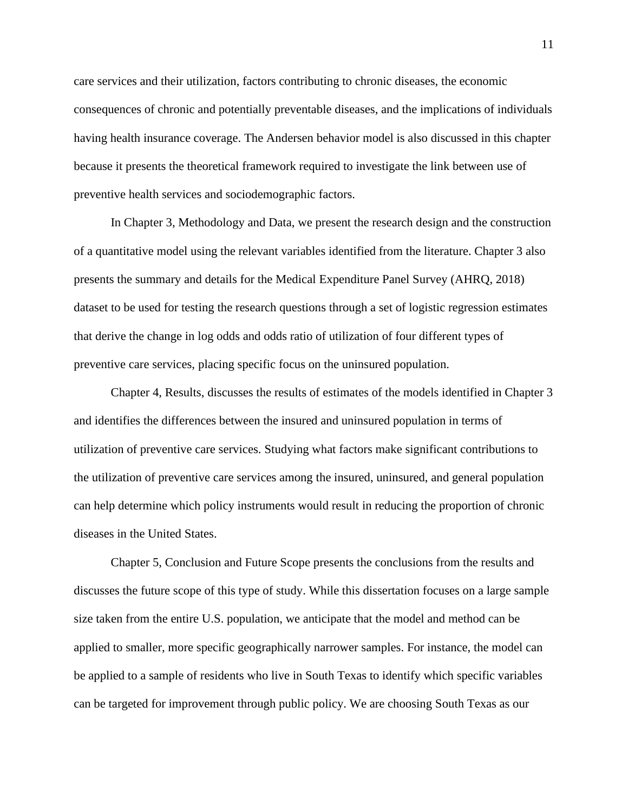care services and their utilization, factors contributing to chronic diseases, the economic consequences of chronic and potentially preventable diseases, and the implications of individuals having health insurance coverage. The Andersen behavior model is also discussed in this chapter because it presents the theoretical framework required to investigate the link between use of preventive health services and sociodemographic factors.

In Chapter 3, Methodology and Data, we present the research design and the construction of a quantitative model using the relevant variables identified from the literature. Chapter 3 also presents the summary and details for the Medical Expenditure Panel Survey (AHRQ, 2018) dataset to be used for testing the research questions through a set of logistic regression estimates that derive the change in log odds and odds ratio of utilization of four different types of preventive care services, placing specific focus on the uninsured population.

Chapter 4, Results, discusses the results of estimates of the models identified in Chapter 3 and identifies the differences between the insured and uninsured population in terms of utilization of preventive care services. Studying what factors make significant contributions to the utilization of preventive care services among the insured, uninsured, and general population can help determine which policy instruments would result in reducing the proportion of chronic diseases in the United States.

Chapter 5, Conclusion and Future Scope presents the conclusions from the results and discusses the future scope of this type of study. While this dissertation focuses on a large sample size taken from the entire U.S. population, we anticipate that the model and method can be applied to smaller, more specific geographically narrower samples. For instance, the model can be applied to a sample of residents who live in South Texas to identify which specific variables can be targeted for improvement through public policy. We are choosing South Texas as our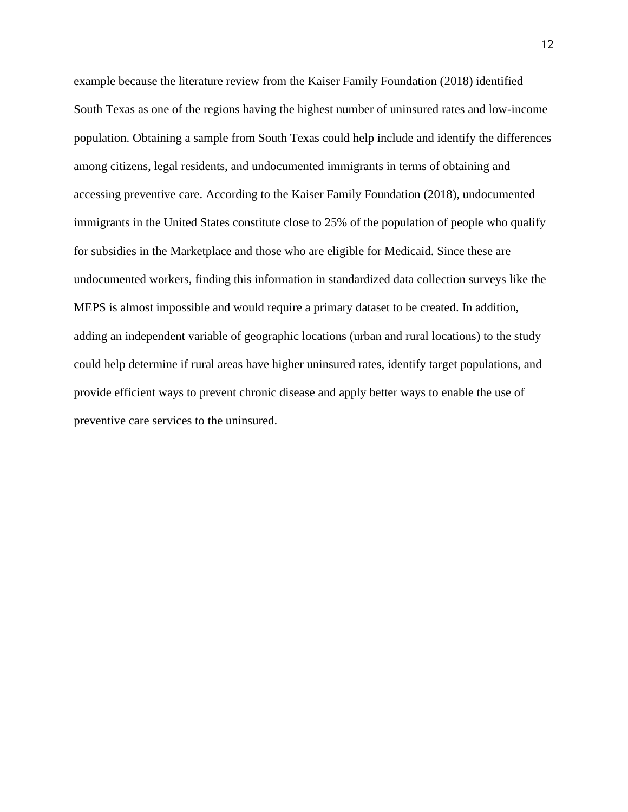example because the literature review from the Kaiser Family Foundation (2018) identified South Texas as one of the regions having the highest number of uninsured rates and low-income population. Obtaining a sample from South Texas could help include and identify the differences among citizens, legal residents, and undocumented immigrants in terms of obtaining and accessing preventive care. According to the Kaiser Family Foundation (2018), undocumented immigrants in the United States constitute close to 25% of the population of people who qualify for subsidies in the Marketplace and those who are eligible for Medicaid. Since these are undocumented workers, finding this information in standardized data collection surveys like the MEPS is almost impossible and would require a primary dataset to be created. In addition, adding an independent variable of geographic locations (urban and rural locations) to the study could help determine if rural areas have higher uninsured rates, identify target populations, and provide efficient ways to prevent chronic disease and apply better ways to enable the use of preventive care services to the uninsured.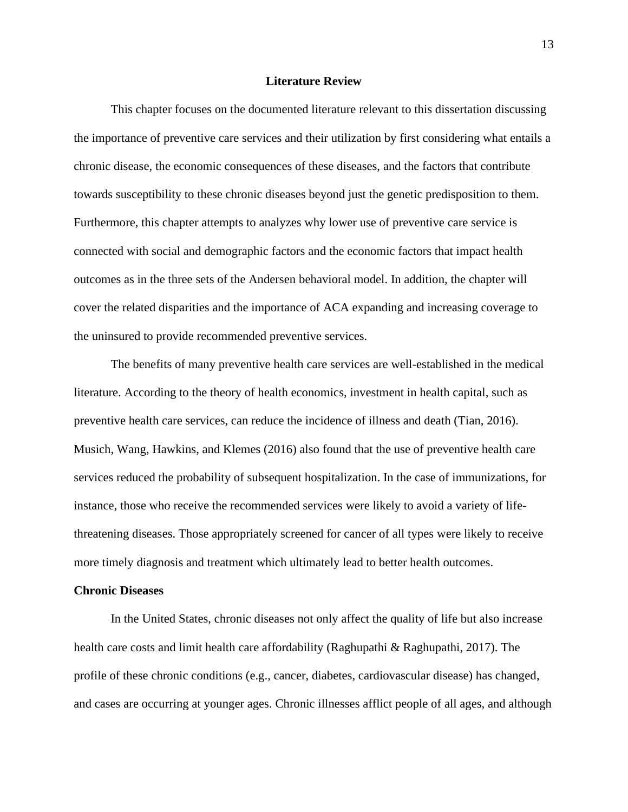### **Literature Review**

This chapter focuses on the documented literature relevant to this dissertation discussing the importance of preventive care services and their utilization by first considering what entails a chronic disease, the economic consequences of these diseases, and the factors that contribute towards susceptibility to these chronic diseases beyond just the genetic predisposition to them. Furthermore, this chapter attempts to analyzes why lower use of preventive care service is connected with social and demographic factors and the economic factors that impact health outcomes as in the three sets of the Andersen behavioral model. In addition, the chapter will cover the related disparities and the importance of ACA expanding and increasing coverage to the uninsured to provide recommended preventive services.

The benefits of many preventive health care services are well-established in the medical literature. According to the theory of health economics, investment in health capital, such as preventive health care services, can reduce the incidence of illness and death (Tian, 2016). Musich, Wang, Hawkins, and Klemes (2016) also found that the use of preventive health care services reduced the probability of subsequent hospitalization. In the case of immunizations, for instance, those who receive the recommended services were likely to avoid a variety of lifethreatening diseases. Those appropriately screened for cancer of all types were likely to receive more timely diagnosis and treatment which ultimately lead to better health outcomes.

#### **Chronic Diseases**

In the United States, chronic diseases not only affect the quality of life but also increase health care costs and limit health care affordability (Raghupathi & Raghupathi, 2017). The profile of these chronic conditions (e.g., cancer, diabetes, cardiovascular disease) has changed, and cases are occurring at younger ages. Chronic illnesses afflict people of all ages, and although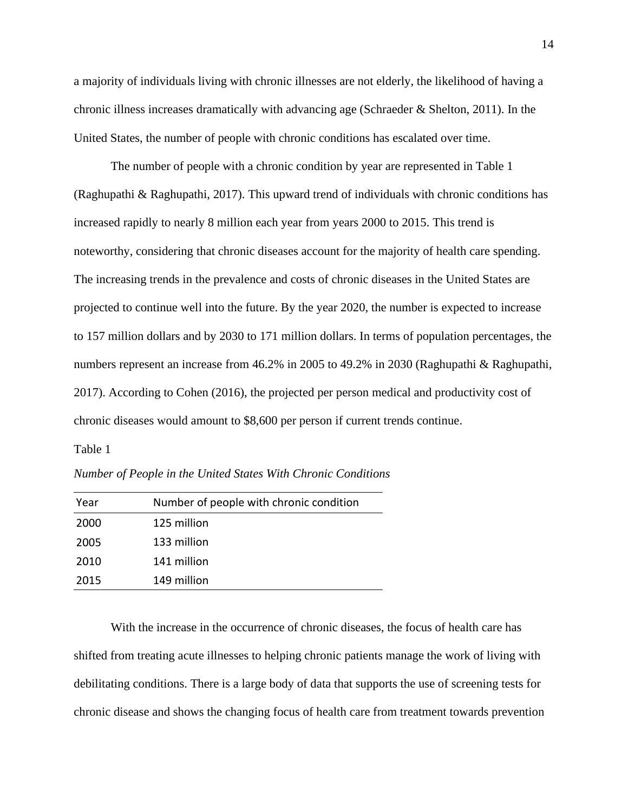a majority of individuals living with chronic illnesses are not elderly, the likelihood of having a chronic illness increases dramatically with advancing age (Schraeder & Shelton, 2011). In the United States, the number of people with chronic conditions has escalated over time.

The number of people with a chronic condition by year are represented in Table 1 (Raghupathi & Raghupathi, 2017). This upward trend of individuals with chronic conditions has increased rapidly to nearly 8 million each year from years 2000 to 2015. This trend is noteworthy, considering that chronic diseases account for the majority of health care spending. The increasing trends in the prevalence and costs of chronic diseases in the United States are projected to continue well into the future. By the year 2020, the number is expected to increase to 157 million dollars and by 2030 to 171 million dollars. In terms of population percentages, the numbers represent an increase from 46.2% in 2005 to 49.2% in 2030 (Raghupathi & Raghupathi, 2017). According to Cohen (2016), the projected per person medical and productivity cost of chronic diseases would amount to \$8,600 per person if current trends continue.

#### Table 1

*Number of People in the United States With Chronic Conditions*

| Year | Number of people with chronic condition |
|------|-----------------------------------------|
| 2000 | 125 million                             |
| 2005 | 133 million                             |
| 2010 | 141 million                             |
| 2015 | 149 million                             |

With the increase in the occurrence of chronic diseases, the focus of health care has shifted from treating acute illnesses to helping chronic patients manage the work of living with debilitating conditions. There is a large body of data that supports the use of screening tests for chronic disease and shows the changing focus of health care from treatment towards prevention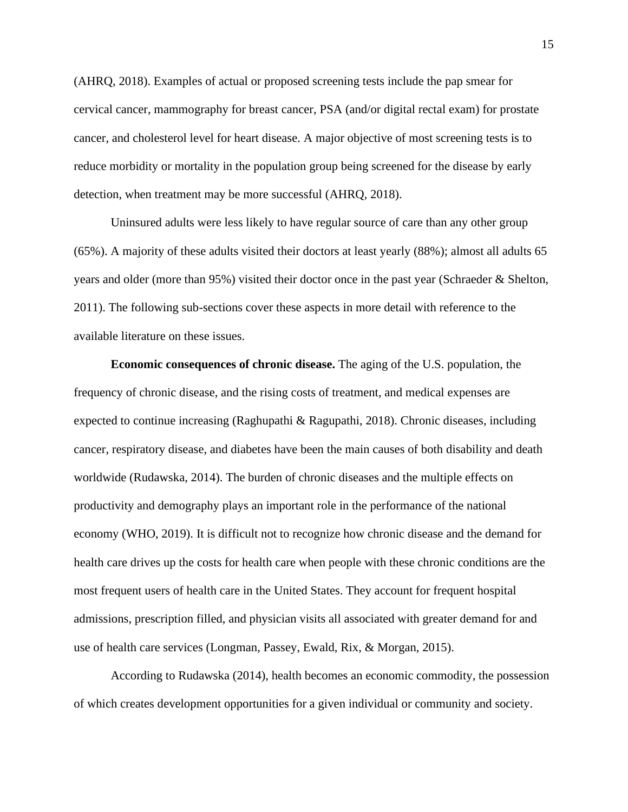(AHRQ, 2018). Examples of actual or proposed screening tests include the pap smear for cervical cancer, mammography for breast cancer, PSA (and/or digital rectal exam) for prostate cancer, and cholesterol level for heart disease. A major objective of most screening tests is to reduce morbidity or mortality in the population group being screened for the disease by early detection, when treatment may be more successful (AHRQ, 2018).

Uninsured adults were less likely to have regular source of care than any other group (65%). A majority of these adults visited their doctors at least yearly (88%); almost all adults 65 years and older (more than 95%) visited their doctor once in the past year (Schraeder & Shelton, 2011). The following sub-sections cover these aspects in more detail with reference to the available literature on these issues.

**Economic consequences of chronic disease.** The aging of the U.S. population, the frequency of chronic disease, and the rising costs of treatment, and medical expenses are expected to continue increasing (Raghupathi & Ragupathi, 2018). Chronic diseases, including cancer, respiratory disease, and diabetes have been the main causes of both disability and death worldwide (Rudawska, 2014). The burden of chronic diseases and the multiple effects on productivity and demography plays an important role in the performance of the national economy (WHO, 2019). It is difficult not to recognize how chronic disease and the demand for health care drives up the costs for health care when people with these chronic conditions are the most frequent users of health care in the United States. They account for frequent hospital admissions, prescription filled, and physician visits all associated with greater demand for and use of health care services (Longman, Passey, Ewald, Rix, & Morgan, 2015).

According to Rudawska (2014), health becomes an economic commodity, the possession of which creates development opportunities for a given individual or community and society.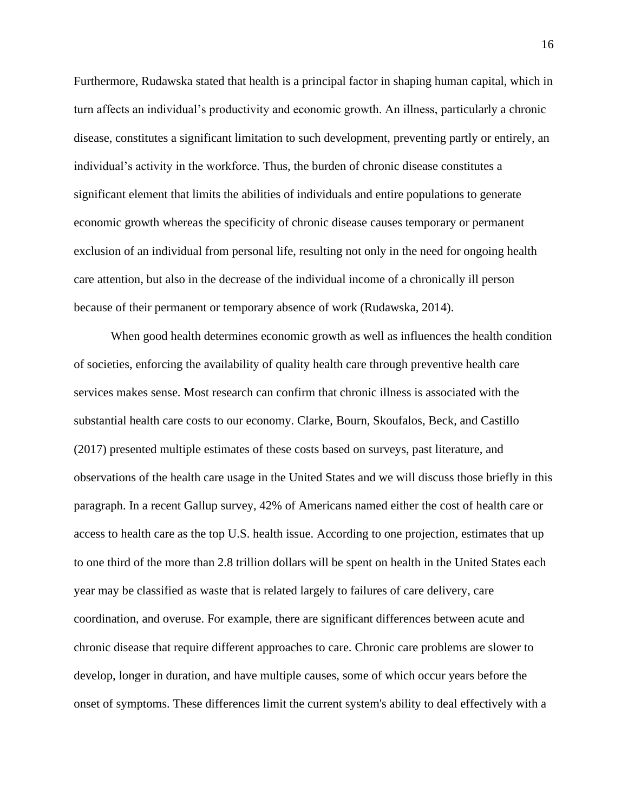Furthermore, Rudawska stated that health is a principal factor in shaping human capital, which in turn affects an individual's productivity and economic growth. An illness, particularly a chronic disease, constitutes a significant limitation to such development, preventing partly or entirely, an individual's activity in the workforce. Thus, the burden of chronic disease constitutes a significant element that limits the abilities of individuals and entire populations to generate economic growth whereas the specificity of chronic disease causes temporary or permanent exclusion of an individual from personal life, resulting not only in the need for ongoing health care attention, but also in the decrease of the individual income of a chronically ill person because of their permanent or temporary absence of work (Rudawska, 2014).

When good health determines economic growth as well as influences the health condition of societies, enforcing the availability of quality health care through preventive health care services makes sense. Most research can confirm that chronic illness is associated with the substantial health care costs to our economy. Clarke, Bourn, Skoufalos, Beck, and Castillo (2017) presented multiple estimates of these costs based on surveys, past literature, and observations of the health care usage in the United States and we will discuss those briefly in this paragraph. In a recent Gallup survey, 42% of Americans named either the cost of health care or access to health care as the top U.S. health issue. According to one projection, estimates that up to one third of the more than 2.8 trillion dollars will be spent on health in the United States each year may be classified as waste that is related largely to failures of care delivery, care coordination, and overuse. For example, there are significant differences between acute and chronic disease that require different approaches to care. Chronic care problems are slower to develop, longer in duration, and have multiple causes, some of which occur years before the onset of symptoms. These differences limit the current system's ability to deal effectively with a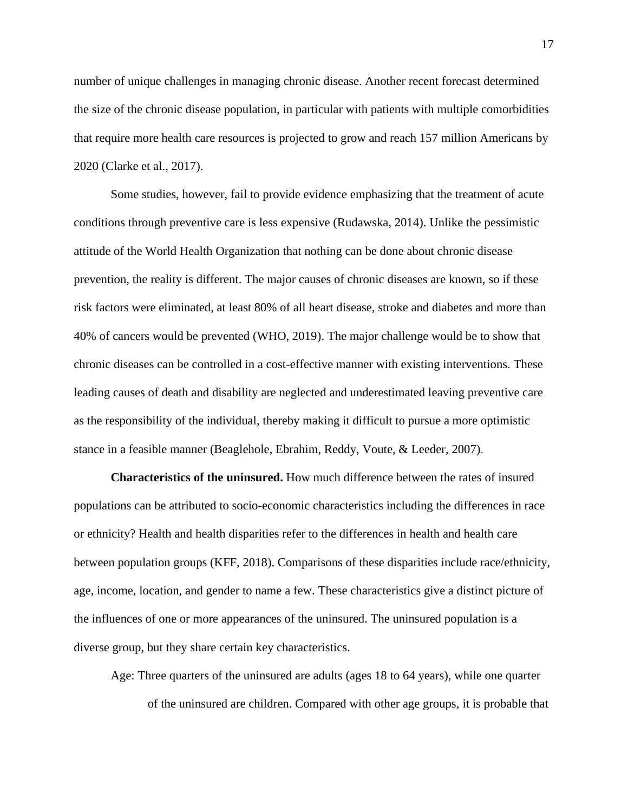number of unique challenges in managing chronic disease. Another recent forecast determined the size of the chronic disease population, in particular with patients with multiple comorbidities that require more health care resources is projected to grow and reach 157 million Americans by 2020 (Clarke et al., 2017).

Some studies, however, fail to provide evidence emphasizing that the treatment of acute conditions through preventive care is less expensive (Rudawska, 2014). Unlike the pessimistic attitude of the World Health Organization that nothing can be done about chronic disease prevention, the reality is different. The major causes of chronic diseases are known, so if these risk factors were eliminated, at least 80% of all heart disease, stroke and diabetes and more than 40% of cancers would be prevented (WHO, 2019). The major challenge would be to show that chronic diseases can be controlled in a cost-effective manner with existing interventions. These leading causes of death and disability are neglected and underestimated leaving preventive care as the responsibility of the individual, thereby making it difficult to pursue a more optimistic stance in a feasible manner (Beaglehole, Ebrahim, Reddy, Voute, & Leeder, 2007).

**Characteristics of the uninsured.** How much difference between the rates of insured populations can be attributed to socio-economic characteristics including the differences in race or ethnicity? Health and health disparities refer to the differences in health and health care between population groups (KFF, 2018). Comparisons of these disparities include race/ethnicity, age, income, location, and gender to name a few. These characteristics give a distinct picture of the influences of one or more appearances of the uninsured. The uninsured population is a diverse group, but they share certain key characteristics.

Age: Three quarters of the uninsured are adults (ages 18 to 64 years), while one quarter of the uninsured are children. Compared with other age groups, it is probable that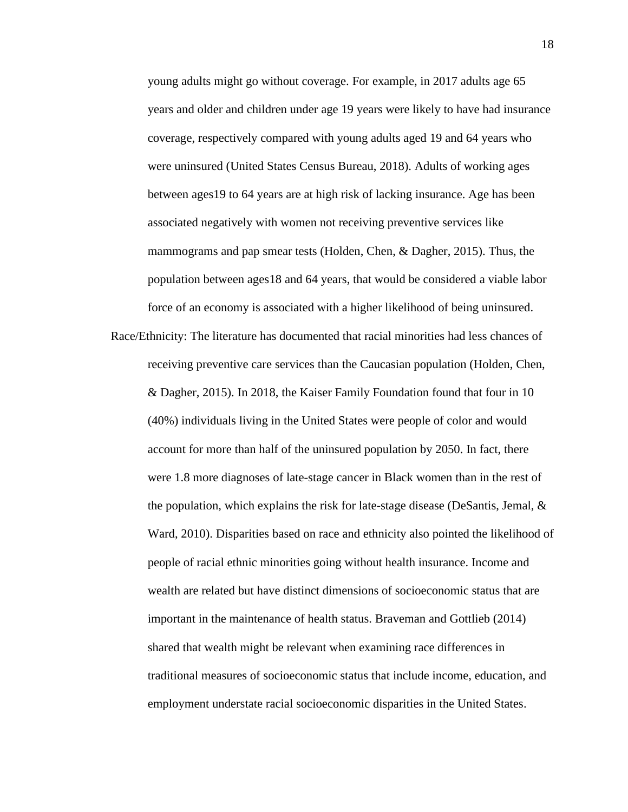young adults might go without coverage. For example, in 2017 adults age 65 years and older and children under age 19 years were likely to have had insurance coverage, respectively compared with young adults aged 19 and 64 years who were uninsured (United States Census Bureau, 2018). Adults of working ages between ages19 to 64 years are at high risk of lacking insurance. Age has been associated negatively with women not receiving preventive services like mammograms and pap smear tests (Holden, Chen, & Dagher, 2015). Thus, the population between ages18 and 64 years, that would be considered a viable labor force of an economy is associated with a higher likelihood of being uninsured.

Race/Ethnicity: The literature has documented that racial minorities had less chances of receiving preventive care services than the Caucasian population (Holden, Chen, & Dagher, 2015). In 2018, the Kaiser Family Foundation found that four in 10 (40%) individuals living in the United States were people of color and would account for more than half of the uninsured population by 2050. In fact, there were 1.8 more diagnoses of late-stage cancer in Black women than in the rest of the population, which explains the risk for late-stage disease (DeSantis, Jemal,  $\&$ Ward, 2010). Disparities based on race and ethnicity also pointed the likelihood of people of racial ethnic minorities going without health insurance. Income and wealth are related but have distinct dimensions of socioeconomic status that are important in the maintenance of health status. Braveman and Gottlieb (2014) shared that wealth might be relevant when examining race differences in traditional measures of socioeconomic status that include income, education, and employment understate racial socioeconomic disparities in the United States.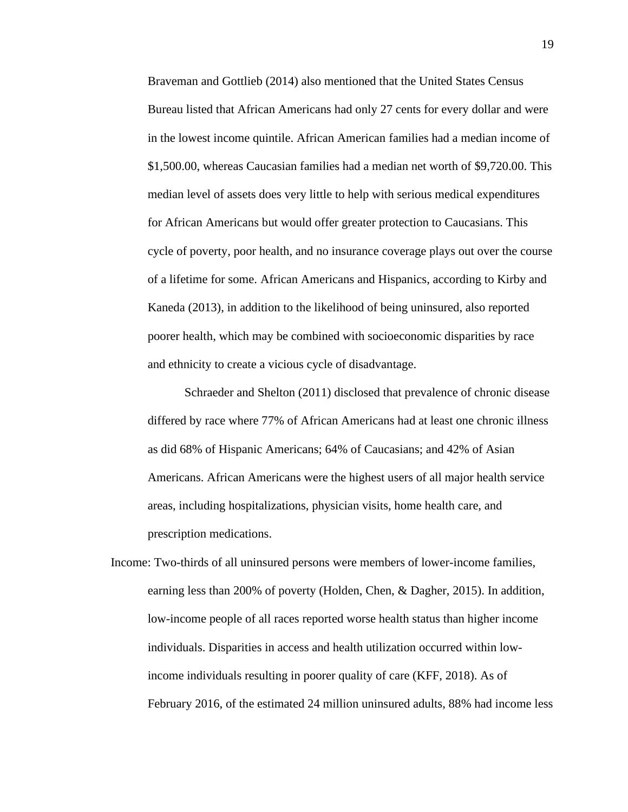Braveman and Gottlieb (2014) also mentioned that the United States Census Bureau listed that African Americans had only 27 cents for every dollar and were in the lowest income quintile. African American families had a median income of \$1,500.00, whereas Caucasian families had a median net worth of \$9,720.00. This median level of assets does very little to help with serious medical expenditures for African Americans but would offer greater protection to Caucasians. This cycle of poverty, poor health, and no insurance coverage plays out over the course of a lifetime for some. African Americans and Hispanics, according to Kirby and Kaneda (2013), in addition to the likelihood of being uninsured, also reported poorer health, which may be combined with socioeconomic disparities by race and ethnicity to create a vicious cycle of disadvantage.

Schraeder and Shelton (2011) disclosed that prevalence of chronic disease differed by race where 77% of African Americans had at least one chronic illness as did 68% of Hispanic Americans; 64% of Caucasians; and 42% of Asian Americans. African Americans were the highest users of all major health service areas, including hospitalizations, physician visits, home health care, and prescription medications.

Income: Two-thirds of all uninsured persons were members of lower-income families, earning less than 200% of poverty (Holden, Chen, & Dagher, 2015). In addition, low-income people of all races reported worse health status than higher income individuals. Disparities in access and health utilization occurred within lowincome individuals resulting in poorer quality of care (KFF, 2018). As of February 2016, of the estimated 24 million uninsured adults, 88% had income less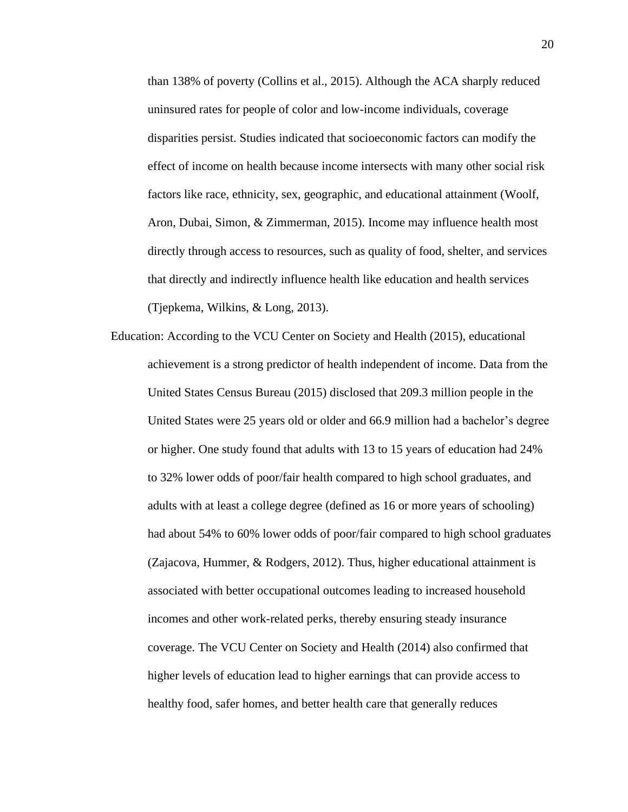than 138% of poverty (Collins et al., 2015). Although the ACA sharply reduced uninsured rates for people of color and low-income individuals, coverage disparities persist. Studies indicated that socioeconomic factors can modify the effect of income on health because income intersects with many other social risk factors like race, ethnicity, sex, geographic, and educational attainment (Woolf, Aron, Dubai, Simon, & Zimmerman, 2015). Income may influence health most directly through access to resources, such as quality of food, shelter, and services that directly and indirectly influence health like education and health services (Tjepkema, Wilkins, & Long, 2013).

Education: According to the VCU Center on Society and Health (2015), educational achievement is a strong predictor of health independent of income. Data from the United States Census Bureau (2015) disclosed that 209.3 million people in the United States were 25 years old or older and 66.9 million had a bachelor's degree or higher. One study found that adults with 13 to 15 years of education had 24% to 32% lower odds of poor/fair health compared to high school graduates, and adults with at least a college degree (defined as 16 or more years of schooling) had about 54% to 60% lower odds of poor/fair compared to high school graduates (Zajacova, Hummer, & Rodgers, 2012). Thus, higher educational attainment is associated with better occupational outcomes leading to increased household incomes and other work-related perks, thereby ensuring steady insurance coverage. The VCU Center on Society and Health (2014) also confirmed that higher levels of education lead to higher earnings that can provide access to healthy food, safer homes, and better health care that generally reduces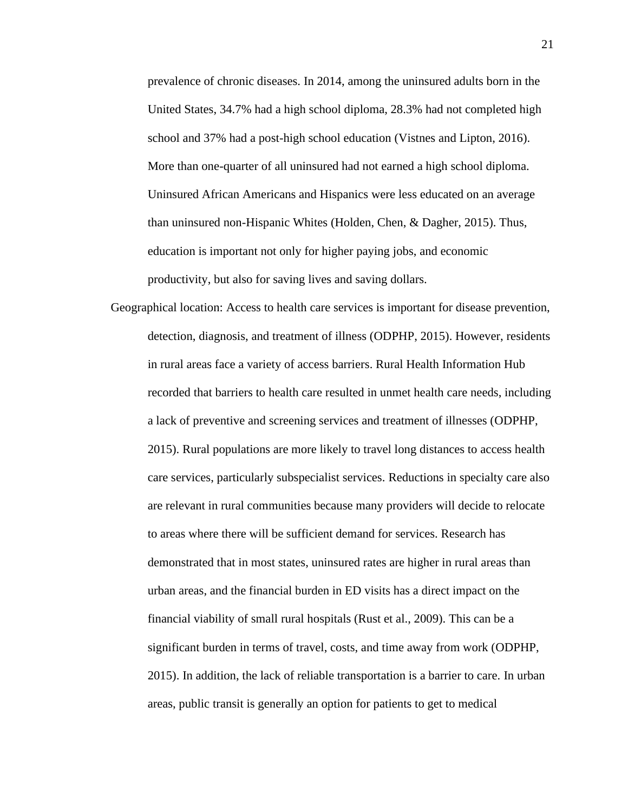prevalence of chronic diseases. In 2014, among the uninsured adults born in the United States, 34.7% had a high school diploma, 28.3% had not completed high school and 37% had a post-high school education (Vistnes and Lipton, 2016). More than one-quarter of all uninsured had not earned a high school diploma. Uninsured African Americans and Hispanics were less educated on an average than uninsured non-Hispanic Whites (Holden, Chen, & Dagher, 2015). Thus, education is important not only for higher paying jobs, and economic productivity, but also for saving lives and saving dollars.

Geographical location: Access to health care services is important for disease prevention, detection, diagnosis, and treatment of illness (ODPHP, 2015). However, residents in rural areas face a variety of access barriers. Rural Health Information Hub recorded that barriers to health care resulted in unmet health care needs, including a lack of preventive and screening services and treatment of illnesses (ODPHP, 2015). Rural populations are more likely to travel long distances to access health care services, particularly subspecialist services. Reductions in specialty care also are relevant in rural communities because many providers will decide to relocate to areas where there will be sufficient demand for services. Research has demonstrated that in most states, uninsured rates are higher in rural areas than urban areas, and the financial burden in ED visits has a direct impact on the financial viability of small rural hospitals (Rust et al., 2009). This can be a significant burden in terms of travel, costs, and time away from work (ODPHP, 2015). In addition, the lack of reliable transportation is a barrier to care. In urban areas, public transit is generally an option for patients to get to medical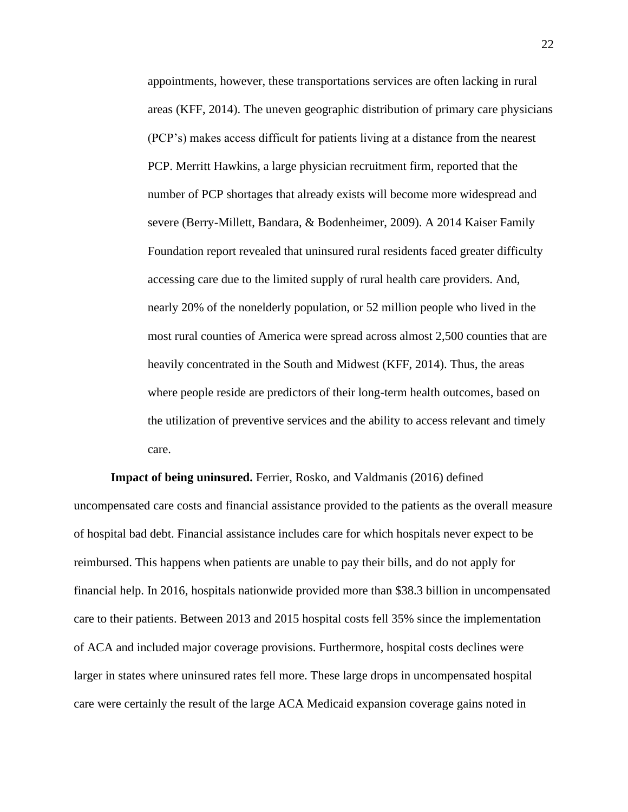appointments, however, these transportations services are often lacking in rural areas (KFF, 2014). The uneven geographic distribution of primary care physicians (PCP's) makes access difficult for patients living at a distance from the nearest PCP. Merritt Hawkins, a large physician recruitment firm, reported that the number of PCP shortages that already exists will become more widespread and severe (Berry-Millett, Bandara, & Bodenheimer, 2009). A 2014 Kaiser Family Foundation report revealed that uninsured rural residents faced greater difficulty accessing care due to the limited supply of rural health care providers. And, nearly 20% of the nonelderly population, or 52 million people who lived in the most rural counties of America were spread across almost 2,500 counties that are heavily concentrated in the South and Midwest (KFF, 2014). Thus, the areas where people reside are predictors of their long-term health outcomes, based on the utilization of preventive services and the ability to access relevant and timely care.

**Impact of being uninsured.** Ferrier, Rosko, and Valdmanis (2016) defined uncompensated care costs and financial assistance provided to the patients as the overall measure of hospital bad debt. Financial assistance includes care for which hospitals never expect to be reimbursed. This happens when patients are unable to pay their bills, and do not apply for financial help. In 2016, hospitals nationwide provided more than \$38.3 billion in uncompensated care to their patients. Between 2013 and 2015 hospital costs fell 35% since the implementation of ACA and included major coverage provisions. Furthermore, hospital costs declines were larger in states where uninsured rates fell more. These large drops in uncompensated hospital care were certainly the result of the large ACA Medicaid expansion coverage gains noted in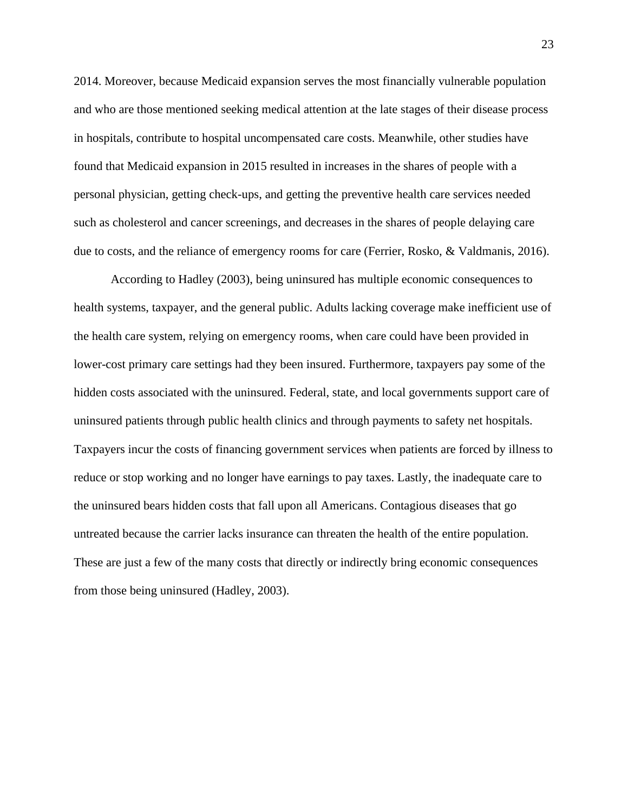2014. Moreover, because Medicaid expansion serves the most financially vulnerable population and who are those mentioned seeking medical attention at the late stages of their disease process in hospitals, contribute to hospital uncompensated care costs. Meanwhile, other studies have found that Medicaid expansion in 2015 resulted in increases in the shares of people with a personal physician, getting check-ups, and getting the preventive health care services needed such as cholesterol and cancer screenings, and decreases in the shares of people delaying care due to costs, and the reliance of emergency rooms for care (Ferrier, Rosko, & Valdmanis, 2016).

According to Hadley (2003), being uninsured has multiple economic consequences to health systems, taxpayer, and the general public. Adults lacking coverage make inefficient use of the health care system, relying on emergency rooms, when care could have been provided in lower-cost primary care settings had they been insured. Furthermore, taxpayers pay some of the hidden costs associated with the uninsured. Federal, state, and local governments support care of uninsured patients through public health clinics and through payments to safety net hospitals. Taxpayers incur the costs of financing government services when patients are forced by illness to reduce or stop working and no longer have earnings to pay taxes. Lastly, the inadequate care to the uninsured bears hidden costs that fall upon all Americans. Contagious diseases that go untreated because the carrier lacks insurance can threaten the health of the entire population. These are just a few of the many costs that directly or indirectly bring economic consequences from those being uninsured (Hadley, 2003).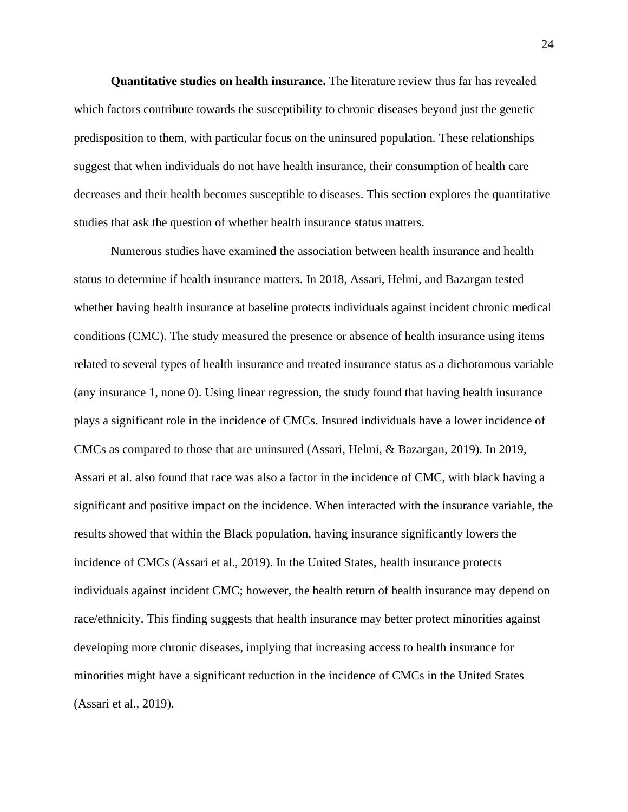**Quantitative studies on health insurance.** The literature review thus far has revealed which factors contribute towards the susceptibility to chronic diseases beyond just the genetic predisposition to them, with particular focus on the uninsured population. These relationships suggest that when individuals do not have health insurance, their consumption of health care decreases and their health becomes susceptible to diseases. This section explores the quantitative studies that ask the question of whether health insurance status matters.

Numerous studies have examined the association between health insurance and health status to determine if health insurance matters. In 2018, Assari, Helmi, and Bazargan tested whether having health insurance at baseline protects individuals against incident chronic medical conditions (CMC). The study measured the presence or absence of health insurance using items related to several types of health insurance and treated insurance status as a dichotomous variable (any insurance 1, none 0). Using linear regression, the study found that having health insurance plays a significant role in the incidence of CMCs. Insured individuals have a lower incidence of CMCs as compared to those that are uninsured (Assari, Helmi, & Bazargan, 2019). In 2019, Assari et al. also found that race was also a factor in the incidence of CMC, with black having a significant and positive impact on the incidence. When interacted with the insurance variable, the results showed that within the Black population, having insurance significantly lowers the incidence of CMCs (Assari et al., 2019). In the United States, health insurance protects individuals against incident CMC; however, the health return of health insurance may depend on race/ethnicity. This finding suggests that health insurance may better protect minorities against developing more chronic diseases, implying that increasing access to health insurance for minorities might have a significant reduction in the incidence of CMCs in the United States (Assari et al., 2019).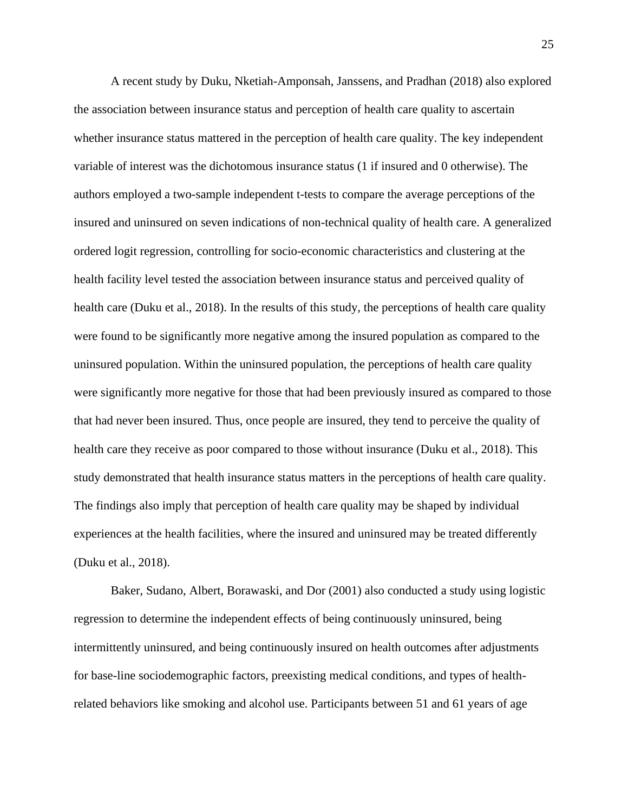A recent study by Duku, Nketiah-Amponsah, Janssens, and Pradhan (2018) also explored the association between insurance status and perception of health care quality to ascertain whether insurance status mattered in the perception of health care quality. The key independent variable of interest was the dichotomous insurance status (1 if insured and 0 otherwise). The authors employed a two-sample independent t-tests to compare the average perceptions of the insured and uninsured on seven indications of non-technical quality of health care. A generalized ordered logit regression, controlling for socio-economic characteristics and clustering at the health facility level tested the association between insurance status and perceived quality of health care (Duku et al., 2018). In the results of this study, the perceptions of health care quality were found to be significantly more negative among the insured population as compared to the uninsured population. Within the uninsured population, the perceptions of health care quality were significantly more negative for those that had been previously insured as compared to those that had never been insured. Thus, once people are insured, they tend to perceive the quality of health care they receive as poor compared to those without insurance (Duku et al., 2018). This study demonstrated that health insurance status matters in the perceptions of health care quality. The findings also imply that perception of health care quality may be shaped by individual experiences at the health facilities, where the insured and uninsured may be treated differently (Duku et al., 2018).

Baker, Sudano, Albert, Borawaski, and Dor (2001) also conducted a study using logistic regression to determine the independent effects of being continuously uninsured, being intermittently uninsured, and being continuously insured on health outcomes after adjustments for base-line sociodemographic factors, preexisting medical conditions, and types of healthrelated behaviors like smoking and alcohol use. Participants between 51 and 61 years of age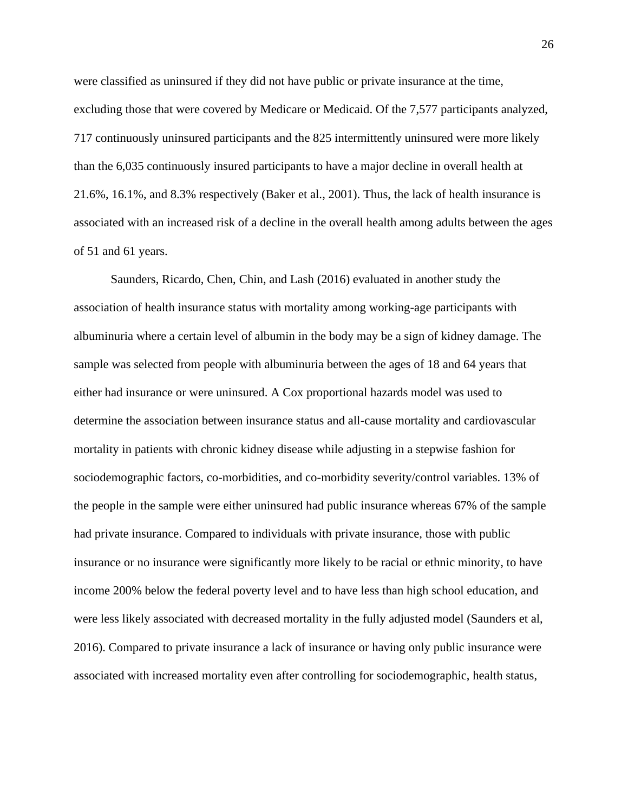were classified as uninsured if they did not have public or private insurance at the time, excluding those that were covered by Medicare or Medicaid. Of the 7,577 participants analyzed, 717 continuously uninsured participants and the 825 intermittently uninsured were more likely than the 6,035 continuously insured participants to have a major decline in overall health at 21.6%, 16.1%, and 8.3% respectively (Baker et al., 2001). Thus, the lack of health insurance is associated with an increased risk of a decline in the overall health among adults between the ages of 51 and 61 years.

Saunders, Ricardo, Chen, Chin, and Lash (2016) evaluated in another study the association of health insurance status with mortality among working-age participants with albuminuria where a certain level of albumin in the body may be a sign of kidney damage. The sample was selected from people with albuminuria between the ages of 18 and 64 years that either had insurance or were uninsured. A Cox proportional hazards model was used to determine the association between insurance status and all-cause mortality and cardiovascular mortality in patients with chronic kidney disease while adjusting in a stepwise fashion for sociodemographic factors, co-morbidities, and co-morbidity severity/control variables. 13% of the people in the sample were either uninsured had public insurance whereas 67% of the sample had private insurance. Compared to individuals with private insurance, those with public insurance or no insurance were significantly more likely to be racial or ethnic minority, to have income 200% below the federal poverty level and to have less than high school education, and were less likely associated with decreased mortality in the fully adjusted model (Saunders et al, 2016). Compared to private insurance a lack of insurance or having only public insurance were associated with increased mortality even after controlling for sociodemographic, health status,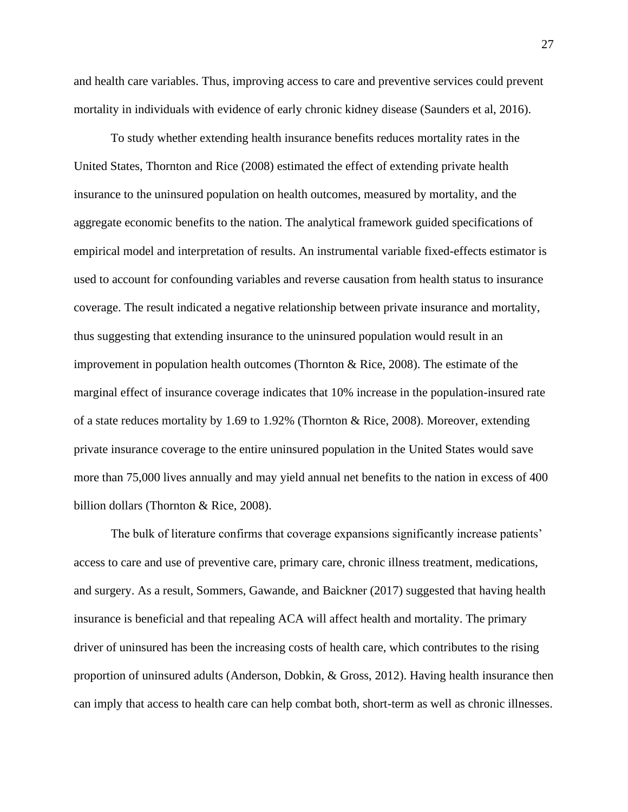and health care variables. Thus, improving access to care and preventive services could prevent mortality in individuals with evidence of early chronic kidney disease (Saunders et al, 2016).

To study whether extending health insurance benefits reduces mortality rates in the United States, Thornton and Rice (2008) estimated the effect of extending private health insurance to the uninsured population on health outcomes, measured by mortality, and the aggregate economic benefits to the nation. The analytical framework guided specifications of empirical model and interpretation of results. An instrumental variable fixed-effects estimator is used to account for confounding variables and reverse causation from health status to insurance coverage. The result indicated a negative relationship between private insurance and mortality, thus suggesting that extending insurance to the uninsured population would result in an improvement in population health outcomes (Thornton & Rice, 2008). The estimate of the marginal effect of insurance coverage indicates that 10% increase in the population-insured rate of a state reduces mortality by 1.69 to 1.92% (Thornton & Rice, 2008). Moreover, extending private insurance coverage to the entire uninsured population in the United States would save more than 75,000 lives annually and may yield annual net benefits to the nation in excess of 400 billion dollars (Thornton & Rice, 2008).

The bulk of literature confirms that coverage expansions significantly increase patients' access to care and use of preventive care, primary care, chronic illness treatment, medications, and surgery. As a result, Sommers, Gawande, and Baickner (2017) suggested that having health insurance is beneficial and that repealing ACA will affect health and mortality. The primary driver of uninsured has been the increasing costs of health care, which contributes to the rising proportion of uninsured adults (Anderson, Dobkin, & Gross, 2012). Having health insurance then can imply that access to health care can help combat both, short-term as well as chronic illnesses.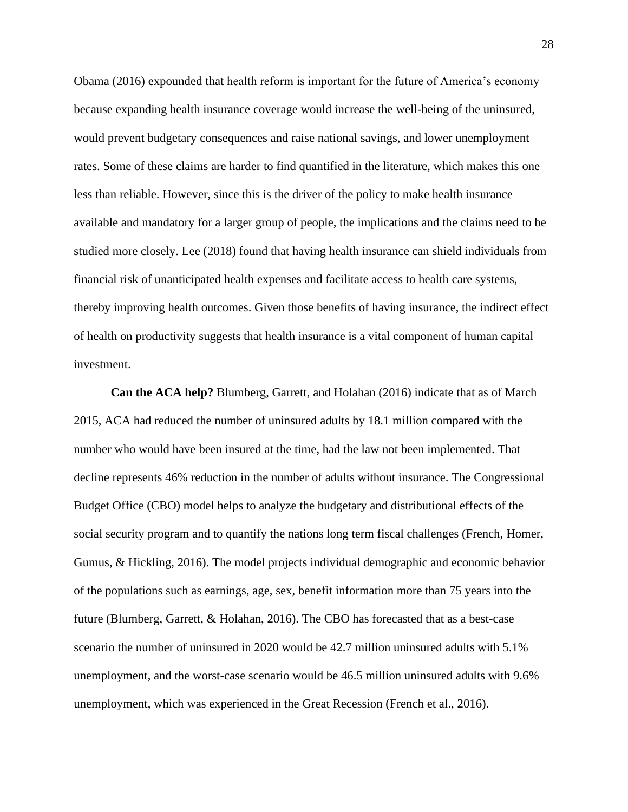Obama (2016) expounded that health reform is important for the future of America's economy because expanding health insurance coverage would increase the well-being of the uninsured, would prevent budgetary consequences and raise national savings, and lower unemployment rates. Some of these claims are harder to find quantified in the literature, which makes this one less than reliable. However, since this is the driver of the policy to make health insurance available and mandatory for a larger group of people, the implications and the claims need to be studied more closely. Lee (2018) found that having health insurance can shield individuals from financial risk of unanticipated health expenses and facilitate access to health care systems, thereby improving health outcomes. Given those benefits of having insurance, the indirect effect of health on productivity suggests that health insurance is a vital component of human capital investment.

**Can the ACA help?** Blumberg, Garrett, and Holahan (2016) indicate that as of March 2015, ACA had reduced the number of uninsured adults by 18.1 million compared with the number who would have been insured at the time, had the law not been implemented. That decline represents 46% reduction in the number of adults without insurance. The Congressional Budget Office (CBO) model helps to analyze the budgetary and distributional effects of the social security program and to quantify the nations long term fiscal challenges (French, Homer, Gumus, & Hickling, 2016). The model projects individual demographic and economic behavior of the populations such as earnings, age, sex, benefit information more than 75 years into the future (Blumberg, Garrett, & Holahan, 2016). The CBO has forecasted that as a best-case scenario the number of uninsured in 2020 would be 42.7 million uninsured adults with 5.1% unemployment, and the worst-case scenario would be 46.5 million uninsured adults with 9.6% unemployment, which was experienced in the Great Recession (French et al., 2016).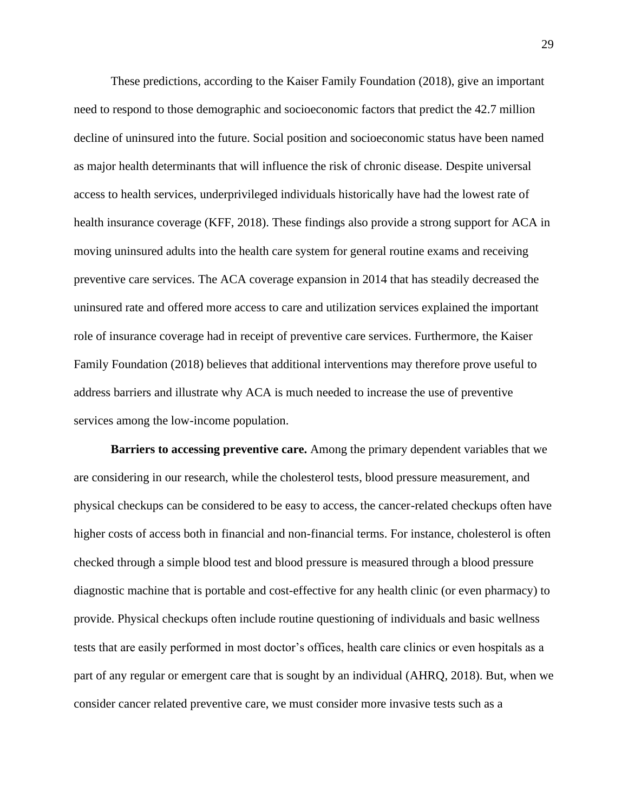These predictions, according to the Kaiser Family Foundation (2018), give an important need to respond to those demographic and socioeconomic factors that predict the 42.7 million decline of uninsured into the future. Social position and socioeconomic status have been named as major health determinants that will influence the risk of chronic disease. Despite universal access to health services, underprivileged individuals historically have had the lowest rate of health insurance coverage (KFF, 2018). These findings also provide a strong support for ACA in moving uninsured adults into the health care system for general routine exams and receiving preventive care services. The ACA coverage expansion in 2014 that has steadily decreased the uninsured rate and offered more access to care and utilization services explained the important role of insurance coverage had in receipt of preventive care services. Furthermore, the Kaiser Family Foundation (2018) believes that additional interventions may therefore prove useful to address barriers and illustrate why ACA is much needed to increase the use of preventive services among the low-income population.

**Barriers to accessing preventive care.** Among the primary dependent variables that we are considering in our research, while the cholesterol tests, blood pressure measurement, and physical checkups can be considered to be easy to access, the cancer-related checkups often have higher costs of access both in financial and non-financial terms. For instance, cholesterol is often checked through a simple blood test and blood pressure is measured through a blood pressure diagnostic machine that is portable and cost-effective for any health clinic (or even pharmacy) to provide. Physical checkups often include routine questioning of individuals and basic wellness tests that are easily performed in most doctor's offices, health care clinics or even hospitals as a part of any regular or emergent care that is sought by an individual (AHRQ, 2018). But, when we consider cancer related preventive care, we must consider more invasive tests such as a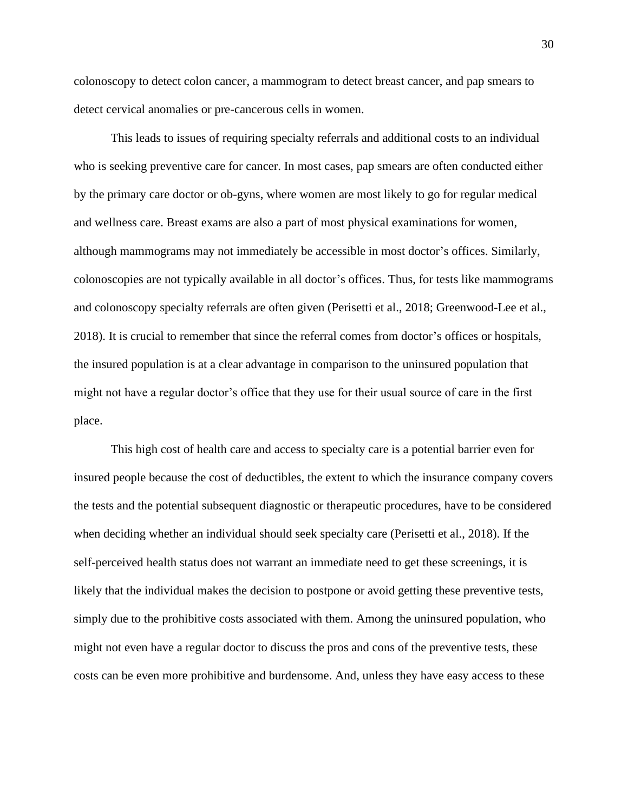colonoscopy to detect colon cancer, a mammogram to detect breast cancer, and pap smears to detect cervical anomalies or pre-cancerous cells in women.

This leads to issues of requiring specialty referrals and additional costs to an individual who is seeking preventive care for cancer. In most cases, pap smears are often conducted either by the primary care doctor or ob-gyns, where women are most likely to go for regular medical and wellness care. Breast exams are also a part of most physical examinations for women, although mammograms may not immediately be accessible in most doctor's offices. Similarly, colonoscopies are not typically available in all doctor's offices. Thus, for tests like mammograms and colonoscopy specialty referrals are often given (Perisetti et al., 2018; Greenwood-Lee et al., 2018). It is crucial to remember that since the referral comes from doctor's offices or hospitals, the insured population is at a clear advantage in comparison to the uninsured population that might not have a regular doctor's office that they use for their usual source of care in the first place.

This high cost of health care and access to specialty care is a potential barrier even for insured people because the cost of deductibles, the extent to which the insurance company covers the tests and the potential subsequent diagnostic or therapeutic procedures, have to be considered when deciding whether an individual should seek specialty care (Perisetti et al., 2018). If the self-perceived health status does not warrant an immediate need to get these screenings, it is likely that the individual makes the decision to postpone or avoid getting these preventive tests, simply due to the prohibitive costs associated with them. Among the uninsured population, who might not even have a regular doctor to discuss the pros and cons of the preventive tests, these costs can be even more prohibitive and burdensome. And, unless they have easy access to these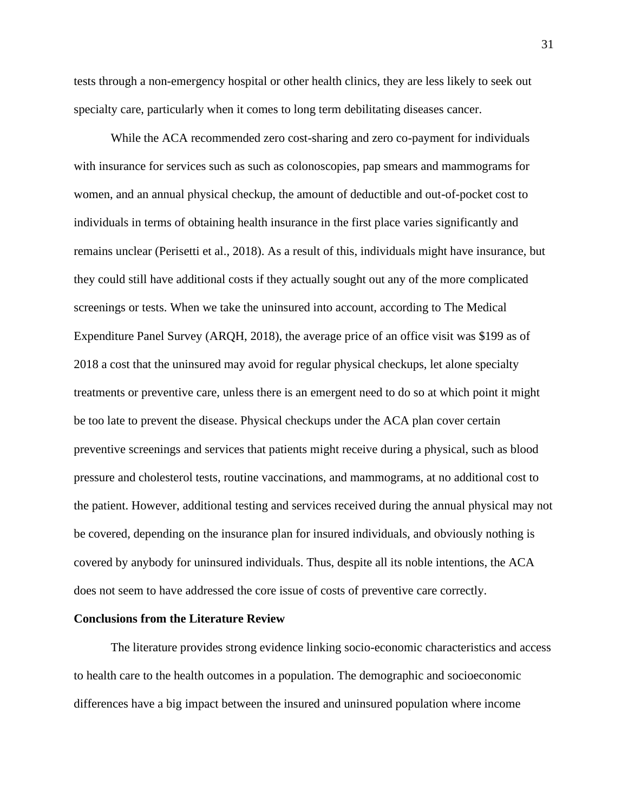tests through a non-emergency hospital or other health clinics, they are less likely to seek out specialty care, particularly when it comes to long term debilitating diseases cancer.

While the ACA recommended zero cost-sharing and zero co-payment for individuals with insurance for services such as such as colonoscopies, pap smears and mammograms for women, and an annual physical checkup, the amount of deductible and out-of-pocket cost to individuals in terms of obtaining health insurance in the first place varies significantly and remains unclear (Perisetti et al., 2018). As a result of this, individuals might have insurance, but they could still have additional costs if they actually sought out any of the more complicated screenings or tests. When we take the uninsured into account, according to The Medical Expenditure Panel Survey (ARQH, 2018), the average price of an office visit was \$199 as of 2018 a cost that the uninsured may avoid for regular physical checkups, let alone specialty treatments or preventive care, unless there is an emergent need to do so at which point it might be too late to prevent the disease. Physical checkups under the ACA plan cover certain preventive screenings and services that patients might receive during a physical, such as blood pressure and cholesterol tests, routine vaccinations, and mammograms, at no additional cost to the patient. However, additional testing and services received during the annual physical may not be covered, depending on the insurance plan for insured individuals, and obviously nothing is covered by anybody for uninsured individuals. Thus, despite all its noble intentions, the ACA does not seem to have addressed the core issue of costs of preventive care correctly.

#### **Conclusions from the Literature Review**

The literature provides strong evidence linking socio-economic characteristics and access to health care to the health outcomes in a population. The demographic and socioeconomic differences have a big impact between the insured and uninsured population where income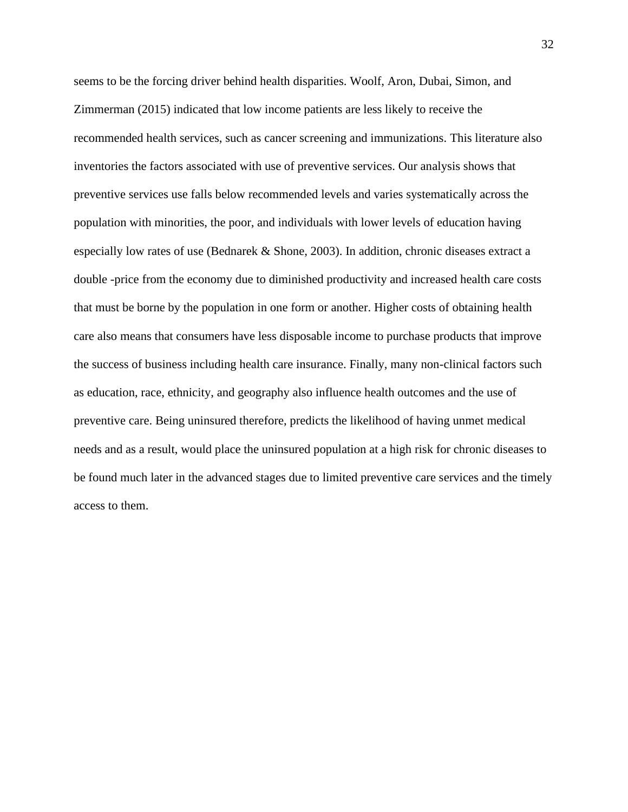seems to be the forcing driver behind health disparities. Woolf, Aron, Dubai, Simon, and Zimmerman (2015) indicated that low income patients are less likely to receive the recommended health services, such as cancer screening and immunizations. This literature also inventories the factors associated with use of preventive services. Our analysis shows that preventive services use falls below recommended levels and varies systematically across the population with minorities, the poor, and individuals with lower levels of education having especially low rates of use (Bednarek & Shone, 2003). In addition, chronic diseases extract a double -price from the economy due to diminished productivity and increased health care costs that must be borne by the population in one form or another. Higher costs of obtaining health care also means that consumers have less disposable income to purchase products that improve the success of business including health care insurance. Finally, many non-clinical factors such as education, race, ethnicity, and geography also influence health outcomes and the use of preventive care. Being uninsured therefore, predicts the likelihood of having unmet medical needs and as a result, would place the uninsured population at a high risk for chronic diseases to be found much later in the advanced stages due to limited preventive care services and the timely access to them.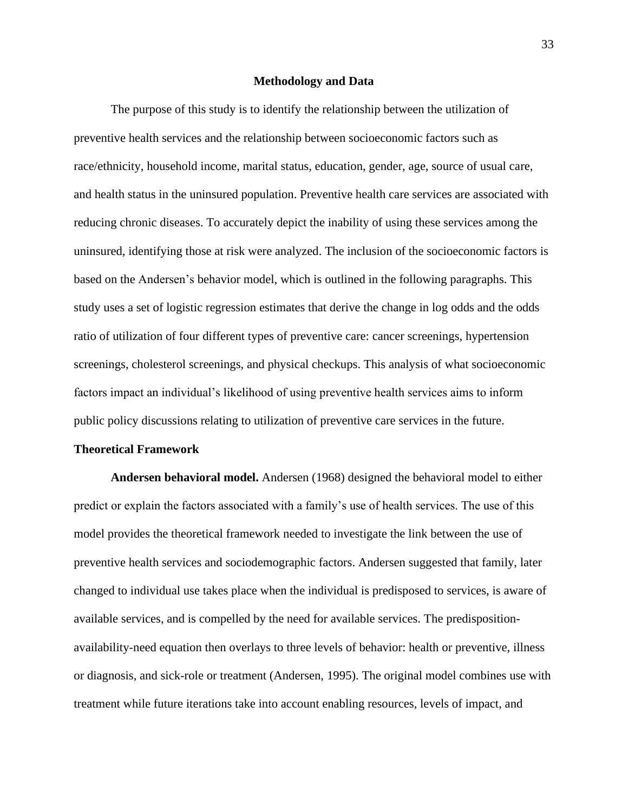#### **Methodology and Data**

The purpose of this study is to identify the relationship between the utilization of preventive health services and the relationship between socioeconomic factors such as race/ethnicity, household income, marital status, education, gender, age, source of usual care, and health status in the uninsured population. Preventive health care services are associated with reducing chronic diseases. To accurately depict the inability of using these services among the uninsured, identifying those at risk were analyzed. The inclusion of the socioeconomic factors is based on the Andersen's behavior model, which is outlined in the following paragraphs. This study uses a set of logistic regression estimates that derive the change in log odds and the odds ratio of utilization of four different types of preventive care: cancer screenings, hypertension screenings, cholesterol screenings, and physical checkups. This analysis of what socioeconomic factors impact an individual's likelihood of using preventive health services aims to inform public policy discussions relating to utilization of preventive care services in the future.

#### **Theoretical Framework**

**Andersen behavioral model.** Andersen (1968) designed the behavioral model to either predict or explain the factors associated with a family's use of health services. The use of this model provides the theoretical framework needed to investigate the link between the use of preventive health services and sociodemographic factors. Andersen suggested that family, later changed to individual use takes place when the individual is predisposed to services, is aware of available services, and is compelled by the need for available services. The predispositionavailability-need equation then overlays to three levels of behavior: health or preventive, illness or diagnosis, and sick-role or treatment (Andersen, 1995). The original model combines use with treatment while future iterations take into account enabling resources, levels of impact, and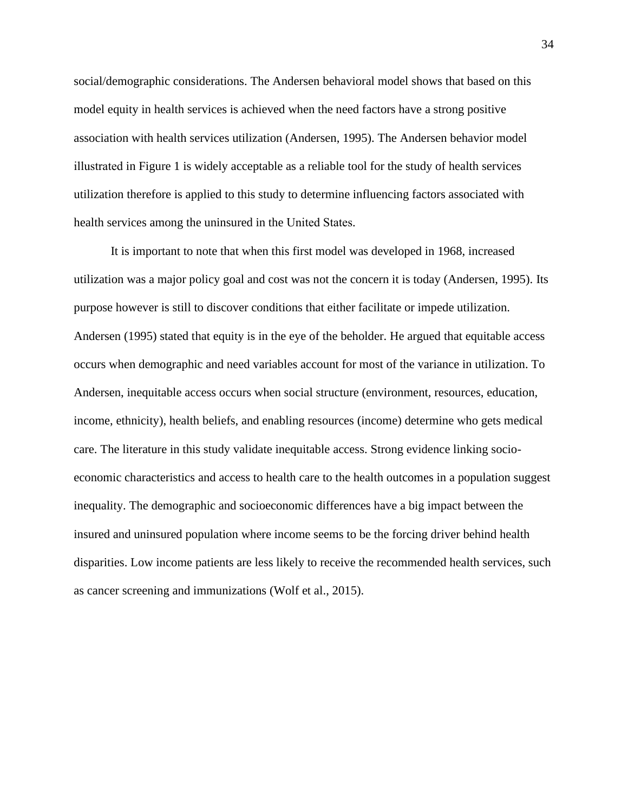social/demographic considerations. The Andersen behavioral model shows that based on this model equity in health services is achieved when the need factors have a strong positive association with health services utilization (Andersen, 1995). The Andersen behavior model illustrated in Figure 1 is widely acceptable as a reliable tool for the study of health services utilization therefore is applied to this study to determine influencing factors associated with health services among the uninsured in the United States.

It is important to note that when this first model was developed in 1968, increased utilization was a major policy goal and cost was not the concern it is today (Andersen, 1995). Its purpose however is still to discover conditions that either facilitate or impede utilization. Andersen (1995) stated that equity is in the eye of the beholder. He argued that equitable access occurs when demographic and need variables account for most of the variance in utilization. To Andersen, inequitable access occurs when social structure (environment, resources, education, income, ethnicity), health beliefs, and enabling resources (income) determine who gets medical care. The literature in this study validate inequitable access. Strong evidence linking socioeconomic characteristics and access to health care to the health outcomes in a population suggest inequality. The demographic and socioeconomic differences have a big impact between the insured and uninsured population where income seems to be the forcing driver behind health disparities. Low income patients are less likely to receive the recommended health services, such as cancer screening and immunizations (Wolf et al., 2015).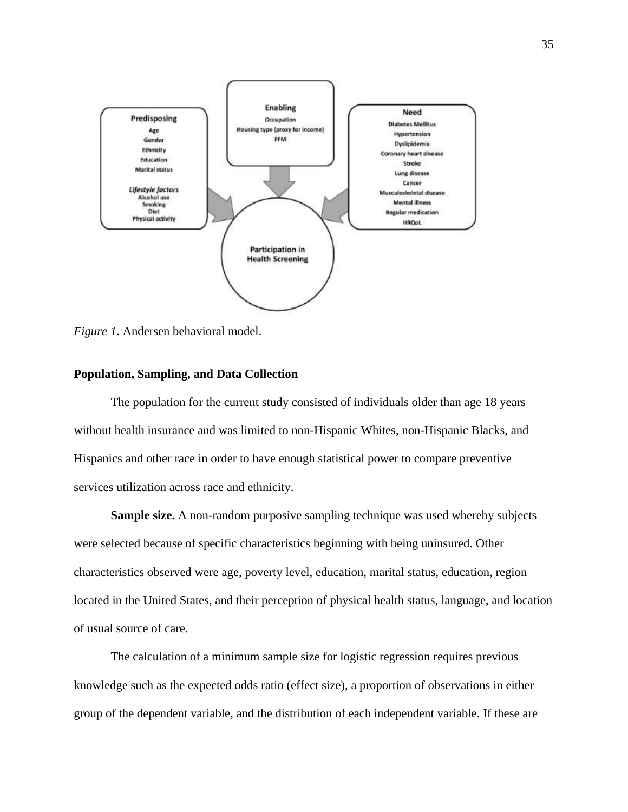

*Figure 1*. Andersen behavioral model.

## **Population, Sampling, and Data Collection**

The population for the current study consisted of individuals older than age 18 years without health insurance and was limited to non-Hispanic Whites, non-Hispanic Blacks, and Hispanics and other race in order to have enough statistical power to compare preventive services utilization across race and ethnicity.

**Sample size.** A non-random purposive sampling technique was used whereby subjects were selected because of specific characteristics beginning with being uninsured. Other characteristics observed were age, poverty level, education, marital status, education, region located in the United States, and their perception of physical health status, language, and location of usual source of care.

The calculation of a minimum sample size for logistic regression requires previous knowledge such as the expected odds ratio (effect size), a proportion of observations in either group of the dependent variable, and the distribution of each independent variable. If these are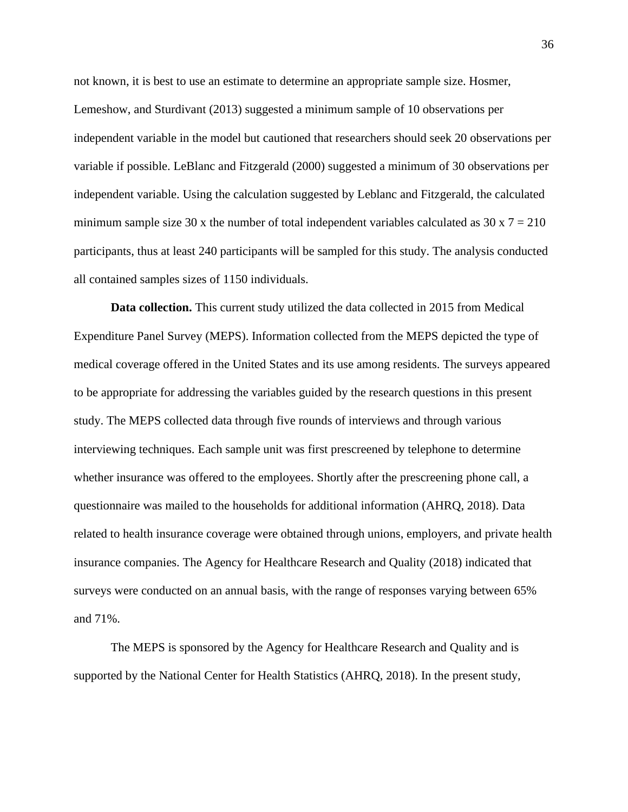not known, it is best to use an estimate to determine an appropriate sample size. Hosmer, Lemeshow, and Sturdivant (2013) suggested a minimum sample of 10 observations per independent variable in the model but cautioned that researchers should seek 20 observations per variable if possible. LeBlanc and Fitzgerald (2000) suggested a minimum of 30 observations per independent variable. Using the calculation suggested by Leblanc and Fitzgerald, the calculated minimum sample size 30 x the number of total independent variables calculated as  $30 \times 7 = 210$ participants, thus at least 240 participants will be sampled for this study. The analysis conducted all contained samples sizes of 1150 individuals.

**Data collection.** This current study utilized the data collected in 2015 from Medical Expenditure Panel Survey (MEPS). Information collected from the MEPS depicted the type of medical coverage offered in the United States and its use among residents. The surveys appeared to be appropriate for addressing the variables guided by the research questions in this present study. The MEPS collected data through five rounds of interviews and through various interviewing techniques. Each sample unit was first prescreened by telephone to determine whether insurance was offered to the employees. Shortly after the prescreening phone call, a questionnaire was mailed to the households for additional information (AHRQ, 2018). Data related to health insurance coverage were obtained through unions, employers, and private health insurance companies. The Agency for Healthcare Research and Quality (2018) indicated that surveys were conducted on an annual basis, with the range of responses varying between 65% and 71%.

The MEPS is sponsored by the Agency for Healthcare Research and Quality and is supported by the National Center for Health Statistics (AHRQ, 2018). In the present study,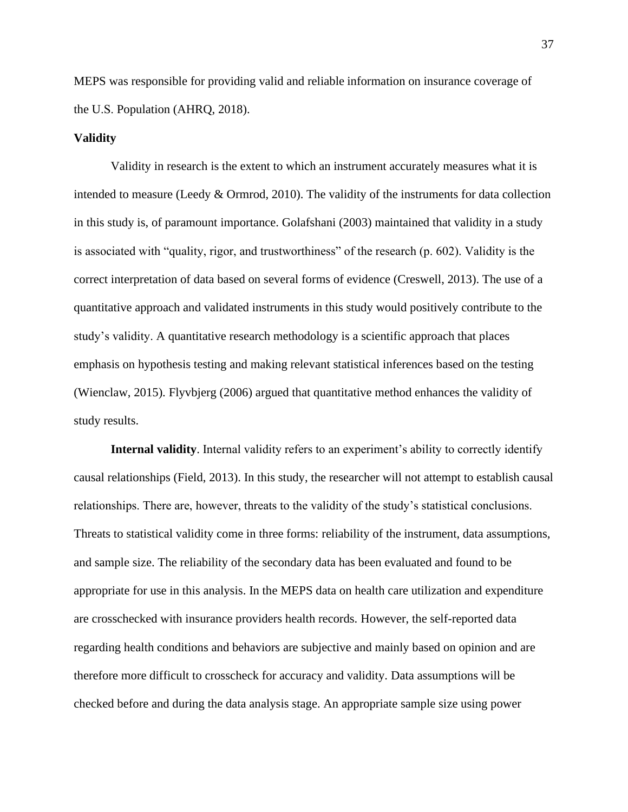MEPS was responsible for providing valid and reliable information on insurance coverage of the U.S. Population (AHRQ, 2018).

#### **Validity**

Validity in research is the extent to which an instrument accurately measures what it is intended to measure (Leedy & Ormrod, 2010). The validity of the instruments for data collection in this study is, of paramount importance. Golafshani (2003) maintained that validity in a study is associated with "quality, rigor, and trustworthiness" of the research (p. 602). Validity is the correct interpretation of data based on several forms of evidence (Creswell, 2013). The use of a quantitative approach and validated instruments in this study would positively contribute to the study's validity. A quantitative research methodology is a scientific approach that places emphasis on hypothesis testing and making relevant statistical inferences based on the testing (Wienclaw, 2015). Flyvbjerg (2006) argued that quantitative method enhances the validity of study results.

**Internal validity**. Internal validity refers to an experiment's ability to correctly identify causal relationships (Field, 2013). In this study, the researcher will not attempt to establish causal relationships. There are, however, threats to the validity of the study's statistical conclusions. Threats to statistical validity come in three forms: reliability of the instrument, data assumptions, and sample size. The reliability of the secondary data has been evaluated and found to be appropriate for use in this analysis. In the MEPS data on health care utilization and expenditure are crosschecked with insurance providers health records. However, the self-reported data regarding health conditions and behaviors are subjective and mainly based on opinion and are therefore more difficult to crosscheck for accuracy and validity. Data assumptions will be checked before and during the data analysis stage. An appropriate sample size using power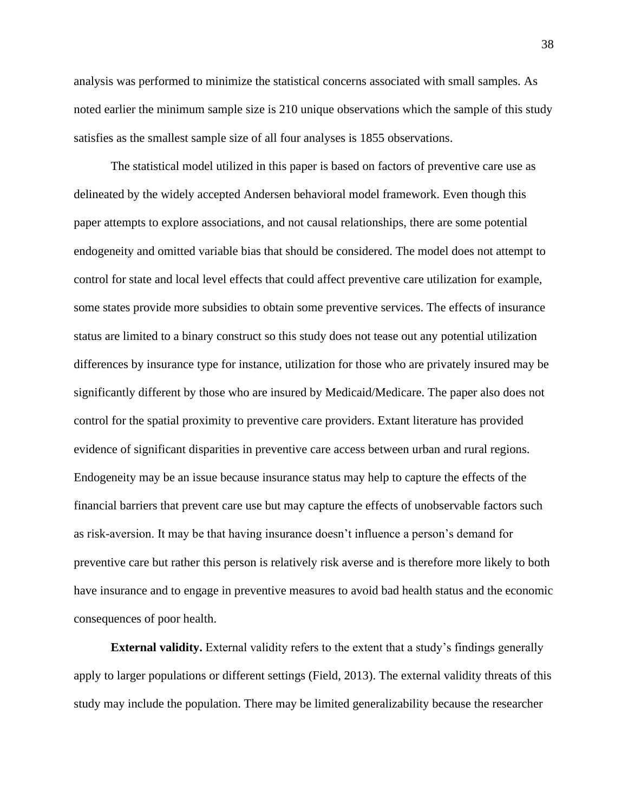analysis was performed to minimize the statistical concerns associated with small samples. As noted earlier the minimum sample size is 210 unique observations which the sample of this study satisfies as the smallest sample size of all four analyses is 1855 observations.

The statistical model utilized in this paper is based on factors of preventive care use as delineated by the widely accepted Andersen behavioral model framework. Even though this paper attempts to explore associations, and not causal relationships, there are some potential endogeneity and omitted variable bias that should be considered. The model does not attempt to control for state and local level effects that could affect preventive care utilization for example, some states provide more subsidies to obtain some preventive services. The effects of insurance status are limited to a binary construct so this study does not tease out any potential utilization differences by insurance type for instance, utilization for those who are privately insured may be significantly different by those who are insured by Medicaid/Medicare. The paper also does not control for the spatial proximity to preventive care providers. Extant literature has provided evidence of significant disparities in preventive care access between urban and rural regions. Endogeneity may be an issue because insurance status may help to capture the effects of the financial barriers that prevent care use but may capture the effects of unobservable factors such as risk-aversion. It may be that having insurance doesn't influence a person's demand for preventive care but rather this person is relatively risk averse and is therefore more likely to both have insurance and to engage in preventive measures to avoid bad health status and the economic consequences of poor health.

**External validity.** External validity refers to the extent that a study's findings generally apply to larger populations or different settings (Field, 2013). The external validity threats of this study may include the population. There may be limited generalizability because the researcher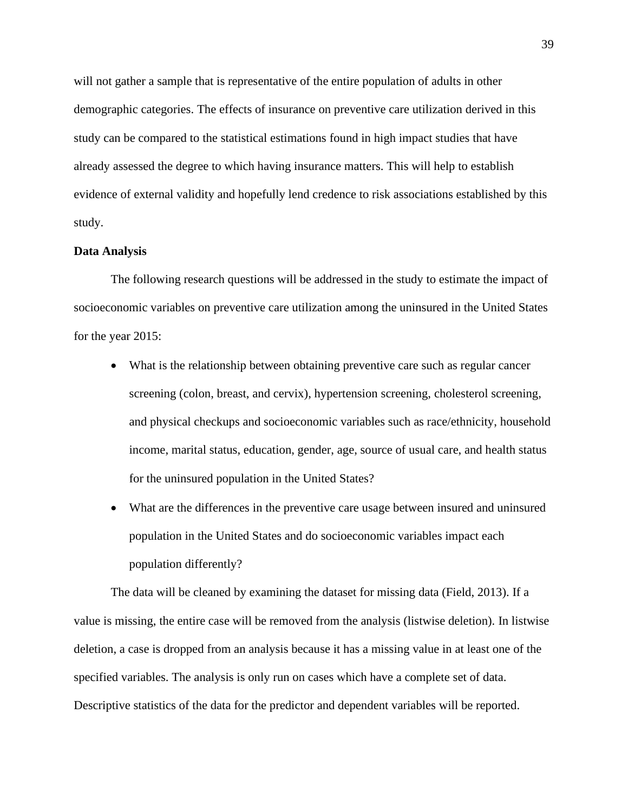will not gather a sample that is representative of the entire population of adults in other demographic categories. The effects of insurance on preventive care utilization derived in this study can be compared to the statistical estimations found in high impact studies that have already assessed the degree to which having insurance matters. This will help to establish evidence of external validity and hopefully lend credence to risk associations established by this study.

#### **Data Analysis**

The following research questions will be addressed in the study to estimate the impact of socioeconomic variables on preventive care utilization among the uninsured in the United States for the year 2015:

- What is the relationship between obtaining preventive care such as regular cancer screening (colon, breast, and cervix), hypertension screening, cholesterol screening, and physical checkups and socioeconomic variables such as race/ethnicity, household income, marital status, education, gender, age, source of usual care, and health status for the uninsured population in the United States?
- What are the differences in the preventive care usage between insured and uninsured population in the United States and do socioeconomic variables impact each population differently?

The data will be cleaned by examining the dataset for missing data (Field, 2013). If a value is missing, the entire case will be removed from the analysis (listwise deletion). In listwise deletion, a case is dropped from an analysis because it has a missing value in at least one of the specified variables. The analysis is only run on cases which have a complete set of data. Descriptive statistics of the data for the predictor and dependent variables will be reported.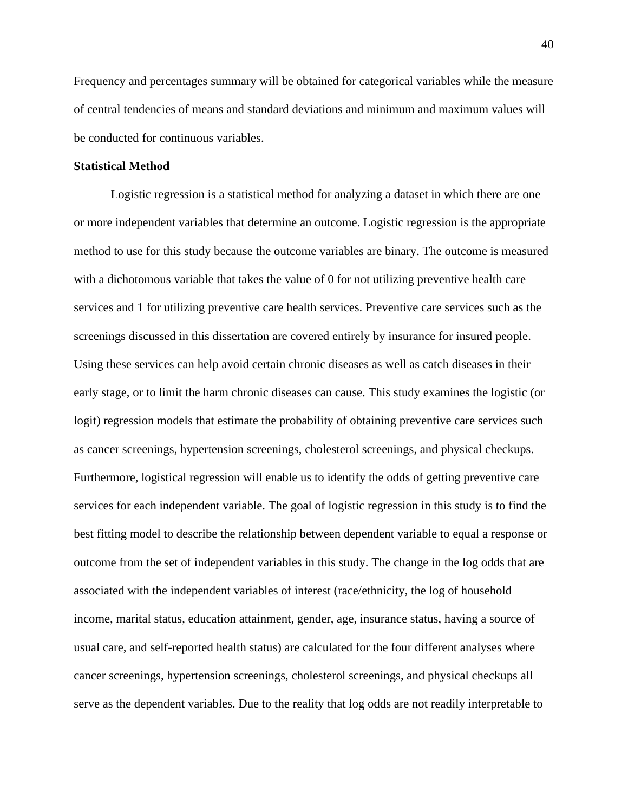Frequency and percentages summary will be obtained for categorical variables while the measure of central tendencies of means and standard deviations and minimum and maximum values will be conducted for continuous variables.

## **Statistical Method**

Logistic regression is a statistical method for analyzing a dataset in which there are one or more independent variables that determine an outcome. Logistic regression is the appropriate method to use for this study because the outcome variables are binary. The outcome is measured with a dichotomous variable that takes the value of 0 for not utilizing preventive health care services and 1 for utilizing preventive care health services. Preventive care services such as the screenings discussed in this dissertation are covered entirely by insurance for insured people. Using these services can help avoid certain chronic diseases as well as catch diseases in their early stage, or to limit the harm chronic diseases can cause. This study examines the logistic (or logit) regression models that estimate the probability of obtaining preventive care services such as cancer screenings, hypertension screenings, cholesterol screenings, and physical checkups. Furthermore, logistical regression will enable us to identify the odds of getting preventive care services for each independent variable. The goal of logistic regression in this study is to find the best fitting model to describe the relationship between dependent variable to equal a response or outcome from the set of independent variables in this study. The change in the log odds that are associated with the independent variables of interest (race/ethnicity, the log of household income, marital status, education attainment, gender, age, insurance status, having a source of usual care, and self-reported health status) are calculated for the four different analyses where cancer screenings, hypertension screenings, cholesterol screenings, and physical checkups all serve as the dependent variables. Due to the reality that log odds are not readily interpretable to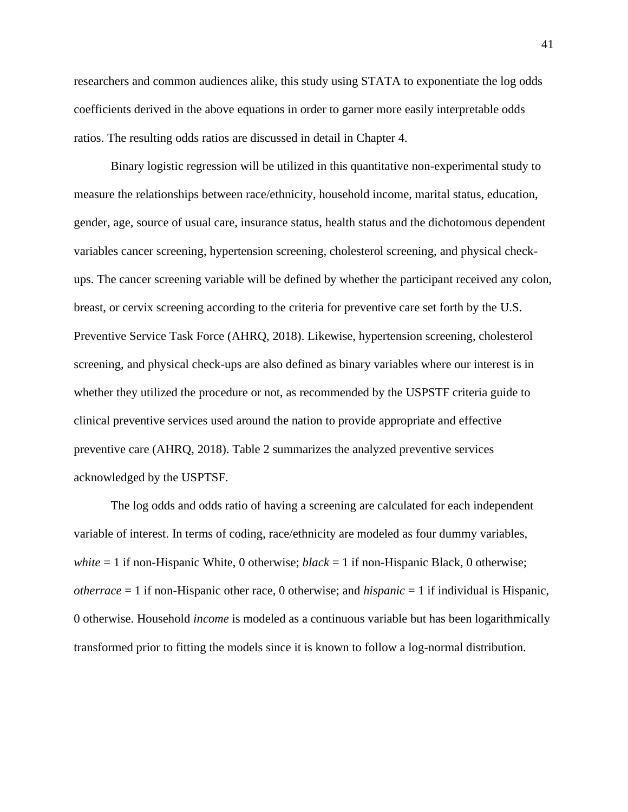researchers and common audiences alike, this study using STATA to exponentiate the log odds coefficients derived in the above equations in order to garner more easily interpretable odds ratios. The resulting odds ratios are discussed in detail in Chapter 4.

Binary logistic regression will be utilized in this quantitative non-experimental study to measure the relationships between race/ethnicity, household income, marital status, education, gender, age, source of usual care, insurance status, health status and the dichotomous dependent variables cancer screening, hypertension screening, cholesterol screening, and physical checkups. The cancer screening variable will be defined by whether the participant received any colon, breast, or cervix screening according to the criteria for preventive care set forth by the U.S. Preventive Service Task Force (AHRQ, 2018). Likewise, hypertension screening, cholesterol screening, and physical check-ups are also defined as binary variables where our interest is in whether they utilized the procedure or not, as recommended by the USPSTF criteria guide to clinical preventive services used around the nation to provide appropriate and effective preventive care (AHRQ, 2018). Table 2 summarizes the analyzed preventive services acknowledged by the USPTSF.

The log odds and odds ratio of having a screening are calculated for each independent variable of interest. In terms of coding, race/ethnicity are modeled as four dummy variables, *white* = 1 if non-Hispanic White, 0 otherwise; *black* = 1 if non-Hispanic Black, 0 otherwise; *otherrace* = 1 if non-Hispanic other race, 0 otherwise; and *hispanic* = 1 if individual is Hispanic, 0 otherwise. Household *income* is modeled as a continuous variable but has been logarithmically transformed prior to fitting the models since it is known to follow a log-normal distribution.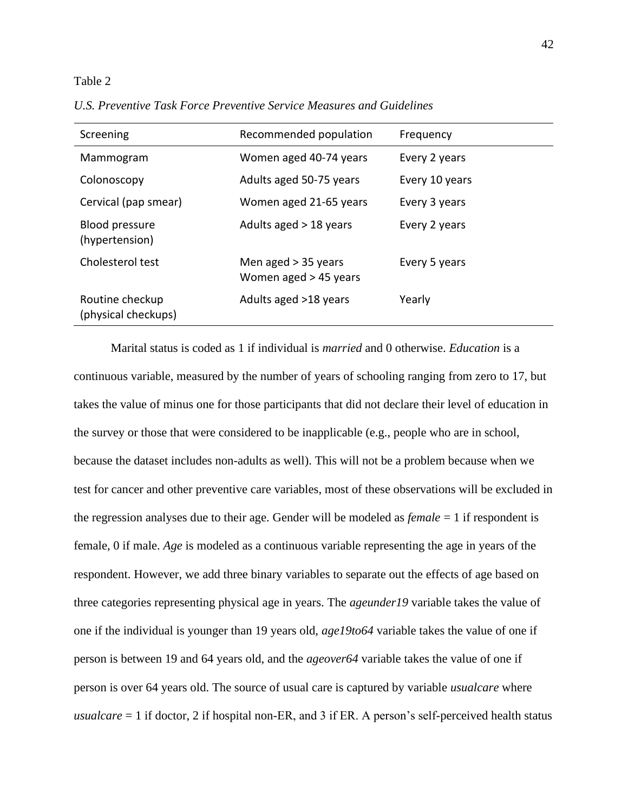#### Table 2

*U.S. Preventive Task Force Preventive Service Measures and Guidelines*

| Screening                              | Recommended population                         | Frequency      |
|----------------------------------------|------------------------------------------------|----------------|
| Mammogram                              | Women aged 40-74 years                         | Every 2 years  |
| Colonoscopy                            | Adults aged 50-75 years                        | Every 10 years |
| Cervical (pap smear)                   | Women aged 21-65 years                         | Every 3 years  |
| Blood pressure<br>(hypertension)       | Adults aged $>$ 18 years                       | Every 2 years  |
| Cholesterol test                       | Men aged $>$ 35 years<br>Women aged > 45 years | Every 5 years  |
| Routine checkup<br>(physical checkups) | Adults aged >18 years                          | Yearly         |

Marital status is coded as 1 if individual is *married* and 0 otherwise. *Education* is a continuous variable, measured by the number of years of schooling ranging from zero to 17, but takes the value of minus one for those participants that did not declare their level of education in the survey or those that were considered to be inapplicable (e.g., people who are in school, because the dataset includes non-adults as well). This will not be a problem because when we test for cancer and other preventive care variables, most of these observations will be excluded in the regression analyses due to their age. Gender will be modeled as *female* = 1 if respondent is female, 0 if male. *Age* is modeled as a continuous variable representing the age in years of the respondent. However, we add three binary variables to separate out the effects of age based on three categories representing physical age in years. The *ageunder19* variable takes the value of one if the individual is younger than 19 years old, *age19to64* variable takes the value of one if person is between 19 and 64 years old, and the *ageover64* variable takes the value of one if person is over 64 years old. The source of usual care is captured by variable *usualcare* where *usualcare* = 1 if doctor, 2 if hospital non-ER, and 3 if ER. A person's self-perceived health status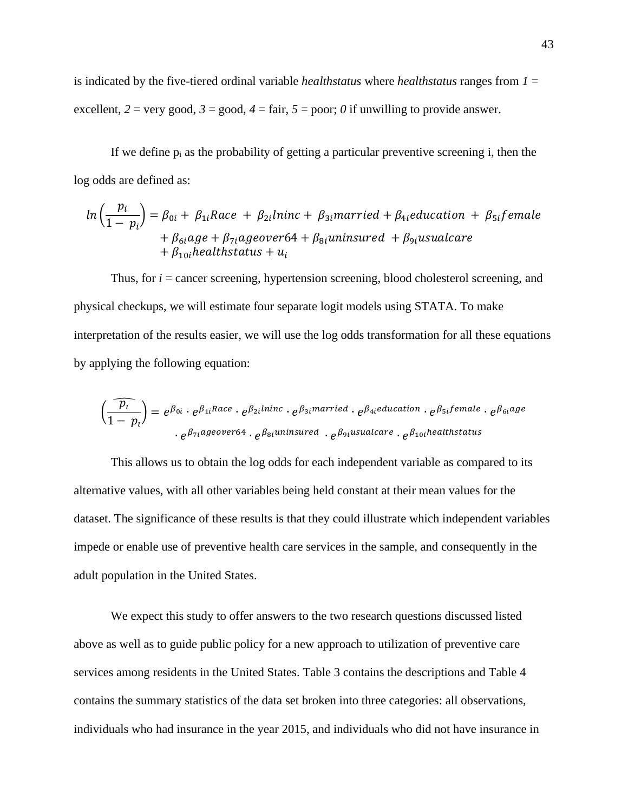is indicated by the five-tiered ordinal variable *healthstatus* where *healthstatus* ranges from *1* = excellent,  $2 = \text{very good}, 3 = \text{good}, 4 = \text{fair}, 5 = \text{poor}; 0$  if unwilling to provide answer.

If we define  $p_i$  as the probability of getting a particular preventive screening i, then the log odds are defined as:

$$
ln\left(\frac{p_i}{1-p_i}\right) = \beta_{0i} + \beta_{1i}Race + \beta_{2i}lninc + \beta_{3i}married + \beta_{4i} education + \beta_{5i}female
$$
  
+  $\beta_{6i}age + \beta_{7i}ageover64 + \beta_{8i}uninsured + \beta_{9i}usualcare$   
+  $\beta_{10i}healthstatus + u_i$ 

Thus, for *i* = cancer screening, hypertension screening, blood cholesterol screening, and physical checkups, we will estimate four separate logit models using STATA. To make interpretation of the results easier, we will use the log odds transformation for all these equations by applying the following equation:

$$
\left(\frac{\widehat{p_i}}{1-p_i}\right) = e^{\beta_{0i}} \cdot e^{\beta_{1i}Race} \cdot e^{\beta_{2i}lninc} \cdot e^{\beta_{3i}married} \cdot e^{\beta_{4i}education} \cdot e^{\beta_{5i}female} \cdot e^{\beta_{6i}age}
$$
  

$$
\cdot e^{\beta_{7i}ageover64} \cdot e^{\beta_{8i}luninsured} \cdot e^{\beta_{9i}usualcare} \cdot e^{\beta_{10i}healthstatus}
$$

This allows us to obtain the log odds for each independent variable as compared to its alternative values, with all other variables being held constant at their mean values for the dataset. The significance of these results is that they could illustrate which independent variables impede or enable use of preventive health care services in the sample, and consequently in the adult population in the United States.

We expect this study to offer answers to the two research questions discussed listed above as well as to guide public policy for a new approach to utilization of preventive care services among residents in the United States. Table 3 contains the descriptions and Table 4 contains the summary statistics of the data set broken into three categories: all observations, individuals who had insurance in the year 2015, and individuals who did not have insurance in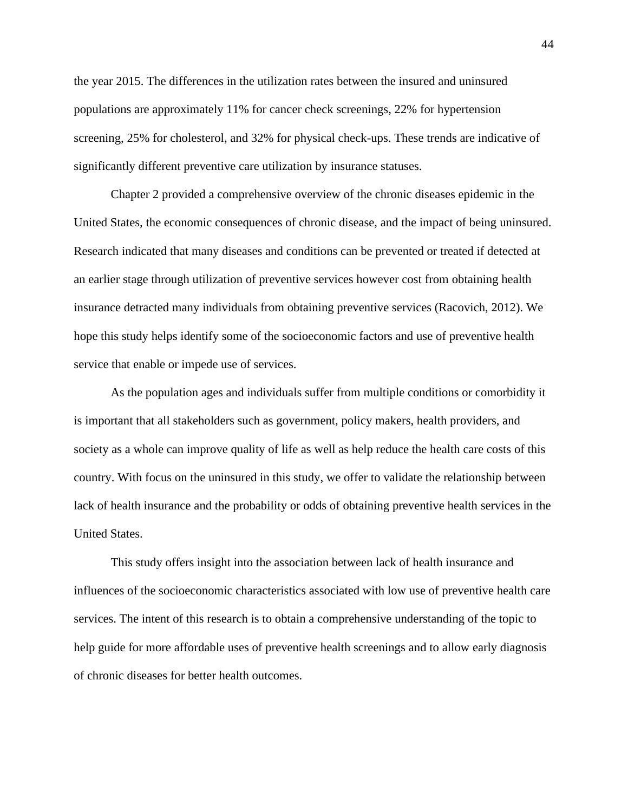the year 2015. The differences in the utilization rates between the insured and uninsured populations are approximately 11% for cancer check screenings, 22% for hypertension screening, 25% for cholesterol, and 32% for physical check-ups. These trends are indicative of significantly different preventive care utilization by insurance statuses.

Chapter 2 provided a comprehensive overview of the chronic diseases epidemic in the United States, the economic consequences of chronic disease, and the impact of being uninsured. Research indicated that many diseases and conditions can be prevented or treated if detected at an earlier stage through utilization of preventive services however cost from obtaining health insurance detracted many individuals from obtaining preventive services (Racovich, 2012). We hope this study helps identify some of the socioeconomic factors and use of preventive health service that enable or impede use of services.

As the population ages and individuals suffer from multiple conditions or comorbidity it is important that all stakeholders such as government, policy makers, health providers, and society as a whole can improve quality of life as well as help reduce the health care costs of this country. With focus on the uninsured in this study, we offer to validate the relationship between lack of health insurance and the probability or odds of obtaining preventive health services in the United States.

This study offers insight into the association between lack of health insurance and influences of the socioeconomic characteristics associated with low use of preventive health care services. The intent of this research is to obtain a comprehensive understanding of the topic to help guide for more affordable uses of preventive health screenings and to allow early diagnosis of chronic diseases for better health outcomes.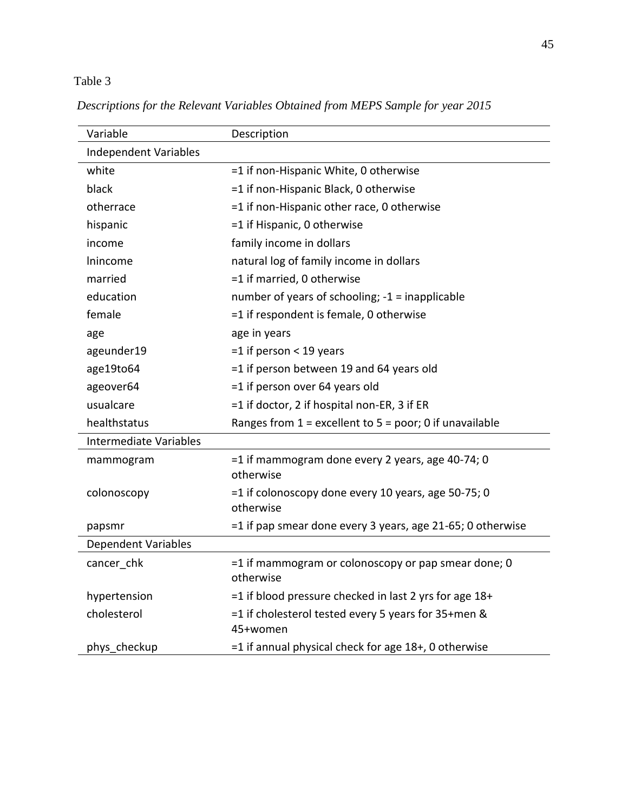## Table 3

| Variable                      | Description                                                      |
|-------------------------------|------------------------------------------------------------------|
| <b>Independent Variables</b>  |                                                                  |
| white                         | =1 if non-Hispanic White, 0 otherwise                            |
| black                         | =1 if non-Hispanic Black, 0 otherwise                            |
| otherrace                     | =1 if non-Hispanic other race, 0 otherwise                       |
| hispanic                      | =1 if Hispanic, 0 otherwise                                      |
| income                        | family income in dollars                                         |
| Inincome                      | natural log of family income in dollars                          |
| married                       | =1 if married, 0 otherwise                                       |
| education                     | number of years of schooling; -1 = inapplicable                  |
| female                        | =1 if respondent is female, 0 otherwise                          |
| age                           | age in years                                                     |
| ageunder19                    | $=1$ if person < 19 years                                        |
| age19to64                     | =1 if person between 19 and 64 years old                         |
| ageover64                     | =1 if person over 64 years old                                   |
| usualcare                     | =1 if doctor, 2 if hospital non-ER, 3 if ER                      |
| healthstatus                  | Ranges from $1$ = excellent to $5$ = poor; 0 if unavailable      |
| <b>Intermediate Variables</b> |                                                                  |
| mammogram                     | =1 if mammogram done every 2 years, age 40-74; 0<br>otherwise    |
| colonoscopy                   | =1 if colonoscopy done every 10 years, age 50-75; 0<br>otherwise |
| papsmr                        | =1 if pap smear done every 3 years, age 21-65; 0 otherwise       |
| <b>Dependent Variables</b>    |                                                                  |
| cancer chk                    | =1 if mammogram or colonoscopy or pap smear done; 0<br>otherwise |
| hypertension                  | $=$ 1 if blood pressure checked in last 2 yrs for age 18+        |
| cholesterol                   | =1 if cholesterol tested every 5 years for 35+men &<br>45+women  |
| phys_checkup                  | =1 if annual physical check for age 18+, 0 otherwise             |

*Descriptions for the Relevant Variables Obtained from MEPS Sample for year 2015*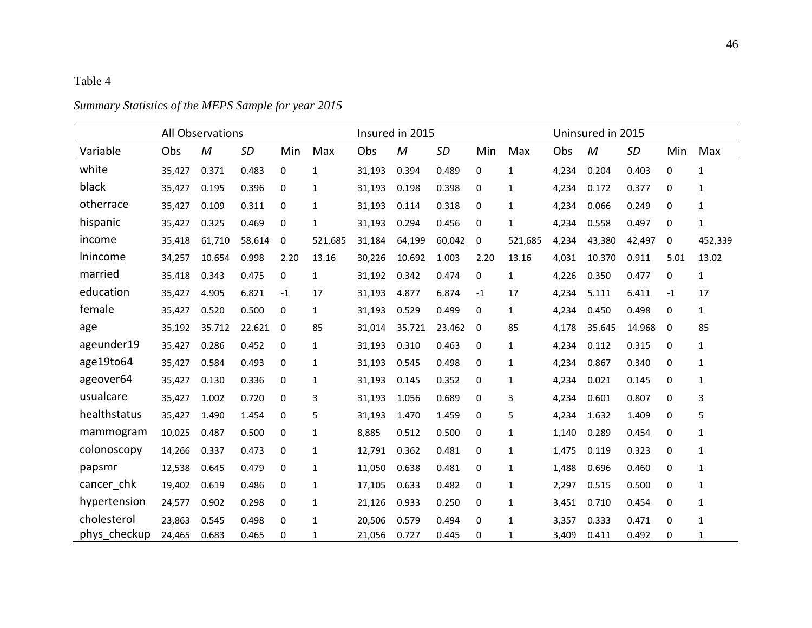## Table 4

# All Observations Insured in 2015 Uninsured in 2015 Variable Obs *M SD* Min Max Obs *M SD* Min Max Obs *M SD* Min Max white 35,427 0.371 0.483 0 1 31,193 0.394 0.489 0 1 4,234 0.204 0.403 0 1 black 35,427 0.195 0.396 0 1 31,193 0.198 0.398 0 1 4,234 0.172 0.377 0 1 otherrace 35,427 0.109 0.311 0 1 31,193 0.114 0.318 0 1 4,234 0.066 0.249 0 1 hispanic 35,427 0.325 0.469 0 1 31,193 0.294 0.456 0 1 4,234 0.558 0.497 0 1 income 35,418 61,710 58,614 0 521,685 31,184 64,199 60,042 0 521,685 4,234 43,380 42,497 0 452,339 lnincome 34,257 10.654 0.998 2.20 13.16 30,226 10.692 1.003 2.20 13.16 4,031 10.370 0.911 5.01 13.02 married 35,418 0.343 0.475 0 1 31,192 0.342 0.474 0 1 4,226 0.350 0.477 0 1 education 35,427 4.905 6.821 -1 17 31,193 4.877 6.874 -1 17 4,234 5.111 6.411 -1 17 female 35,427 0.520 0.500 0 1 31,193 0.529 0.499 0 1 4,234 0.450 0.498 0 1 age 35,192 35.712 22.621 0 85 31,014 35.721 23.462 0 85 4,178 35.645 14.968 0 85 ageunder19 35,427 0.286 0.452 0 1 31,193 0.310 0.463 0 1 4,234 0.112 0.315 0 1 age19to64 35,427 0.584 0.493 0 1 31,193 0.545 0.498 0 1 4,234 0.867 0.340 0 1 ageover64 35,427 0.130 0.336 0 1 31,193 0.145 0.352 0 1 4,234 0.021 0.145 0 1 usualcare 35,427 1.002 0.720 0 3 31,193 1.056 0.689 0 3 4,234 0.601 0.807 0 3 healthstatus 35,427 1.490 1.454 0 5 31,193 1.470 1.459 0 5 4,234 1.632 1.409 0 5 mammogram 10,025 0.487 0.500 0 1 8,885 0.512 0.500 0 1 1,140 0.289 0.454 0 1 colonoscopy 14,266 0.337 0.473 0 1 12,791 0.362 0.481 0 1 1,475 0.119 0.323 0 1 papsmr 12,538 0.645 0.479 0 1 11,050 0.638 0.481 0 1 1,488 0.696 0.460 0 1 cancer\_chk 19,402 0.619 0.486 0 1 17,105 0.633 0.482 0 1 2,297 0.515 0.500 0 1 hypertension 24,577 0.902 0.298 0 1 21,126 0.933 0.250 0 1 3,451 0.710 0.454 0 1 cholesterol 23,863 0.545 0.498 0 1 20,506 0.579 0.494 0 1 3,357 0.333 0.471 0 1 phys\_checkup 24,465 0.683 0.465 0 1 21,056 0.727 0.445 0 1 3,409 0.411 0.492 0 1

## *Summary Statistics of the MEPS Sample for year 2015*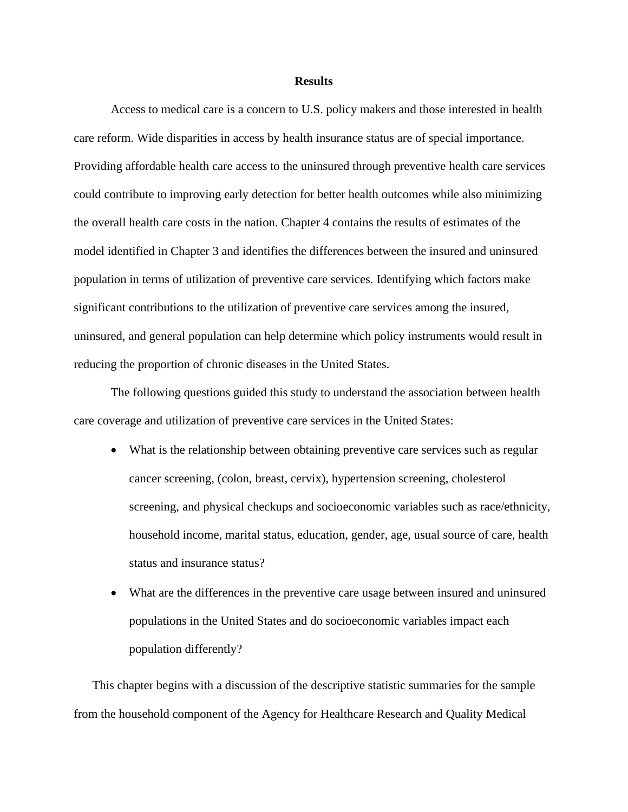#### **Results**

Access to medical care is a concern to U.S. policy makers and those interested in health care reform. Wide disparities in access by health insurance status are of special importance. Providing affordable health care access to the uninsured through preventive health care services could contribute to improving early detection for better health outcomes while also minimizing the overall health care costs in the nation. Chapter 4 contains the results of estimates of the model identified in Chapter 3 and identifies the differences between the insured and uninsured population in terms of utilization of preventive care services. Identifying which factors make significant contributions to the utilization of preventive care services among the insured, uninsured, and general population can help determine which policy instruments would result in reducing the proportion of chronic diseases in the United States.

The following questions guided this study to understand the association between health care coverage and utilization of preventive care services in the United States:

- What is the relationship between obtaining preventive care services such as regular cancer screening, (colon, breast, cervix), hypertension screening, cholesterol screening, and physical checkups and socioeconomic variables such as race/ethnicity, household income, marital status, education, gender, age, usual source of care, health status and insurance status?
- What are the differences in the preventive care usage between insured and uninsured populations in the United States and do socioeconomic variables impact each population differently?

This chapter begins with a discussion of the descriptive statistic summaries for the sample from the household component of the Agency for Healthcare Research and Quality Medical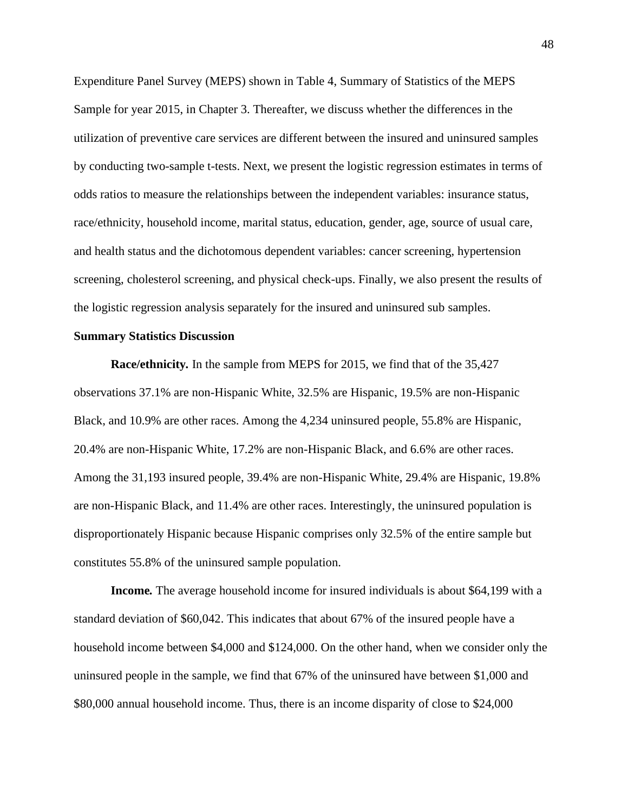Expenditure Panel Survey (MEPS) shown in Table 4, Summary of Statistics of the MEPS Sample for year 2015, in Chapter 3. Thereafter, we discuss whether the differences in the utilization of preventive care services are different between the insured and uninsured samples by conducting two-sample t-tests. Next, we present the logistic regression estimates in terms of odds ratios to measure the relationships between the independent variables: insurance status, race/ethnicity, household income, marital status, education, gender, age, source of usual care, and health status and the dichotomous dependent variables: cancer screening, hypertension screening, cholesterol screening, and physical check-ups. Finally, we also present the results of the logistic regression analysis separately for the insured and uninsured sub samples.

#### **Summary Statistics Discussion**

**Race/ethnicity***.* In the sample from MEPS for 2015, we find that of the 35,427 observations 37.1% are non-Hispanic White, 32.5% are Hispanic, 19.5% are non-Hispanic Black, and 10.9% are other races. Among the 4,234 uninsured people, 55.8% are Hispanic, 20.4% are non-Hispanic White, 17.2% are non-Hispanic Black, and 6.6% are other races. Among the 31,193 insured people, 39.4% are non-Hispanic White, 29.4% are Hispanic, 19.8% are non-Hispanic Black, and 11.4% are other races. Interestingly, the uninsured population is disproportionately Hispanic because Hispanic comprises only 32.5% of the entire sample but constitutes 55.8% of the uninsured sample population.

**Income***.* The average household income for insured individuals is about \$64,199 with a standard deviation of \$60,042. This indicates that about 67% of the insured people have a household income between \$4,000 and \$124,000. On the other hand, when we consider only the uninsured people in the sample, we find that 67% of the uninsured have between \$1,000 and \$80,000 annual household income. Thus, there is an income disparity of close to \$24,000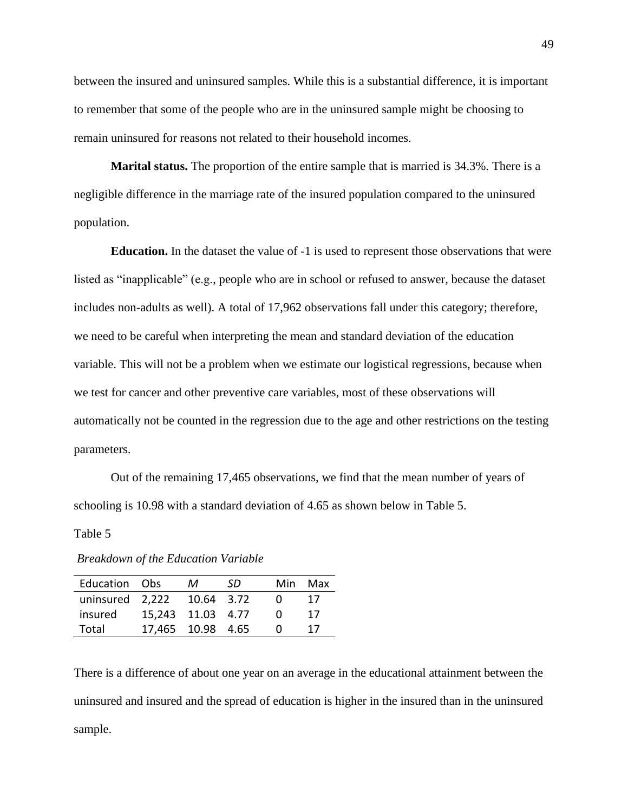between the insured and uninsured samples. While this is a substantial difference, it is important to remember that some of the people who are in the uninsured sample might be choosing to remain uninsured for reasons not related to their household incomes.

**Marital status.** The proportion of the entire sample that is married is 34.3%. There is a negligible difference in the marriage rate of the insured population compared to the uninsured population.

**Education.** In the dataset the value of -1 is used to represent those observations that were listed as "inapplicable" (e.g., people who are in school or refused to answer, because the dataset includes non-adults as well). A total of 17,962 observations fall under this category; therefore, we need to be careful when interpreting the mean and standard deviation of the education variable. This will not be a problem when we estimate our logistical regressions, because when we test for cancer and other preventive care variables, most of these observations will automatically not be counted in the regression due to the age and other restrictions on the testing parameters.

Out of the remaining 17,465 observations, we find that the mean number of years of schooling is 10.98 with a standard deviation of 4.65 as shown below in Table 5.

#### Table 5

| Education Obs   |                   | м          | -SD. | Min        | Max |
|-----------------|-------------------|------------|------|------------|-----|
| uninsured 2,222 |                   | 10.64 3.72 |      | $^{(1)}$   | 17  |
| insured         | 15,243 11.03 4.77 |            |      | $^{\circ}$ | 17  |
| Total           | 17,465 10.98 4.65 |            |      |            | 17  |

*Breakdown of the Education Variable*

There is a difference of about one year on an average in the educational attainment between the uninsured and insured and the spread of education is higher in the insured than in the uninsured sample.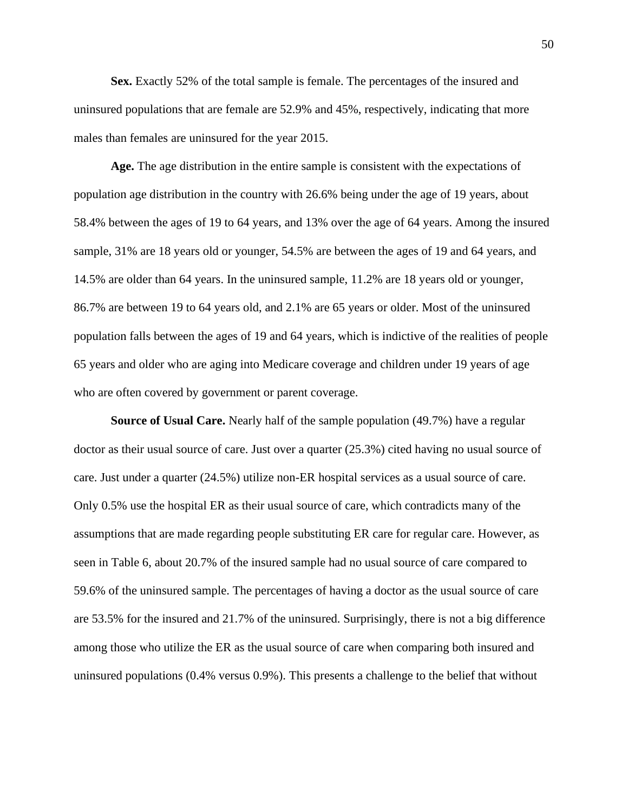**Sex.** Exactly 52% of the total sample is female. The percentages of the insured and uninsured populations that are female are 52.9% and 45%, respectively, indicating that more males than females are uninsured for the year 2015.

**Age.** The age distribution in the entire sample is consistent with the expectations of population age distribution in the country with 26.6% being under the age of 19 years, about 58.4% between the ages of 19 to 64 years, and 13% over the age of 64 years. Among the insured sample, 31% are 18 years old or younger, 54.5% are between the ages of 19 and 64 years, and 14.5% are older than 64 years. In the uninsured sample, 11.2% are 18 years old or younger, 86.7% are between 19 to 64 years old, and 2.1% are 65 years or older. Most of the uninsured population falls between the ages of 19 and 64 years, which is indictive of the realities of people 65 years and older who are aging into Medicare coverage and children under 19 years of age who are often covered by government or parent coverage.

**Source of Usual Care.** Nearly half of the sample population (49.7%) have a regular doctor as their usual source of care. Just over a quarter (25.3%) cited having no usual source of care. Just under a quarter (24.5%) utilize non-ER hospital services as a usual source of care. Only 0.5% use the hospital ER as their usual source of care, which contradicts many of the assumptions that are made regarding people substituting ER care for regular care. However, as seen in Table 6, about 20.7% of the insured sample had no usual source of care compared to 59.6% of the uninsured sample. The percentages of having a doctor as the usual source of care are 53.5% for the insured and 21.7% of the uninsured. Surprisingly, there is not a big difference among those who utilize the ER as the usual source of care when comparing both insured and uninsured populations (0.4% versus 0.9%). This presents a challenge to the belief that without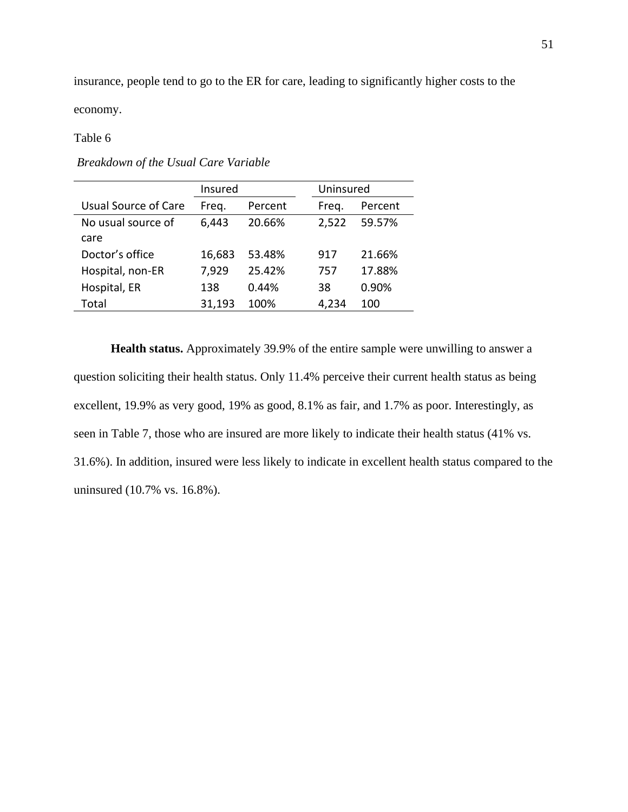insurance, people tend to go to the ER for care, leading to significantly higher costs to the

economy.

## Table 6

|                      | Insured |         | Uninsured |         |
|----------------------|---------|---------|-----------|---------|
| Usual Source of Care | Freg.   | Percent | Freg.     | Percent |
| No usual source of   | 6,443   | 20.66%  | 2,522     | 59.57%  |
| care                 |         |         |           |         |
| Doctor's office      | 16,683  | 53.48%  | 917       | 21.66%  |
| Hospital, non-ER     | 7,929   | 25.42%  | 757       | 17.88%  |
| Hospital, ER         | 138     | 0.44%   | 38        | 0.90%   |
| Total                | 31,193  | 100%    | 4,234     | 100     |

*Breakdown of the Usual Care Variable* 

**Health status.** Approximately 39.9% of the entire sample were unwilling to answer a question soliciting their health status. Only 11.4% perceive their current health status as being excellent, 19.9% as very good, 19% as good, 8.1% as fair, and 1.7% as poor. Interestingly, as seen in Table 7, those who are insured are more likely to indicate their health status (41% vs. 31.6%). In addition, insured were less likely to indicate in excellent health status compared to the uninsured (10.7% vs. 16.8%).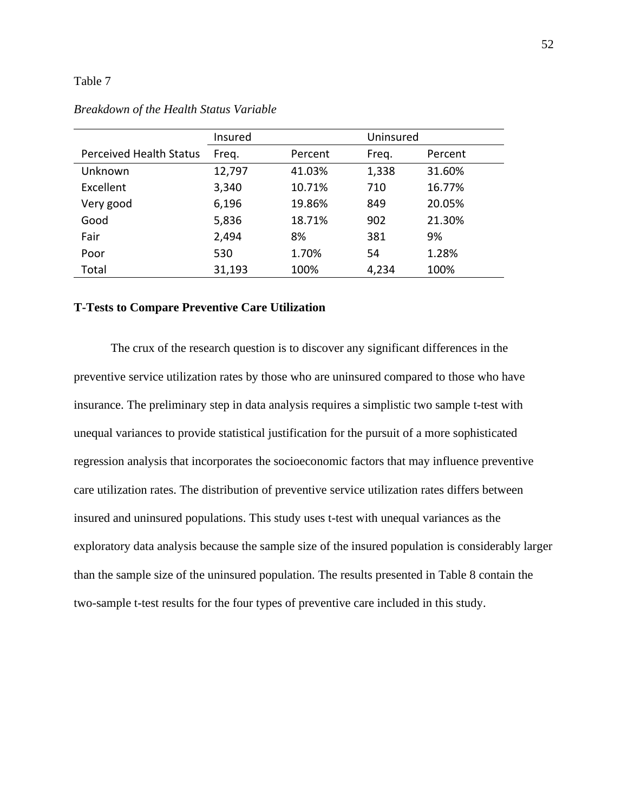#### Table 7

|                                | Insured |         | Uninsured |         |
|--------------------------------|---------|---------|-----------|---------|
| <b>Perceived Health Status</b> | Freq.   | Percent | Freq.     | Percent |
| Unknown                        | 12,797  | 41.03%  | 1,338     | 31.60%  |
| Excellent                      | 3,340   | 10.71%  | 710       | 16.77%  |
| Very good                      | 6,196   | 19.86%  | 849       | 20.05%  |
| Good                           | 5,836   | 18.71%  | 902       | 21.30%  |
| Fair                           | 2,494   | 8%      | 381       | 9%      |
| Poor                           | 530     | 1.70%   | 54        | 1.28%   |
| Total                          | 31,193  | 100%    | 4,234     | 100%    |

## *Breakdown of the Health Status Variable*

## **T-Tests to Compare Preventive Care Utilization**

The crux of the research question is to discover any significant differences in the preventive service utilization rates by those who are uninsured compared to those who have insurance. The preliminary step in data analysis requires a simplistic two sample t-test with unequal variances to provide statistical justification for the pursuit of a more sophisticated regression analysis that incorporates the socioeconomic factors that may influence preventive care utilization rates. The distribution of preventive service utilization rates differs between insured and uninsured populations. This study uses t-test with unequal variances as the exploratory data analysis because the sample size of the insured population is considerably larger than the sample size of the uninsured population. The results presented in Table 8 contain the two-sample t-test results for the four types of preventive care included in this study.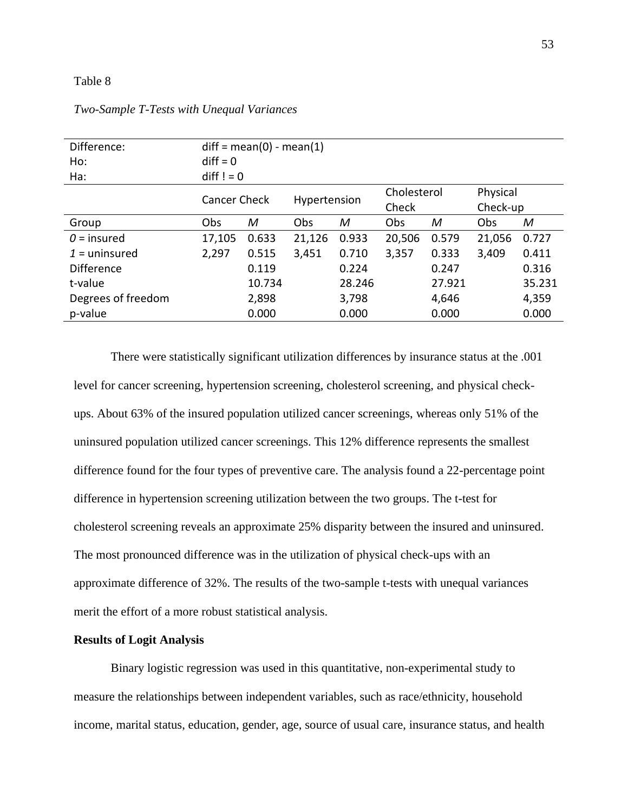#### Table 8

| Difference:        | $diff = mean(0) - mean(1)$                     |        |              |        |        |        |          |        |
|--------------------|------------------------------------------------|--------|--------------|--------|--------|--------|----------|--------|
| Ho:                | $diff = 0$                                     |        |              |        |        |        |          |        |
| Ha:                | $diff != 0$                                    |        |              |        |        |        |          |        |
|                    | Cholesterol<br>Physical<br><b>Cancer Check</b> |        |              |        |        |        |          |        |
|                    |                                                |        | Hypertension |        | Check  |        | Check-up |        |
| Group              | Obs                                            | M      | Obs          | M      | Obs    | M      | Obs      | M      |
| $0 =$ insured      | 17,105                                         | 0.633  | 21,126       | 0.933  | 20,506 | 0.579  | 21,056   | 0.727  |
| $1 =$ uninsured    | 2,297                                          | 0.515  | 3,451        | 0.710  | 3,357  | 0.333  | 3,409    | 0.411  |
| Difference         |                                                | 0.119  |              | 0.224  |        | 0.247  |          | 0.316  |
| t-value            |                                                | 10.734 |              | 28.246 |        | 27.921 |          | 35.231 |
| Degrees of freedom |                                                | 2,898  |              | 3,798  |        | 4,646  |          | 4,359  |
| p-value            |                                                | 0.000  |              | 0.000  |        | 0.000  |          | 0.000  |

*Two-Sample T-Tests with Unequal Variances*

There were statistically significant utilization differences by insurance status at the .001 level for cancer screening, hypertension screening, cholesterol screening, and physical checkups. About 63% of the insured population utilized cancer screenings, whereas only 51% of the uninsured population utilized cancer screenings. This 12% difference represents the smallest difference found for the four types of preventive care. The analysis found a 22-percentage point difference in hypertension screening utilization between the two groups. The t-test for cholesterol screening reveals an approximate 25% disparity between the insured and uninsured. The most pronounced difference was in the utilization of physical check-ups with an approximate difference of 32%. The results of the two-sample t-tests with unequal variances merit the effort of a more robust statistical analysis.

## **Results of Logit Analysis**

Binary logistic regression was used in this quantitative, non-experimental study to measure the relationships between independent variables, such as race/ethnicity, household income, marital status, education, gender, age, source of usual care, insurance status, and health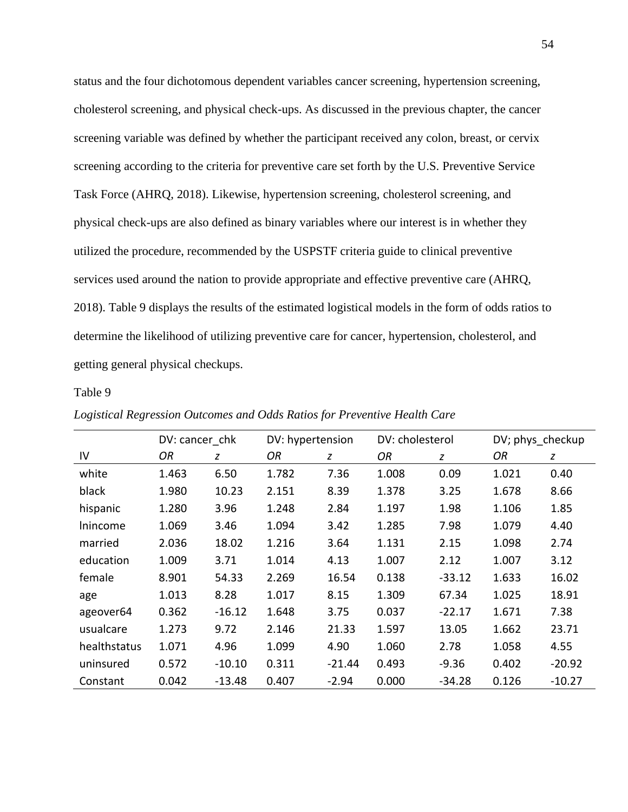status and the four dichotomous dependent variables cancer screening, hypertension screening, cholesterol screening, and physical check-ups. As discussed in the previous chapter, the cancer screening variable was defined by whether the participant received any colon, breast, or cervix screening according to the criteria for preventive care set forth by the U.S. Preventive Service Task Force (AHRQ, 2018). Likewise, hypertension screening, cholesterol screening, and physical check-ups are also defined as binary variables where our interest is in whether they utilized the procedure, recommended by the USPSTF criteria guide to clinical preventive services used around the nation to provide appropriate and effective preventive care (AHRQ, 2018). Table 9 displays the results of the estimated logistical models in the form of odds ratios to determine the likelihood of utilizing preventive care for cancer, hypertension, cholesterol, and getting general physical checkups.

#### Table 9

|              | DV: cancer chk |          | DV: hypertension |          | DV: cholesterol |          | DV; phys_checkup |          |
|--------------|----------------|----------|------------------|----------|-----------------|----------|------------------|----------|
| IV           | ΟR             | z        | ΟR               | z        | ΟR              | z        | OR               | z        |
| white        | 1.463          | 6.50     | 1.782            | 7.36     | 1.008           | 0.09     | 1.021            | 0.40     |
| black        | 1.980          | 10.23    | 2.151            | 8.39     | 1.378           | 3.25     | 1.678            | 8.66     |
| hispanic     | 1.280          | 3.96     | 1.248            | 2.84     | 1.197           | 1.98     | 1.106            | 1.85     |
| Inincome     | 1.069          | 3.46     | 1.094            | 3.42     | 1.285           | 7.98     | 1.079            | 4.40     |
| married      | 2.036          | 18.02    | 1.216            | 3.64     | 1.131           | 2.15     | 1.098            | 2.74     |
| education    | 1.009          | 3.71     | 1.014            | 4.13     | 1.007           | 2.12     | 1.007            | 3.12     |
| female       | 8.901          | 54.33    | 2.269            | 16.54    | 0.138           | $-33.12$ | 1.633            | 16.02    |
| age          | 1.013          | 8.28     | 1.017            | 8.15     | 1.309           | 67.34    | 1.025            | 18.91    |
| ageover64    | 0.362          | $-16.12$ | 1.648            | 3.75     | 0.037           | $-22.17$ | 1.671            | 7.38     |
| usualcare    | 1.273          | 9.72     | 2.146            | 21.33    | 1.597           | 13.05    | 1.662            | 23.71    |
| healthstatus | 1.071          | 4.96     | 1.099            | 4.90     | 1.060           | 2.78     | 1.058            | 4.55     |
| uninsured    | 0.572          | $-10.10$ | 0.311            | $-21.44$ | 0.493           | $-9.36$  | 0.402            | $-20.92$ |
| Constant     | 0.042          | $-13.48$ | 0.407            | $-2.94$  | 0.000           | $-34.28$ | 0.126            | $-10.27$ |

*Logistical Regression Outcomes and Odds Ratios for Preventive Health Care*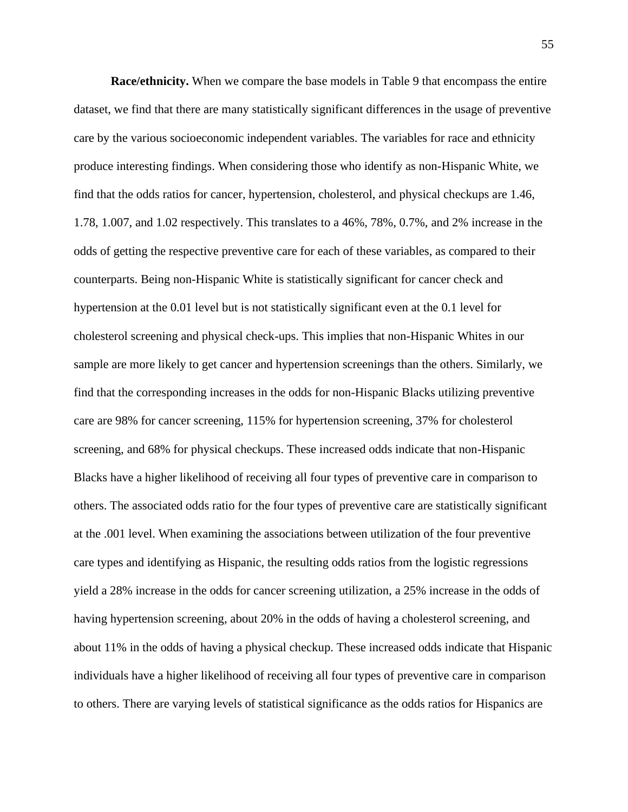**Race/ethnicity.** When we compare the base models in Table 9 that encompass the entire dataset, we find that there are many statistically significant differences in the usage of preventive care by the various socioeconomic independent variables. The variables for race and ethnicity produce interesting findings. When considering those who identify as non-Hispanic White, we find that the odds ratios for cancer, hypertension, cholesterol, and physical checkups are 1.46, 1.78, 1.007, and 1.02 respectively. This translates to a 46%, 78%, 0.7%, and 2% increase in the odds of getting the respective preventive care for each of these variables, as compared to their counterparts. Being non-Hispanic White is statistically significant for cancer check and hypertension at the 0.01 level but is not statistically significant even at the 0.1 level for cholesterol screening and physical check-ups. This implies that non-Hispanic Whites in our sample are more likely to get cancer and hypertension screenings than the others. Similarly, we find that the corresponding increases in the odds for non-Hispanic Blacks utilizing preventive care are 98% for cancer screening, 115% for hypertension screening, 37% for cholesterol screening, and 68% for physical checkups. These increased odds indicate that non-Hispanic Blacks have a higher likelihood of receiving all four types of preventive care in comparison to others. The associated odds ratio for the four types of preventive care are statistically significant at the .001 level. When examining the associations between utilization of the four preventive care types and identifying as Hispanic, the resulting odds ratios from the logistic regressions yield a 28% increase in the odds for cancer screening utilization, a 25% increase in the odds of having hypertension screening, about 20% in the odds of having a cholesterol screening, and about 11% in the odds of having a physical checkup. These increased odds indicate that Hispanic individuals have a higher likelihood of receiving all four types of preventive care in comparison to others. There are varying levels of statistical significance as the odds ratios for Hispanics are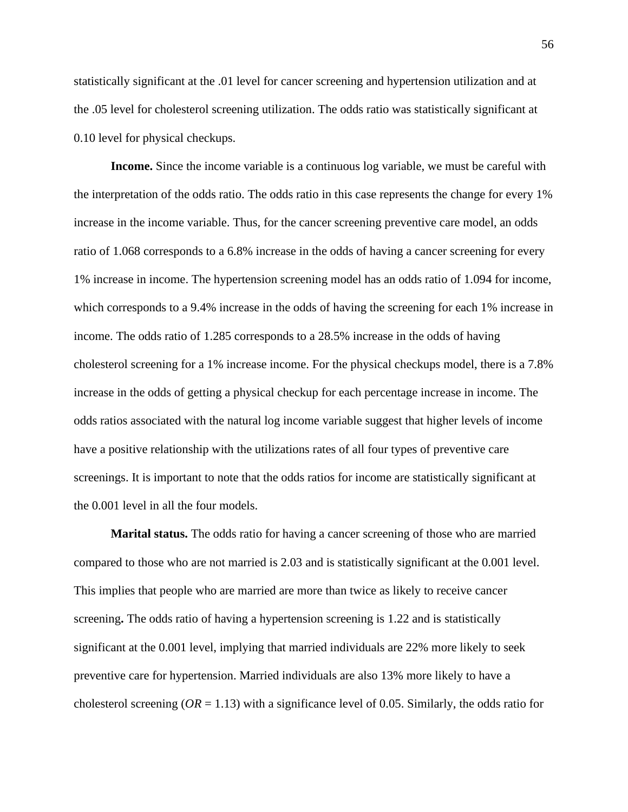statistically significant at the .01 level for cancer screening and hypertension utilization and at the .05 level for cholesterol screening utilization. The odds ratio was statistically significant at 0.10 level for physical checkups.

**Income.** Since the income variable is a continuous log variable, we must be careful with the interpretation of the odds ratio. The odds ratio in this case represents the change for every 1% increase in the income variable. Thus, for the cancer screening preventive care model, an odds ratio of 1.068 corresponds to a 6.8% increase in the odds of having a cancer screening for every 1% increase in income. The hypertension screening model has an odds ratio of 1.094 for income, which corresponds to a 9.4% increase in the odds of having the screening for each 1% increase in income. The odds ratio of 1.285 corresponds to a 28.5% increase in the odds of having cholesterol screening for a 1% increase income. For the physical checkups model, there is a 7.8% increase in the odds of getting a physical checkup for each percentage increase in income. The odds ratios associated with the natural log income variable suggest that higher levels of income have a positive relationship with the utilizations rates of all four types of preventive care screenings. It is important to note that the odds ratios for income are statistically significant at the 0.001 level in all the four models.

**Marital status.** The odds ratio for having a cancer screening of those who are married compared to those who are not married is 2.03 and is statistically significant at the 0.001 level. This implies that people who are married are more than twice as likely to receive cancer screening**.** The odds ratio of having a hypertension screening is 1.22 and is statistically significant at the 0.001 level, implying that married individuals are 22% more likely to seek preventive care for hypertension. Married individuals are also 13% more likely to have a cholesterol screening ( $OR = 1.13$ ) with a significance level of 0.05. Similarly, the odds ratio for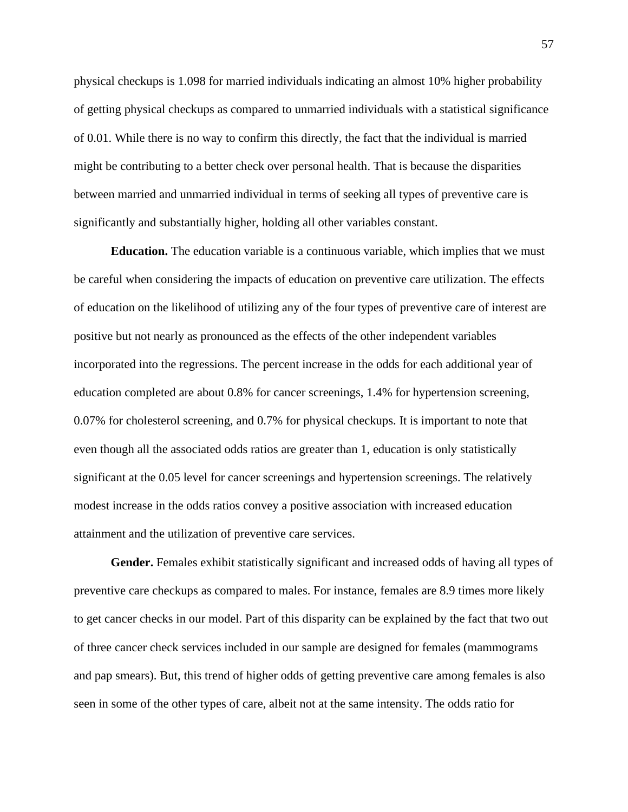physical checkups is 1.098 for married individuals indicating an almost 10% higher probability of getting physical checkups as compared to unmarried individuals with a statistical significance of 0.01. While there is no way to confirm this directly, the fact that the individual is married might be contributing to a better check over personal health. That is because the disparities between married and unmarried individual in terms of seeking all types of preventive care is significantly and substantially higher, holding all other variables constant.

**Education.** The education variable is a continuous variable, which implies that we must be careful when considering the impacts of education on preventive care utilization. The effects of education on the likelihood of utilizing any of the four types of preventive care of interest are positive but not nearly as pronounced as the effects of the other independent variables incorporated into the regressions. The percent increase in the odds for each additional year of education completed are about 0.8% for cancer screenings, 1.4% for hypertension screening, 0.07% for cholesterol screening, and 0.7% for physical checkups. It is important to note that even though all the associated odds ratios are greater than 1, education is only statistically significant at the 0.05 level for cancer screenings and hypertension screenings. The relatively modest increase in the odds ratios convey a positive association with increased education attainment and the utilization of preventive care services.

**Gender.** Females exhibit statistically significant and increased odds of having all types of preventive care checkups as compared to males. For instance, females are 8.9 times more likely to get cancer checks in our model. Part of this disparity can be explained by the fact that two out of three cancer check services included in our sample are designed for females (mammograms and pap smears). But, this trend of higher odds of getting preventive care among females is also seen in some of the other types of care, albeit not at the same intensity. The odds ratio for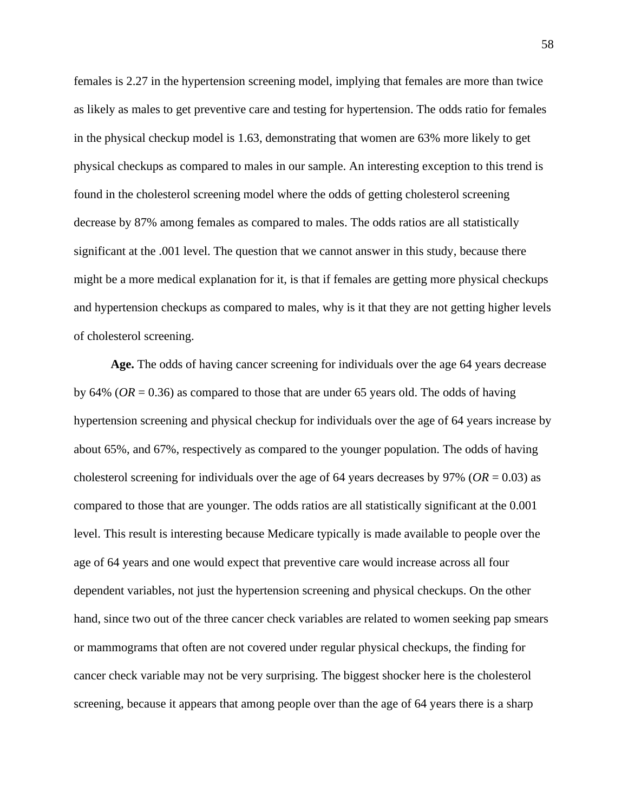females is 2.27 in the hypertension screening model, implying that females are more than twice as likely as males to get preventive care and testing for hypertension. The odds ratio for females in the physical checkup model is 1.63, demonstrating that women are 63% more likely to get physical checkups as compared to males in our sample. An interesting exception to this trend is found in the cholesterol screening model where the odds of getting cholesterol screening decrease by 87% among females as compared to males. The odds ratios are all statistically significant at the .001 level. The question that we cannot answer in this study, because there might be a more medical explanation for it, is that if females are getting more physical checkups and hypertension checkups as compared to males, why is it that they are not getting higher levels of cholesterol screening.

**Age.** The odds of having cancer screening for individuals over the age 64 years decrease by 64% (*OR* = 0.36) as compared to those that are under 65 years old. The odds of having hypertension screening and physical checkup for individuals over the age of 64 years increase by about 65%, and 67%, respectively as compared to the younger population. The odds of having cholesterol screening for individuals over the age of 64 years decreases by 97% (*OR* = 0.03) as compared to those that are younger. The odds ratios are all statistically significant at the 0.001 level. This result is interesting because Medicare typically is made available to people over the age of 64 years and one would expect that preventive care would increase across all four dependent variables, not just the hypertension screening and physical checkups. On the other hand, since two out of the three cancer check variables are related to women seeking pap smears or mammograms that often are not covered under regular physical checkups, the finding for cancer check variable may not be very surprising. The biggest shocker here is the cholesterol screening, because it appears that among people over than the age of 64 years there is a sharp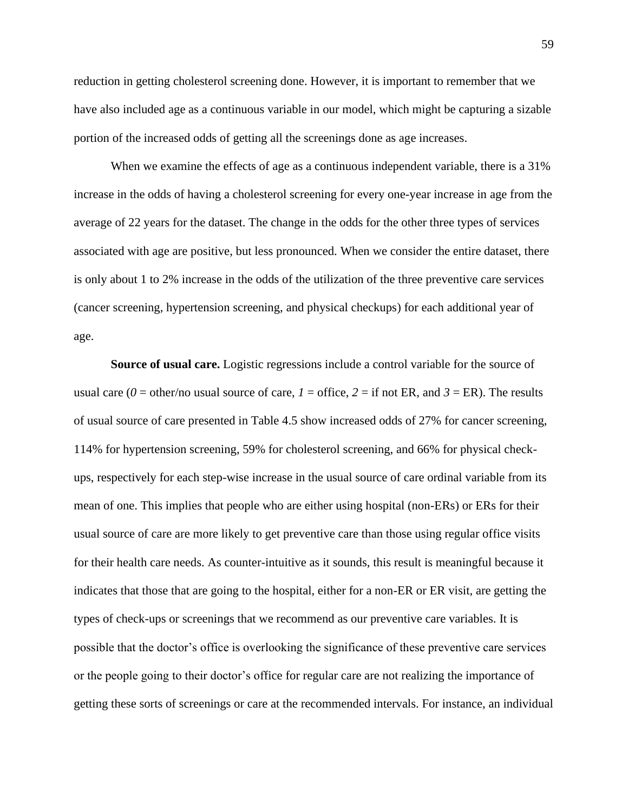reduction in getting cholesterol screening done. However, it is important to remember that we have also included age as a continuous variable in our model, which might be capturing a sizable portion of the increased odds of getting all the screenings done as age increases.

When we examine the effects of age as a continuous independent variable, there is a 31% increase in the odds of having a cholesterol screening for every one-year increase in age from the average of 22 years for the dataset. The change in the odds for the other three types of services associated with age are positive, but less pronounced. When we consider the entire dataset, there is only about 1 to 2% increase in the odds of the utilization of the three preventive care services (cancer screening, hypertension screening, and physical checkups) for each additional year of age.

**Source of usual care.** Logistic regressions include a control variable for the source of usual care ( $0 =$  other/no usual source of care,  $I =$  office,  $2 =$  if not ER, and  $3 =$  ER). The results of usual source of care presented in Table 4.5 show increased odds of 27% for cancer screening, 114% for hypertension screening, 59% for cholesterol screening, and 66% for physical checkups, respectively for each step-wise increase in the usual source of care ordinal variable from its mean of one. This implies that people who are either using hospital (non-ERs) or ERs for their usual source of care are more likely to get preventive care than those using regular office visits for their health care needs. As counter-intuitive as it sounds, this result is meaningful because it indicates that those that are going to the hospital, either for a non-ER or ER visit, are getting the types of check-ups or screenings that we recommend as our preventive care variables. It is possible that the doctor's office is overlooking the significance of these preventive care services or the people going to their doctor's office for regular care are not realizing the importance of getting these sorts of screenings or care at the recommended intervals. For instance, an individual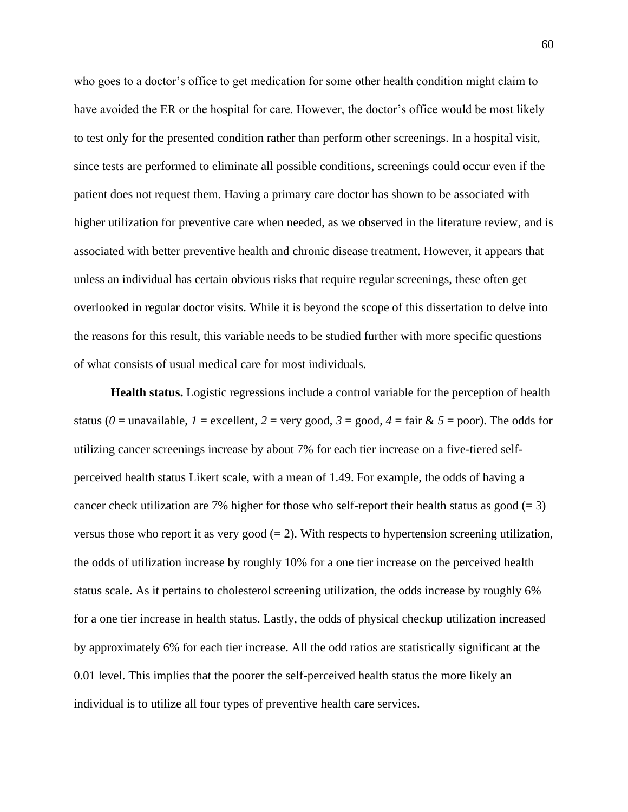who goes to a doctor's office to get medication for some other health condition might claim to have avoided the ER or the hospital for care. However, the doctor's office would be most likely to test only for the presented condition rather than perform other screenings. In a hospital visit, since tests are performed to eliminate all possible conditions, screenings could occur even if the patient does not request them. Having a primary care doctor has shown to be associated with higher utilization for preventive care when needed, as we observed in the literature review, and is associated with better preventive health and chronic disease treatment. However, it appears that unless an individual has certain obvious risks that require regular screenings, these often get overlooked in regular doctor visits. While it is beyond the scope of this dissertation to delve into the reasons for this result, this variable needs to be studied further with more specific questions of what consists of usual medical care for most individuals.

**Health status.** Logistic regressions include a control variable for the perception of health status ( $0 =$  unavailable,  $I =$  excellent,  $2 =$  very good,  $3 =$  good,  $4 =$  fair &  $5 =$  poor). The odds for utilizing cancer screenings increase by about 7% for each tier increase on a five-tiered selfperceived health status Likert scale, with a mean of 1.49. For example, the odds of having a cancer check utilization are 7% higher for those who self-report their health status as good  $(= 3)$ versus those who report it as very good  $(= 2)$ . With respects to hypertension screening utilization, the odds of utilization increase by roughly 10% for a one tier increase on the perceived health status scale. As it pertains to cholesterol screening utilization, the odds increase by roughly 6% for a one tier increase in health status. Lastly, the odds of physical checkup utilization increased by approximately 6% for each tier increase. All the odd ratios are statistically significant at the 0.01 level. This implies that the poorer the self-perceived health status the more likely an individual is to utilize all four types of preventive health care services.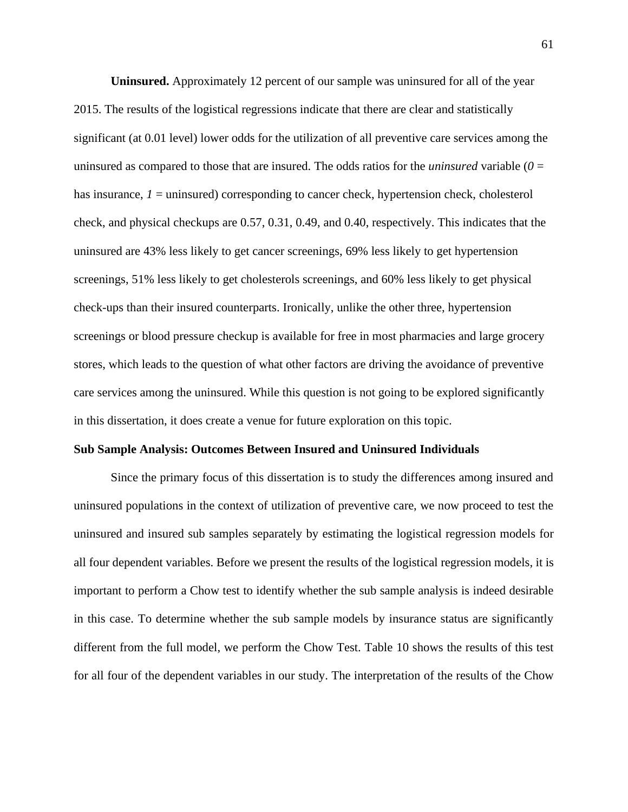**Uninsured.** Approximately 12 percent of our sample was uninsured for all of the year 2015. The results of the logistical regressions indicate that there are clear and statistically significant (at 0.01 level) lower odds for the utilization of all preventive care services among the uninsured as compared to those that are insured. The odds ratios for the *uninsured* variable (*0* = has insurance, *1* = uninsured) corresponding to cancer check, hypertension check, cholesterol check, and physical checkups are 0.57, 0.31, 0.49, and 0.40, respectively. This indicates that the uninsured are 43% less likely to get cancer screenings, 69% less likely to get hypertension screenings, 51% less likely to get cholesterols screenings, and 60% less likely to get physical check-ups than their insured counterparts. Ironically, unlike the other three, hypertension screenings or blood pressure checkup is available for free in most pharmacies and large grocery stores, which leads to the question of what other factors are driving the avoidance of preventive care services among the uninsured. While this question is not going to be explored significantly in this dissertation, it does create a venue for future exploration on this topic.

#### **Sub Sample Analysis: Outcomes Between Insured and Uninsured Individuals**

Since the primary focus of this dissertation is to study the differences among insured and uninsured populations in the context of utilization of preventive care, we now proceed to test the uninsured and insured sub samples separately by estimating the logistical regression models for all four dependent variables. Before we present the results of the logistical regression models, it is important to perform a Chow test to identify whether the sub sample analysis is indeed desirable in this case. To determine whether the sub sample models by insurance status are significantly different from the full model, we perform the Chow Test. Table 10 shows the results of this test for all four of the dependent variables in our study. The interpretation of the results of the Chow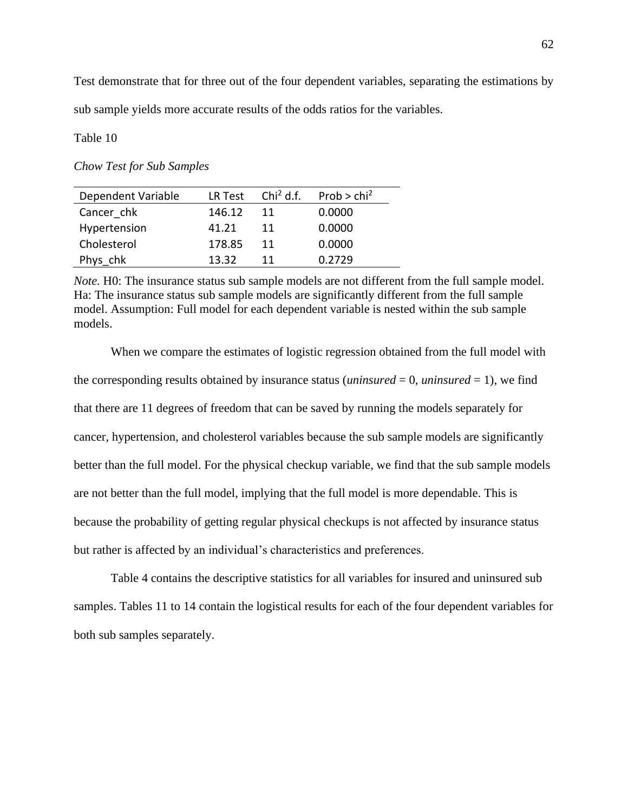Test demonstrate that for three out of the four dependent variables, separating the estimations by sub sample yields more accurate results of the odds ratios for the variables.

Table 10

*Chow Test for Sub Samples*

| Dependent Variable | LR Test | Chi <sup>2</sup> d.f. | Prob $>$ chi <sup>2</sup> |
|--------------------|---------|-----------------------|---------------------------|
| Cancer chk         | 146.12  | 11                    | 0.0000                    |
| Hypertension       | 41.21   | 11                    | 0.0000                    |
| Cholesterol        | 178.85  | 11                    | 0.0000                    |
| Phys chk           | 13.32   | 11                    | 0.2729                    |

*Note.* H0: The insurance status sub sample models are not different from the full sample model. Ha: The insurance status sub sample models are significantly different from the full sample model. Assumption: Full model for each dependent variable is nested within the sub sample models.

When we compare the estimates of logistic regression obtained from the full model with the corresponding results obtained by insurance status *(uninsured* = 0, *uninsured* = 1), we find that there are 11 degrees of freedom that can be saved by running the models separately for cancer, hypertension, and cholesterol variables because the sub sample models are significantly better than the full model. For the physical checkup variable, we find that the sub sample models are not better than the full model, implying that the full model is more dependable. This is because the probability of getting regular physical checkups is not affected by insurance status but rather is affected by an individual's characteristics and preferences.

Table 4 contains the descriptive statistics for all variables for insured and uninsured sub samples. Tables 11 to 14 contain the logistical results for each of the four dependent variables for both sub samples separately.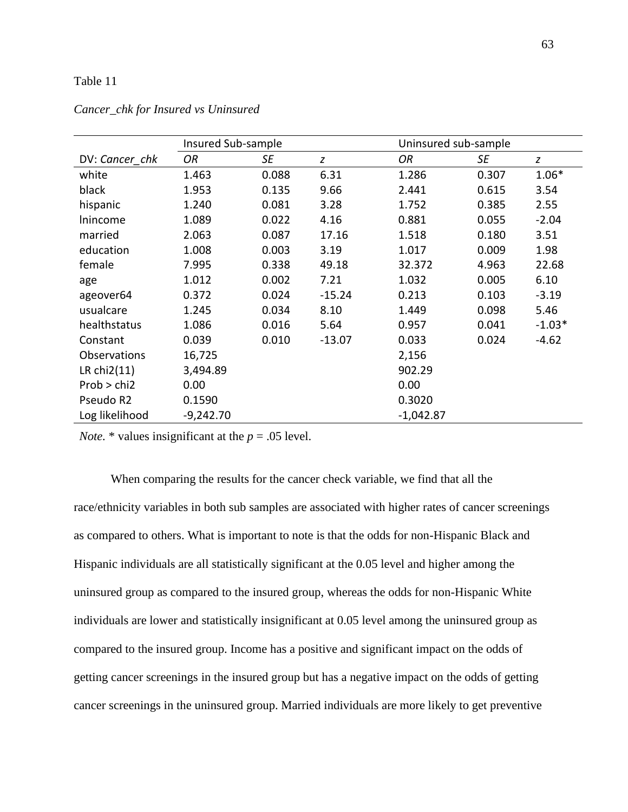# Table 11

|                | Insured Sub-sample |       |          | Uninsured sub-sample |       |          |
|----------------|--------------------|-------|----------|----------------------|-------|----------|
| DV: Cancer chk | OR                 | SE    | z        | OR                   | SE    | z        |
| white          | 1.463              | 0.088 | 6.31     | 1.286                | 0.307 | $1.06*$  |
| black          | 1.953              | 0.135 | 9.66     | 2.441                | 0.615 | 3.54     |
| hispanic       | 1.240              | 0.081 | 3.28     | 1.752                | 0.385 | 2.55     |
| Inincome       | 1.089              | 0.022 | 4.16     | 0.881                | 0.055 | $-2.04$  |
| married        | 2.063              | 0.087 | 17.16    | 1.518                | 0.180 | 3.51     |
| education      | 1.008              | 0.003 | 3.19     | 1.017                | 0.009 | 1.98     |
| female         | 7.995              | 0.338 | 49.18    | 32.372               | 4.963 | 22.68    |
| age            | 1.012              | 0.002 | 7.21     | 1.032                | 0.005 | 6.10     |
| ageover64      | 0.372              | 0.024 | $-15.24$ | 0.213                | 0.103 | $-3.19$  |
| usualcare      | 1.245              | 0.034 | 8.10     | 1.449                | 0.098 | 5.46     |
| healthstatus   | 1.086              | 0.016 | 5.64     | 0.957                | 0.041 | $-1.03*$ |
| Constant       | 0.039              | 0.010 | $-13.07$ | 0.033                | 0.024 | $-4.62$  |
| Observations   | 16,725             |       |          | 2,156                |       |          |
| LR $chi2(11)$  | 3,494.89           |       |          | 902.29               |       |          |
| Prob > chi2    | 0.00               |       |          | 0.00                 |       |          |
| Pseudo R2      | 0.1590             |       |          | 0.3020               |       |          |
| Log likelihood | $-9,242.70$        |       |          | $-1,042.87$          |       |          |

# *Cancer\_chk for Insured vs Uninsured*

*Note.*  $*$  values insignificant at the  $p = .05$  level.

When comparing the results for the cancer check variable, we find that all the race/ethnicity variables in both sub samples are associated with higher rates of cancer screenings as compared to others. What is important to note is that the odds for non-Hispanic Black and Hispanic individuals are all statistically significant at the 0.05 level and higher among the uninsured group as compared to the insured group, whereas the odds for non-Hispanic White individuals are lower and statistically insignificant at 0.05 level among the uninsured group as compared to the insured group. Income has a positive and significant impact on the odds of getting cancer screenings in the insured group but has a negative impact on the odds of getting cancer screenings in the uninsured group. Married individuals are more likely to get preventive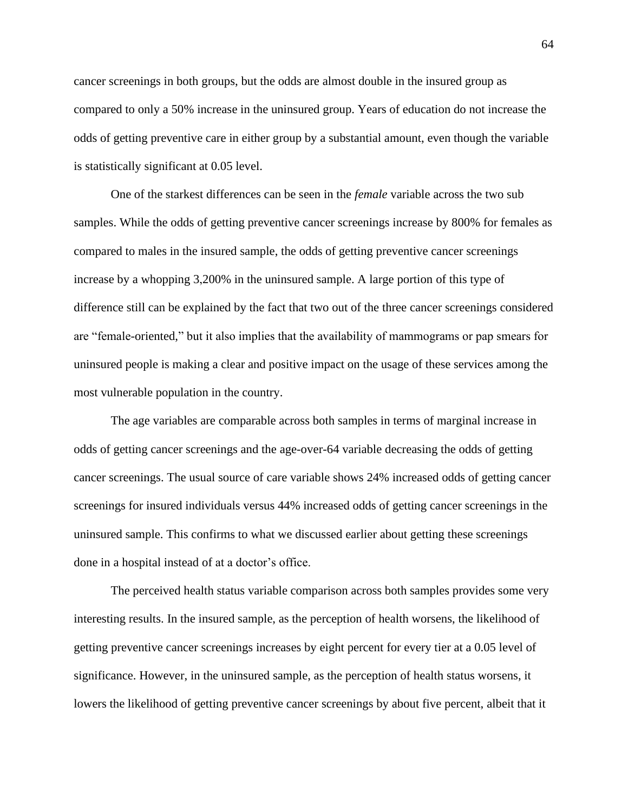cancer screenings in both groups, but the odds are almost double in the insured group as compared to only a 50% increase in the uninsured group. Years of education do not increase the odds of getting preventive care in either group by a substantial amount, even though the variable is statistically significant at 0.05 level.

One of the starkest differences can be seen in the *female* variable across the two sub samples. While the odds of getting preventive cancer screenings increase by 800% for females as compared to males in the insured sample, the odds of getting preventive cancer screenings increase by a whopping 3,200% in the uninsured sample. A large portion of this type of difference still can be explained by the fact that two out of the three cancer screenings considered are "female-oriented," but it also implies that the availability of mammograms or pap smears for uninsured people is making a clear and positive impact on the usage of these services among the most vulnerable population in the country.

The age variables are comparable across both samples in terms of marginal increase in odds of getting cancer screenings and the age-over-64 variable decreasing the odds of getting cancer screenings. The usual source of care variable shows 24% increased odds of getting cancer screenings for insured individuals versus 44% increased odds of getting cancer screenings in the uninsured sample. This confirms to what we discussed earlier about getting these screenings done in a hospital instead of at a doctor's office.

The perceived health status variable comparison across both samples provides some very interesting results. In the insured sample, as the perception of health worsens, the likelihood of getting preventive cancer screenings increases by eight percent for every tier at a 0.05 level of significance. However, in the uninsured sample, as the perception of health status worsens, it lowers the likelihood of getting preventive cancer screenings by about five percent, albeit that it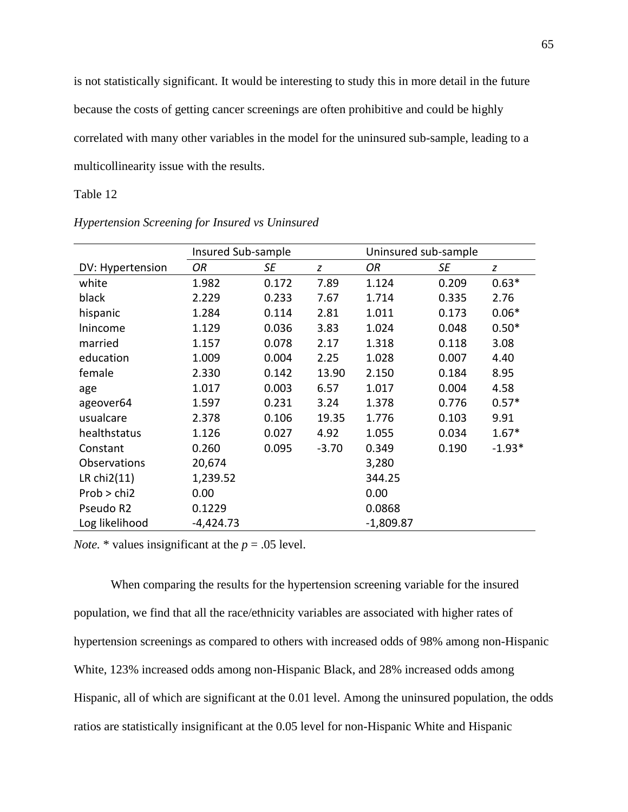is not statistically significant. It would be interesting to study this in more detail in the future because the costs of getting cancer screenings are often prohibitive and could be highly correlated with many other variables in the model for the uninsured sub-sample, leading to a multicollinearity issue with the results.

# Table 12

|                     | Insured Sub-sample |       |         | Uninsured sub-sample |       |          |
|---------------------|--------------------|-------|---------|----------------------|-------|----------|
| DV: Hypertension    | OR                 | SE    | z       | OR                   | SE    | z        |
| white               | 1.982              | 0.172 | 7.89    | 1.124                | 0.209 | $0.63*$  |
| black               | 2.229              | 0.233 | 7.67    | 1.714                | 0.335 | 2.76     |
| hispanic            | 1.284              | 0.114 | 2.81    | 1.011                | 0.173 | $0.06*$  |
| Inincome            | 1.129              | 0.036 | 3.83    | 1.024                | 0.048 | $0.50*$  |
| married             | 1.157              | 0.078 | 2.17    | 1.318                | 0.118 | 3.08     |
| education           | 1.009              | 0.004 | 2.25    | 1.028                | 0.007 | 4.40     |
| female              | 2.330              | 0.142 | 13.90   | 2.150                | 0.184 | 8.95     |
| age                 | 1.017              | 0.003 | 6.57    | 1.017                | 0.004 | 4.58     |
| ageover64           | 1.597              | 0.231 | 3.24    | 1.378                | 0.776 | $0.57*$  |
| usualcare           | 2.378              | 0.106 | 19.35   | 1.776                | 0.103 | 9.91     |
| healthstatus        | 1.126              | 0.027 | 4.92    | 1.055                | 0.034 | $1.67*$  |
| Constant            | 0.260              | 0.095 | $-3.70$ | 0.349                | 0.190 | $-1.93*$ |
| <b>Observations</b> | 20,674             |       |         | 3,280                |       |          |
| LR $chi2(11)$       | 1,239.52           |       |         | 344.25               |       |          |
| Prob > chi2         | 0.00               |       |         | 0.00                 |       |          |
| Pseudo R2           | 0.1229             |       |         | 0.0868               |       |          |
| Log likelihood      | $-4,424.73$        |       |         | $-1,809.87$          |       |          |

*Hypertension Screening for Insured vs Uninsured*

*Note.* \* values insignificant at the  $p = .05$  level.

When comparing the results for the hypertension screening variable for the insured population, we find that all the race/ethnicity variables are associated with higher rates of hypertension screenings as compared to others with increased odds of 98% among non-Hispanic White, 123% increased odds among non-Hispanic Black, and 28% increased odds among Hispanic, all of which are significant at the 0.01 level. Among the uninsured population, the odds ratios are statistically insignificant at the 0.05 level for non-Hispanic White and Hispanic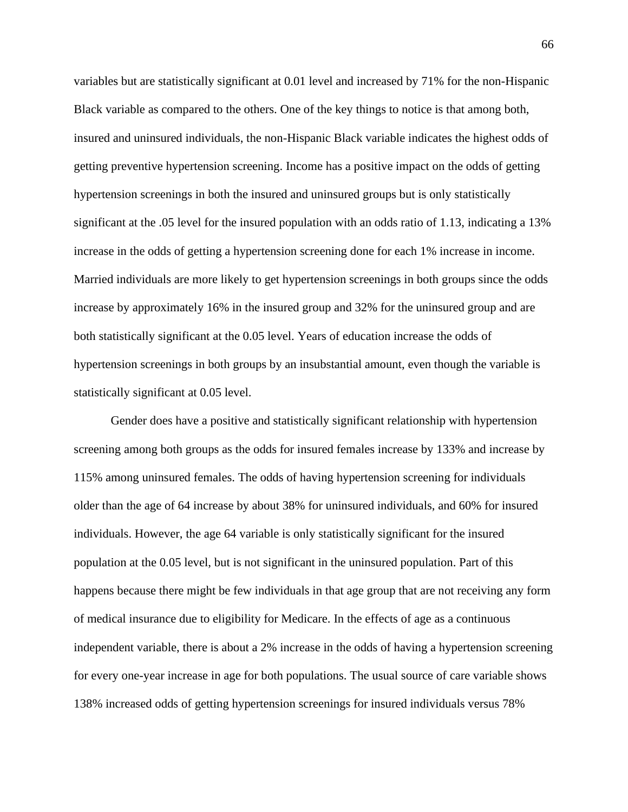variables but are statistically significant at 0.01 level and increased by 71% for the non-Hispanic Black variable as compared to the others. One of the key things to notice is that among both, insured and uninsured individuals, the non-Hispanic Black variable indicates the highest odds of getting preventive hypertension screening. Income has a positive impact on the odds of getting hypertension screenings in both the insured and uninsured groups but is only statistically significant at the .05 level for the insured population with an odds ratio of 1.13, indicating a 13% increase in the odds of getting a hypertension screening done for each 1% increase in income. Married individuals are more likely to get hypertension screenings in both groups since the odds increase by approximately 16% in the insured group and 32% for the uninsured group and are both statistically significant at the 0.05 level. Years of education increase the odds of hypertension screenings in both groups by an insubstantial amount, even though the variable is statistically significant at 0.05 level.

Gender does have a positive and statistically significant relationship with hypertension screening among both groups as the odds for insured females increase by 133% and increase by 115% among uninsured females. The odds of having hypertension screening for individuals older than the age of 64 increase by about 38% for uninsured individuals, and 60% for insured individuals. However, the age 64 variable is only statistically significant for the insured population at the 0.05 level, but is not significant in the uninsured population. Part of this happens because there might be few individuals in that age group that are not receiving any form of medical insurance due to eligibility for Medicare. In the effects of age as a continuous independent variable, there is about a 2% increase in the odds of having a hypertension screening for every one-year increase in age for both populations. The usual source of care variable shows 138% increased odds of getting hypertension screenings for insured individuals versus 78%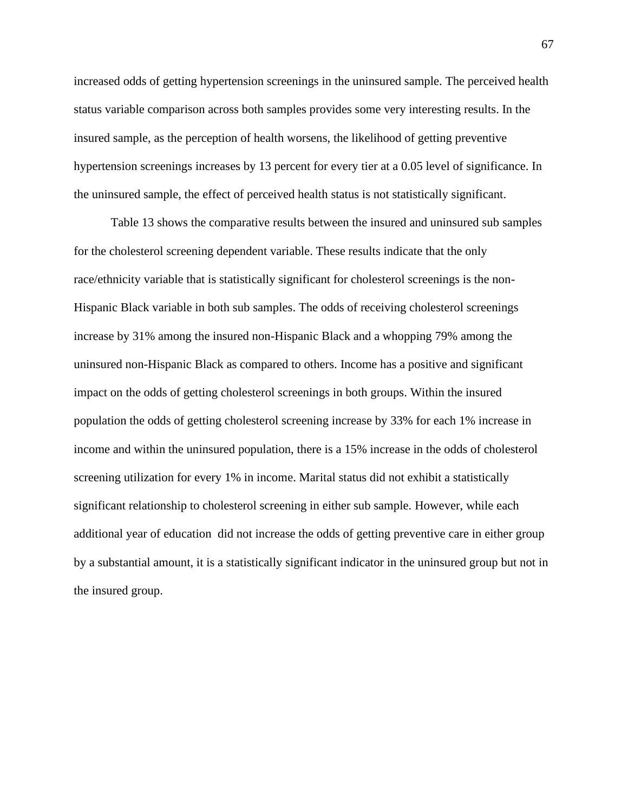increased odds of getting hypertension screenings in the uninsured sample. The perceived health status variable comparison across both samples provides some very interesting results. In the insured sample, as the perception of health worsens, the likelihood of getting preventive hypertension screenings increases by 13 percent for every tier at a 0.05 level of significance. In the uninsured sample, the effect of perceived health status is not statistically significant.

Table 13 shows the comparative results between the insured and uninsured sub samples for the cholesterol screening dependent variable. These results indicate that the only race/ethnicity variable that is statistically significant for cholesterol screenings is the non-Hispanic Black variable in both sub samples. The odds of receiving cholesterol screenings increase by 31% among the insured non-Hispanic Black and a whopping 79% among the uninsured non-Hispanic Black as compared to others. Income has a positive and significant impact on the odds of getting cholesterol screenings in both groups. Within the insured population the odds of getting cholesterol screening increase by 33% for each 1% increase in income and within the uninsured population, there is a 15% increase in the odds of cholesterol screening utilization for every 1% in income. Marital status did not exhibit a statistically significant relationship to cholesterol screening in either sub sample. However, while each additional year of education did not increase the odds of getting preventive care in either group by a substantial amount, it is a statistically significant indicator in the uninsured group but not in the insured group.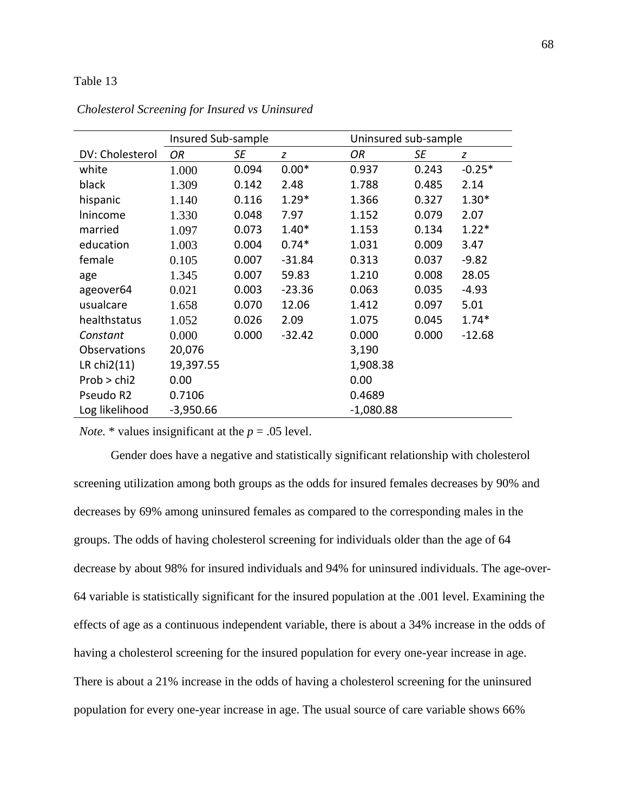# Table 13

|                 | Insured Sub-sample |       |          | Uninsured sub-sample |       |          |
|-----------------|--------------------|-------|----------|----------------------|-------|----------|
| DV: Cholesterol | OR                 | SE    | z        | OR                   | SE    | z        |
| white           | 1.000              | 0.094 | $0.00*$  | 0.937                | 0.243 | $-0.25*$ |
| black           | 1.309              | 0.142 | 2.48     | 1.788                | 0.485 | 2.14     |
| hispanic        | 1.140              | 0.116 | $1.29*$  | 1.366                | 0.327 | $1.30*$  |
| Inincome        | 1.330              | 0.048 | 7.97     | 1.152                | 0.079 | 2.07     |
| married         | 1.097              | 0.073 | $1.40*$  | 1.153                | 0.134 | $1.22*$  |
| education       | 1.003              | 0.004 | $0.74*$  | 1.031                | 0.009 | 3.47     |
| female          | 0.105              | 0.007 | $-31.84$ | 0.313                | 0.037 | $-9.82$  |
| age             | 1.345              | 0.007 | 59.83    | 1.210                | 0.008 | 28.05    |
| ageover64       | 0.021              | 0.003 | $-23.36$ | 0.063                | 0.035 | $-4.93$  |
| usualcare       | 1.658              | 0.070 | 12.06    | 1.412                | 0.097 | 5.01     |
| healthstatus    | 1.052              | 0.026 | 2.09     | 1.075                | 0.045 | $1.74*$  |
| Constant        | 0.000              | 0.000 | $-32.42$ | 0.000                | 0.000 | $-12.68$ |
| Observations    | 20,076             |       |          | 3,190                |       |          |
| LR $chi2(11)$   | 19,397.55          |       |          | 1,908.38             |       |          |
| Prob > chi2     | 0.00               |       |          | 0.00                 |       |          |
| Pseudo R2       | 0.7106             |       |          | 0.4689               |       |          |
| Log likelihood  | $-3,950.66$        |       |          | $-1,080.88$          |       |          |

*Cholesterol Screening for Insured vs Uninsured*

*Note.* \* values insignificant at the  $p = .05$  level.

Gender does have a negative and statistically significant relationship with cholesterol screening utilization among both groups as the odds for insured females decreases by 90% and decreases by 69% among uninsured females as compared to the corresponding males in the groups. The odds of having cholesterol screening for individuals older than the age of 64 decrease by about 98% for insured individuals and 94% for uninsured individuals. The age-over-64 variable is statistically significant for the insured population at the .001 level. Examining the effects of age as a continuous independent variable, there is about a 34% increase in the odds of having a cholesterol screening for the insured population for every one-year increase in age. There is about a 21% increase in the odds of having a cholesterol screening for the uninsured population for every one-year increase in age. The usual source of care variable shows 66%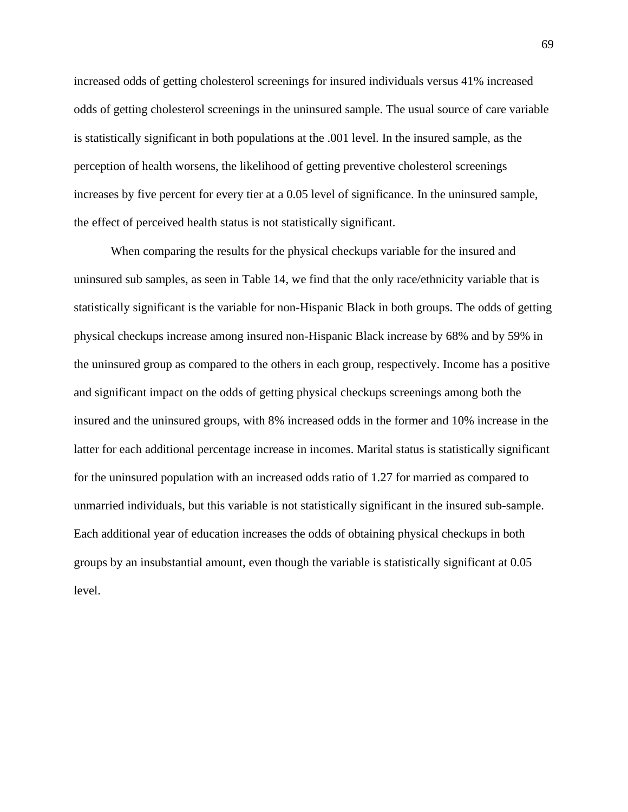increased odds of getting cholesterol screenings for insured individuals versus 41% increased odds of getting cholesterol screenings in the uninsured sample. The usual source of care variable is statistically significant in both populations at the .001 level. In the insured sample, as the perception of health worsens, the likelihood of getting preventive cholesterol screenings increases by five percent for every tier at a 0.05 level of significance. In the uninsured sample, the effect of perceived health status is not statistically significant.

When comparing the results for the physical checkups variable for the insured and uninsured sub samples, as seen in Table 14, we find that the only race/ethnicity variable that is statistically significant is the variable for non-Hispanic Black in both groups. The odds of getting physical checkups increase among insured non-Hispanic Black increase by 68% and by 59% in the uninsured group as compared to the others in each group, respectively. Income has a positive and significant impact on the odds of getting physical checkups screenings among both the insured and the uninsured groups, with 8% increased odds in the former and 10% increase in the latter for each additional percentage increase in incomes. Marital status is statistically significant for the uninsured population with an increased odds ratio of 1.27 for married as compared to unmarried individuals, but this variable is not statistically significant in the insured sub-sample. Each additional year of education increases the odds of obtaining physical checkups in both groups by an insubstantial amount, even though the variable is statistically significant at 0.05 level.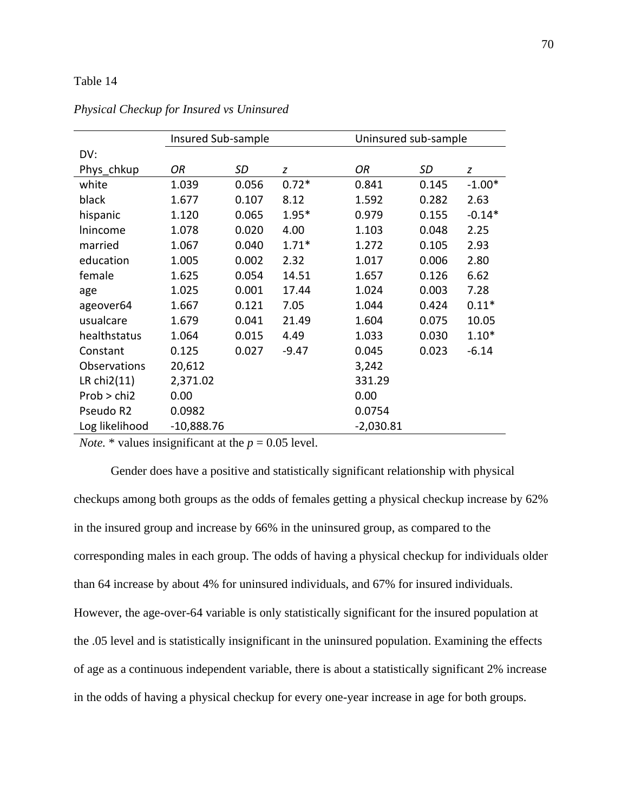# Table 14

|                | Insured Sub-sample |           |         | Uninsured sub-sample |       |          |
|----------------|--------------------|-----------|---------|----------------------|-------|----------|
| DV:            |                    |           |         |                      |       |          |
| Phys chkup     | OR                 | <b>SD</b> | z       | OR                   | SD    | z        |
| white          | 1.039              | 0.056     | $0.72*$ | 0.841                | 0.145 | $-1.00*$ |
| black          | 1.677              | 0.107     | 8.12    | 1.592                | 0.282 | 2.63     |
| hispanic       | 1.120              | 0.065     | $1.95*$ | 0.979                | 0.155 | $-0.14*$ |
| Inincome       | 1.078              | 0.020     | 4.00    | 1.103                | 0.048 | 2.25     |
| married        | 1.067              | 0.040     | $1.71*$ | 1.272                | 0.105 | 2.93     |
| education      | 1.005              | 0.002     | 2.32    | 1.017                | 0.006 | 2.80     |
| female         | 1.625              | 0.054     | 14.51   | 1.657                | 0.126 | 6.62     |
| age            | 1.025              | 0.001     | 17.44   | 1.024                | 0.003 | 7.28     |
| ageover64      | 1.667              | 0.121     | 7.05    | 1.044                | 0.424 | $0.11*$  |
| usualcare      | 1.679              | 0.041     | 21.49   | 1.604                | 0.075 | 10.05    |
| healthstatus   | 1.064              | 0.015     | 4.49    | 1.033                | 0.030 | $1.10*$  |
| Constant       | 0.125              | 0.027     | $-9.47$ | 0.045                | 0.023 | $-6.14$  |
| Observations   | 20,612             |           |         | 3,242                |       |          |
| LR chi2(11)    | 2,371.02           |           |         | 331.29               |       |          |
| Prob > chi2    | 0.00               |           |         | 0.00                 |       |          |
| Pseudo R2      | 0.0982             |           |         | 0.0754               |       |          |
| Log likelihood | $-10,888.76$       |           |         | $-2,030.81$          |       |          |

*Physical Checkup for Insured vs Uninsured*

*Note.*  $*$  values insignificant at the  $p = 0.05$  level.

Gender does have a positive and statistically significant relationship with physical checkups among both groups as the odds of females getting a physical checkup increase by 62% in the insured group and increase by 66% in the uninsured group, as compared to the corresponding males in each group. The odds of having a physical checkup for individuals older than 64 increase by about 4% for uninsured individuals, and 67% for insured individuals. However, the age-over-64 variable is only statistically significant for the insured population at the .05 level and is statistically insignificant in the uninsured population. Examining the effects of age as a continuous independent variable, there is about a statistically significant 2% increase in the odds of having a physical checkup for every one-year increase in age for both groups.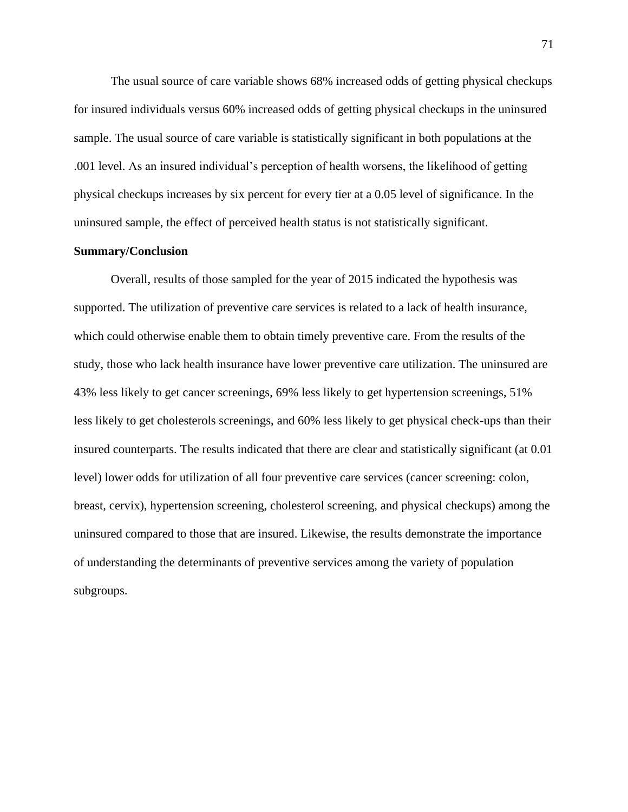The usual source of care variable shows 68% increased odds of getting physical checkups for insured individuals versus 60% increased odds of getting physical checkups in the uninsured sample. The usual source of care variable is statistically significant in both populations at the .001 level. As an insured individual's perception of health worsens, the likelihood of getting physical checkups increases by six percent for every tier at a 0.05 level of significance. In the uninsured sample, the effect of perceived health status is not statistically significant.

### **Summary/Conclusion**

Overall, results of those sampled for the year of 2015 indicated the hypothesis was supported. The utilization of preventive care services is related to a lack of health insurance, which could otherwise enable them to obtain timely preventive care. From the results of the study, those who lack health insurance have lower preventive care utilization. The uninsured are 43% less likely to get cancer screenings, 69% less likely to get hypertension screenings, 51% less likely to get cholesterols screenings, and 60% less likely to get physical check-ups than their insured counterparts. The results indicated that there are clear and statistically significant (at 0.01 level) lower odds for utilization of all four preventive care services (cancer screening: colon, breast, cervix), hypertension screening, cholesterol screening, and physical checkups) among the uninsured compared to those that are insured. Likewise, the results demonstrate the importance of understanding the determinants of preventive services among the variety of population subgroups.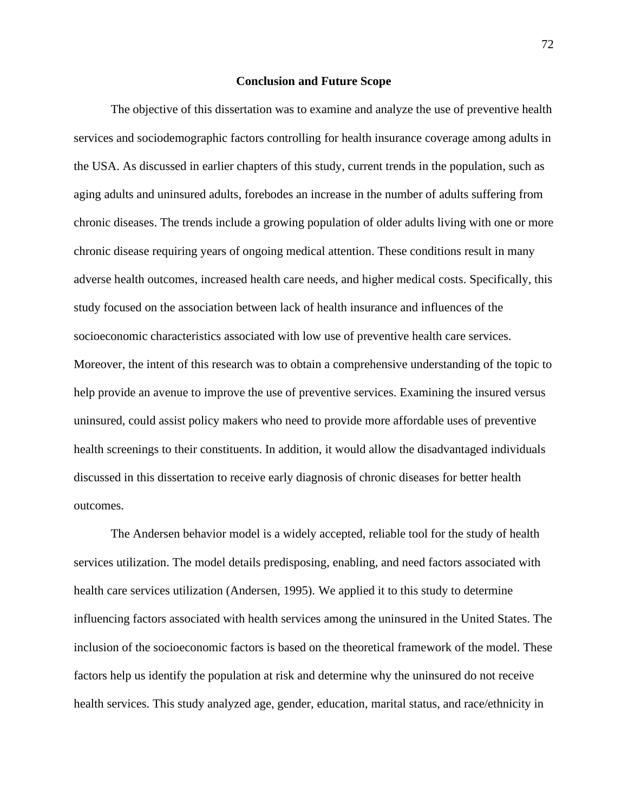#### **Conclusion and Future Scope**

The objective of this dissertation was to examine and analyze the use of preventive health services and sociodemographic factors controlling for health insurance coverage among adults in the USA. As discussed in earlier chapters of this study, current trends in the population, such as aging adults and uninsured adults, forebodes an increase in the number of adults suffering from chronic diseases. The trends include a growing population of older adults living with one or more chronic disease requiring years of ongoing medical attention. These conditions result in many adverse health outcomes, increased health care needs, and higher medical costs. Specifically, this study focused on the association between lack of health insurance and influences of the socioeconomic characteristics associated with low use of preventive health care services. Moreover, the intent of this research was to obtain a comprehensive understanding of the topic to help provide an avenue to improve the use of preventive services. Examining the insured versus uninsured, could assist policy makers who need to provide more affordable uses of preventive health screenings to their constituents. In addition, it would allow the disadvantaged individuals discussed in this dissertation to receive early diagnosis of chronic diseases for better health outcomes.

The Andersen behavior model is a widely accepted, reliable tool for the study of health services utilization. The model details predisposing, enabling, and need factors associated with health care services utilization (Andersen, 1995). We applied it to this study to determine influencing factors associated with health services among the uninsured in the United States. The inclusion of the socioeconomic factors is based on the theoretical framework of the model. These factors help us identify the population at risk and determine why the uninsured do not receive health services. This study analyzed age, gender, education, marital status, and race/ethnicity in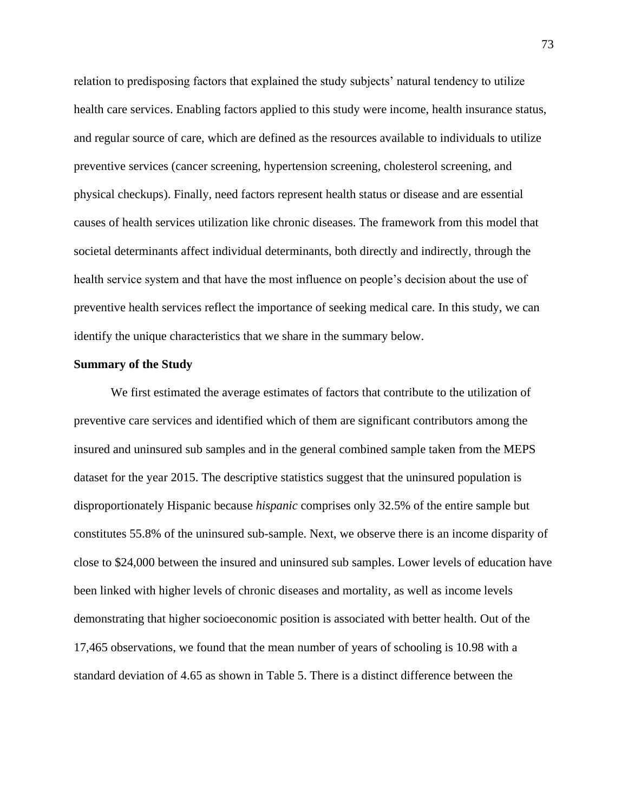relation to predisposing factors that explained the study subjects' natural tendency to utilize health care services. Enabling factors applied to this study were income, health insurance status, and regular source of care, which are defined as the resources available to individuals to utilize preventive services (cancer screening, hypertension screening, cholesterol screening, and physical checkups). Finally, need factors represent health status or disease and are essential causes of health services utilization like chronic diseases. The framework from this model that societal determinants affect individual determinants, both directly and indirectly, through the health service system and that have the most influence on people's decision about the use of preventive health services reflect the importance of seeking medical care. In this study, we can identify the unique characteristics that we share in the summary below.

# **Summary of the Study**

We first estimated the average estimates of factors that contribute to the utilization of preventive care services and identified which of them are significant contributors among the insured and uninsured sub samples and in the general combined sample taken from the MEPS dataset for the year 2015. The descriptive statistics suggest that the uninsured population is disproportionately Hispanic because *hispanic* comprises only 32.5% of the entire sample but constitutes 55.8% of the uninsured sub-sample. Next, we observe there is an income disparity of close to \$24,000 between the insured and uninsured sub samples. Lower levels of education have been linked with higher levels of chronic diseases and mortality, as well as income levels demonstrating that higher socioeconomic position is associated with better health. Out of the 17,465 observations, we found that the mean number of years of schooling is 10.98 with a standard deviation of 4.65 as shown in Table 5. There is a distinct difference between the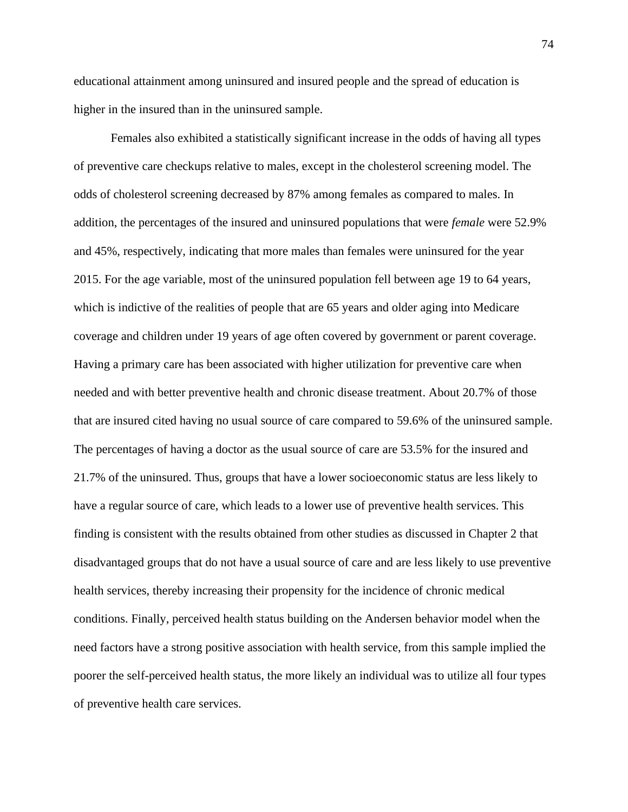educational attainment among uninsured and insured people and the spread of education is higher in the insured than in the uninsured sample.

Females also exhibited a statistically significant increase in the odds of having all types of preventive care checkups relative to males, except in the cholesterol screening model. The odds of cholesterol screening decreased by 87% among females as compared to males. In addition, the percentages of the insured and uninsured populations that were *female* were 52.9% and 45%, respectively, indicating that more males than females were uninsured for the year 2015. For the age variable, most of the uninsured population fell between age 19 to 64 years, which is indictive of the realities of people that are 65 years and older aging into Medicare coverage and children under 19 years of age often covered by government or parent coverage. Having a primary care has been associated with higher utilization for preventive care when needed and with better preventive health and chronic disease treatment. About 20.7% of those that are insured cited having no usual source of care compared to 59.6% of the uninsured sample. The percentages of having a doctor as the usual source of care are 53.5% for the insured and 21.7% of the uninsured. Thus, groups that have a lower socioeconomic status are less likely to have a regular source of care, which leads to a lower use of preventive health services. This finding is consistent with the results obtained from other studies as discussed in Chapter 2 that disadvantaged groups that do not have a usual source of care and are less likely to use preventive health services, thereby increasing their propensity for the incidence of chronic medical conditions. Finally, perceived health status building on the Andersen behavior model when the need factors have a strong positive association with health service, from this sample implied the poorer the self-perceived health status, the more likely an individual was to utilize all four types of preventive health care services.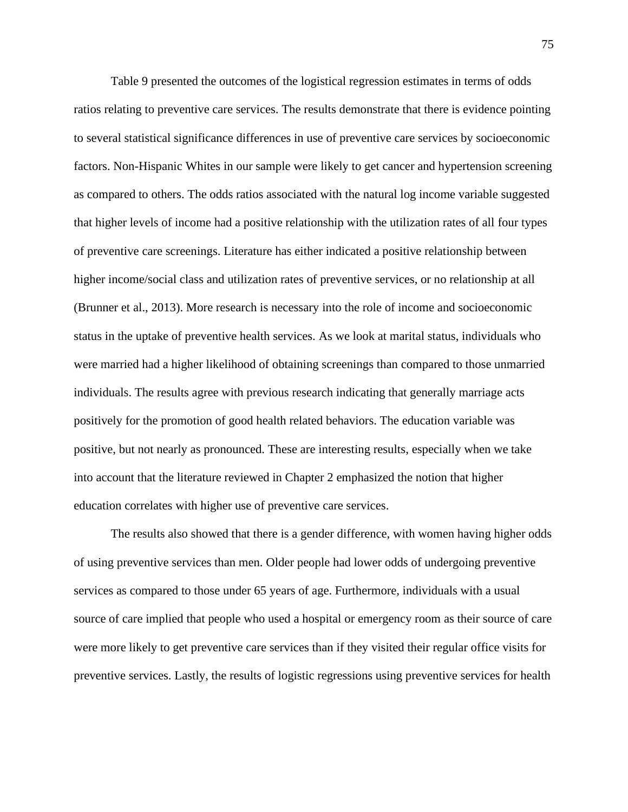Table 9 presented the outcomes of the logistical regression estimates in terms of odds ratios relating to preventive care services. The results demonstrate that there is evidence pointing to several statistical significance differences in use of preventive care services by socioeconomic factors. Non-Hispanic Whites in our sample were likely to get cancer and hypertension screening as compared to others. The odds ratios associated with the natural log income variable suggested that higher levels of income had a positive relationship with the utilization rates of all four types of preventive care screenings. Literature has either indicated a positive relationship between higher income/social class and utilization rates of preventive services, or no relationship at all (Brunner et al., 2013). More research is necessary into the role of income and socioeconomic status in the uptake of preventive health services. As we look at marital status, individuals who were married had a higher likelihood of obtaining screenings than compared to those unmarried individuals. The results agree with previous research indicating that generally marriage acts positively for the promotion of good health related behaviors. The education variable was positive, but not nearly as pronounced. These are interesting results, especially when we take into account that the literature reviewed in Chapter 2 emphasized the notion that higher education correlates with higher use of preventive care services.

The results also showed that there is a gender difference, with women having higher odds of using preventive services than men. Older people had lower odds of undergoing preventive services as compared to those under 65 years of age. Furthermore, individuals with a usual source of care implied that people who used a hospital or emergency room as their source of care were more likely to get preventive care services than if they visited their regular office visits for preventive services. Lastly, the results of logistic regressions using preventive services for health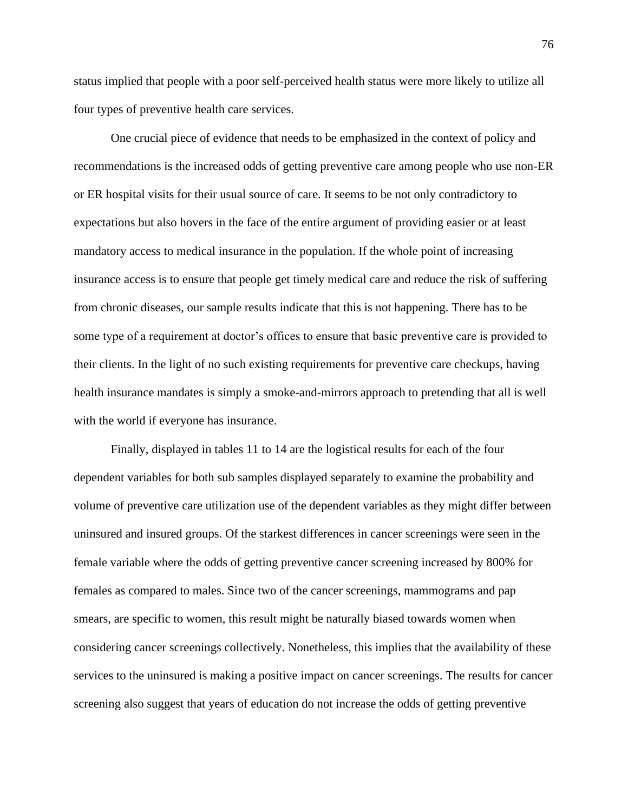status implied that people with a poor self-perceived health status were more likely to utilize all four types of preventive health care services.

One crucial piece of evidence that needs to be emphasized in the context of policy and recommendations is the increased odds of getting preventive care among people who use non-ER or ER hospital visits for their usual source of care. It seems to be not only contradictory to expectations but also hovers in the face of the entire argument of providing easier or at least mandatory access to medical insurance in the population. If the whole point of increasing insurance access is to ensure that people get timely medical care and reduce the risk of suffering from chronic diseases, our sample results indicate that this is not happening. There has to be some type of a requirement at doctor's offices to ensure that basic preventive care is provided to their clients. In the light of no such existing requirements for preventive care checkups, having health insurance mandates is simply a smoke-and-mirrors approach to pretending that all is well with the world if everyone has insurance.

Finally, displayed in tables 11 to 14 are the logistical results for each of the four dependent variables for both sub samples displayed separately to examine the probability and volume of preventive care utilization use of the dependent variables as they might differ between uninsured and insured groups. Of the starkest differences in cancer screenings were seen in the female variable where the odds of getting preventive cancer screening increased by 800% for females as compared to males. Since two of the cancer screenings, mammograms and pap smears, are specific to women, this result might be naturally biased towards women when considering cancer screenings collectively. Nonetheless, this implies that the availability of these services to the uninsured is making a positive impact on cancer screenings. The results for cancer screening also suggest that years of education do not increase the odds of getting preventive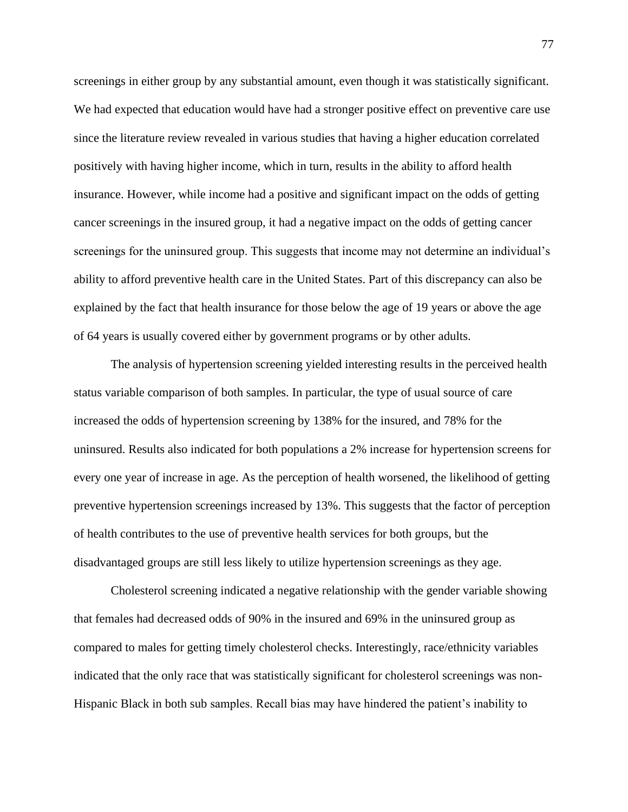screenings in either group by any substantial amount, even though it was statistically significant. We had expected that education would have had a stronger positive effect on preventive care use since the literature review revealed in various studies that having a higher education correlated positively with having higher income, which in turn, results in the ability to afford health insurance. However, while income had a positive and significant impact on the odds of getting cancer screenings in the insured group, it had a negative impact on the odds of getting cancer screenings for the uninsured group. This suggests that income may not determine an individual's ability to afford preventive health care in the United States. Part of this discrepancy can also be explained by the fact that health insurance for those below the age of 19 years or above the age of 64 years is usually covered either by government programs or by other adults.

The analysis of hypertension screening yielded interesting results in the perceived health status variable comparison of both samples. In particular, the type of usual source of care increased the odds of hypertension screening by 138% for the insured, and 78% for the uninsured. Results also indicated for both populations a 2% increase for hypertension screens for every one year of increase in age. As the perception of health worsened, the likelihood of getting preventive hypertension screenings increased by 13%. This suggests that the factor of perception of health contributes to the use of preventive health services for both groups, but the disadvantaged groups are still less likely to utilize hypertension screenings as they age.

Cholesterol screening indicated a negative relationship with the gender variable showing that females had decreased odds of 90% in the insured and 69% in the uninsured group as compared to males for getting timely cholesterol checks. Interestingly, race/ethnicity variables indicated that the only race that was statistically significant for cholesterol screenings was non-Hispanic Black in both sub samples. Recall bias may have hindered the patient's inability to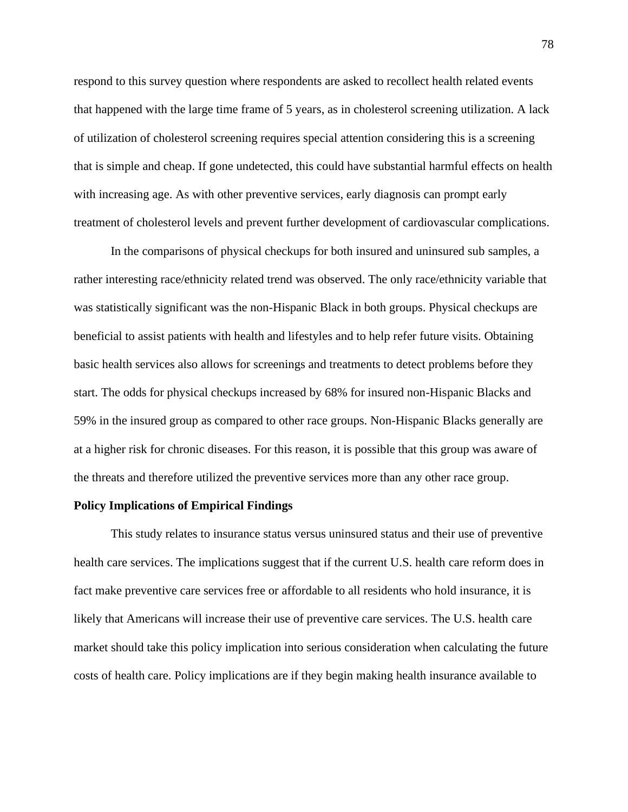respond to this survey question where respondents are asked to recollect health related events that happened with the large time frame of 5 years, as in cholesterol screening utilization. A lack of utilization of cholesterol screening requires special attention considering this is a screening that is simple and cheap. If gone undetected, this could have substantial harmful effects on health with increasing age. As with other preventive services, early diagnosis can prompt early treatment of cholesterol levels and prevent further development of cardiovascular complications.

In the comparisons of physical checkups for both insured and uninsured sub samples, a rather interesting race/ethnicity related trend was observed. The only race/ethnicity variable that was statistically significant was the non-Hispanic Black in both groups. Physical checkups are beneficial to assist patients with health and lifestyles and to help refer future visits. Obtaining basic health services also allows for screenings and treatments to detect problems before they start. The odds for physical checkups increased by 68% for insured non-Hispanic Blacks and 59% in the insured group as compared to other race groups. Non-Hispanic Blacks generally are at a higher risk for chronic diseases. For this reason, it is possible that this group was aware of the threats and therefore utilized the preventive services more than any other race group.

### **Policy Implications of Empirical Findings**

This study relates to insurance status versus uninsured status and their use of preventive health care services. The implications suggest that if the current U.S. health care reform does in fact make preventive care services free or affordable to all residents who hold insurance, it is likely that Americans will increase their use of preventive care services. The U.S. health care market should take this policy implication into serious consideration when calculating the future costs of health care. Policy implications are if they begin making health insurance available to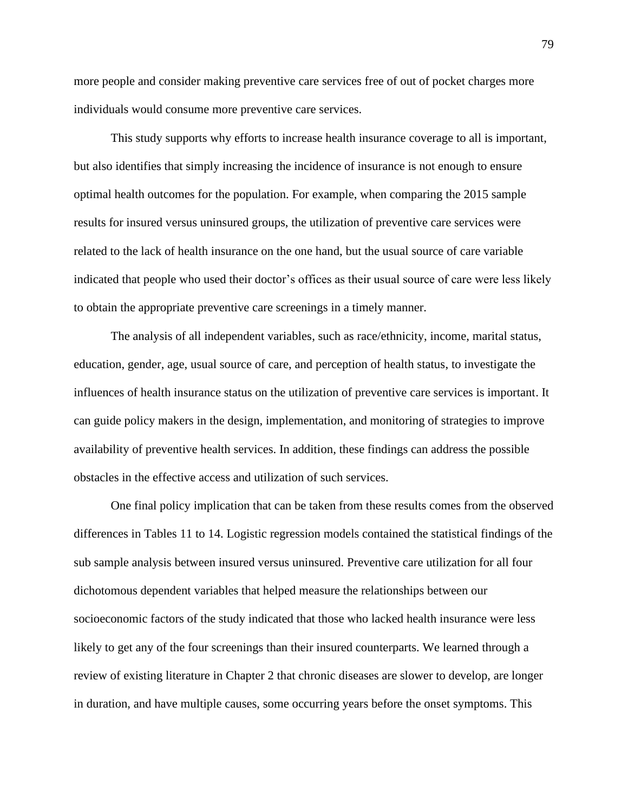more people and consider making preventive care services free of out of pocket charges more individuals would consume more preventive care services.

This study supports why efforts to increase health insurance coverage to all is important, but also identifies that simply increasing the incidence of insurance is not enough to ensure optimal health outcomes for the population. For example, when comparing the 2015 sample results for insured versus uninsured groups, the utilization of preventive care services were related to the lack of health insurance on the one hand, but the usual source of care variable indicated that people who used their doctor's offices as their usual source of care were less likely to obtain the appropriate preventive care screenings in a timely manner.

The analysis of all independent variables, such as race/ethnicity, income, marital status, education, gender, age, usual source of care, and perception of health status, to investigate the influences of health insurance status on the utilization of preventive care services is important. It can guide policy makers in the design, implementation, and monitoring of strategies to improve availability of preventive health services. In addition, these findings can address the possible obstacles in the effective access and utilization of such services.

One final policy implication that can be taken from these results comes from the observed differences in Tables 11 to 14. Logistic regression models contained the statistical findings of the sub sample analysis between insured versus uninsured. Preventive care utilization for all four dichotomous dependent variables that helped measure the relationships between our socioeconomic factors of the study indicated that those who lacked health insurance were less likely to get any of the four screenings than their insured counterparts. We learned through a review of existing literature in Chapter 2 that chronic diseases are slower to develop, are longer in duration, and have multiple causes, some occurring years before the onset symptoms. This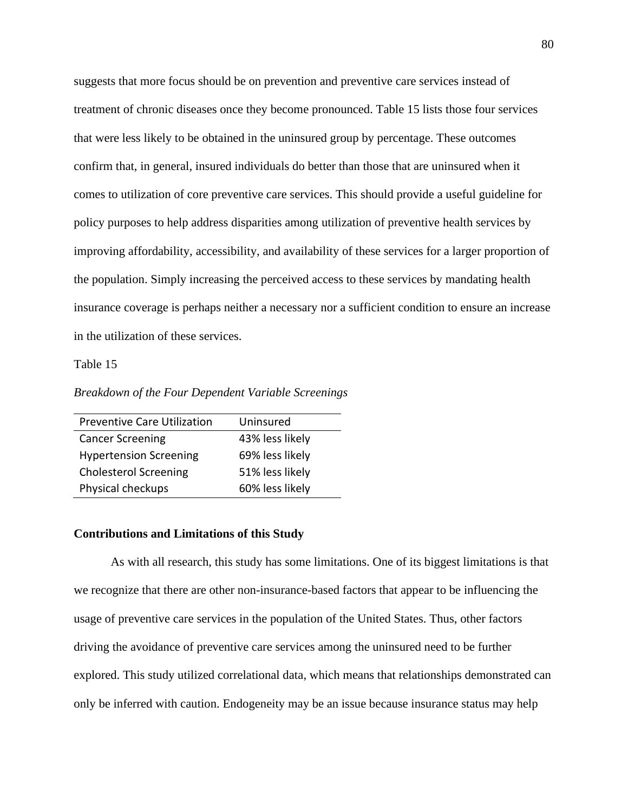suggests that more focus should be on prevention and preventive care services instead of treatment of chronic diseases once they become pronounced. Table 15 lists those four services that were less likely to be obtained in the uninsured group by percentage. These outcomes confirm that, in general, insured individuals do better than those that are uninsured when it comes to utilization of core preventive care services. This should provide a useful guideline for policy purposes to help address disparities among utilization of preventive health services by improving affordability, accessibility, and availability of these services for a larger proportion of the population. Simply increasing the perceived access to these services by mandating health insurance coverage is perhaps neither a necessary nor a sufficient condition to ensure an increase in the utilization of these services.

# Table 15

*Breakdown of the Four Dependent Variable Screenings*

| <b>Preventive Care Utilization</b> | Uninsured       |
|------------------------------------|-----------------|
| <b>Cancer Screening</b>            | 43% less likely |
| <b>Hypertension Screening</b>      | 69% less likely |
| <b>Cholesterol Screening</b>       | 51% less likely |
| Physical checkups                  | 60% less likely |

#### **Contributions and Limitations of this Study**

As with all research, this study has some limitations. One of its biggest limitations is that we recognize that there are other non-insurance-based factors that appear to be influencing the usage of preventive care services in the population of the United States. Thus, other factors driving the avoidance of preventive care services among the uninsured need to be further explored. This study utilized correlational data, which means that relationships demonstrated can only be inferred with caution. Endogeneity may be an issue because insurance status may help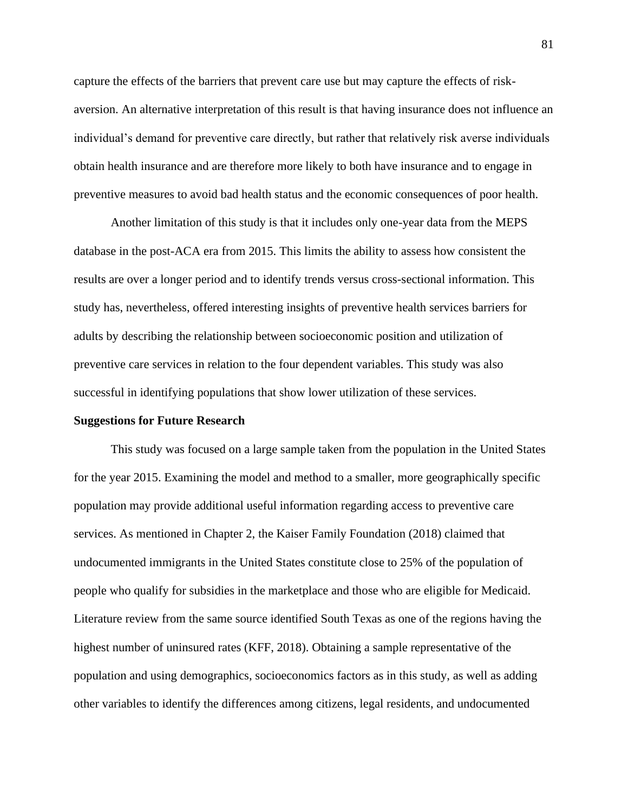capture the effects of the barriers that prevent care use but may capture the effects of riskaversion. An alternative interpretation of this result is that having insurance does not influence an individual's demand for preventive care directly, but rather that relatively risk averse individuals obtain health insurance and are therefore more likely to both have insurance and to engage in preventive measures to avoid bad health status and the economic consequences of poor health.

Another limitation of this study is that it includes only one-year data from the MEPS database in the post-ACA era from 2015. This limits the ability to assess how consistent the results are over a longer period and to identify trends versus cross-sectional information. This study has, nevertheless, offered interesting insights of preventive health services barriers for adults by describing the relationship between socioeconomic position and utilization of preventive care services in relation to the four dependent variables. This study was also successful in identifying populations that show lower utilization of these services.

#### **Suggestions for Future Research**

This study was focused on a large sample taken from the population in the United States for the year 2015. Examining the model and method to a smaller, more geographically specific population may provide additional useful information regarding access to preventive care services. As mentioned in Chapter 2, the Kaiser Family Foundation (2018) claimed that undocumented immigrants in the United States constitute close to 25% of the population of people who qualify for subsidies in the marketplace and those who are eligible for Medicaid. Literature review from the same source identified South Texas as one of the regions having the highest number of uninsured rates (KFF, 2018). Obtaining a sample representative of the population and using demographics, socioeconomics factors as in this study, as well as adding other variables to identify the differences among citizens, legal residents, and undocumented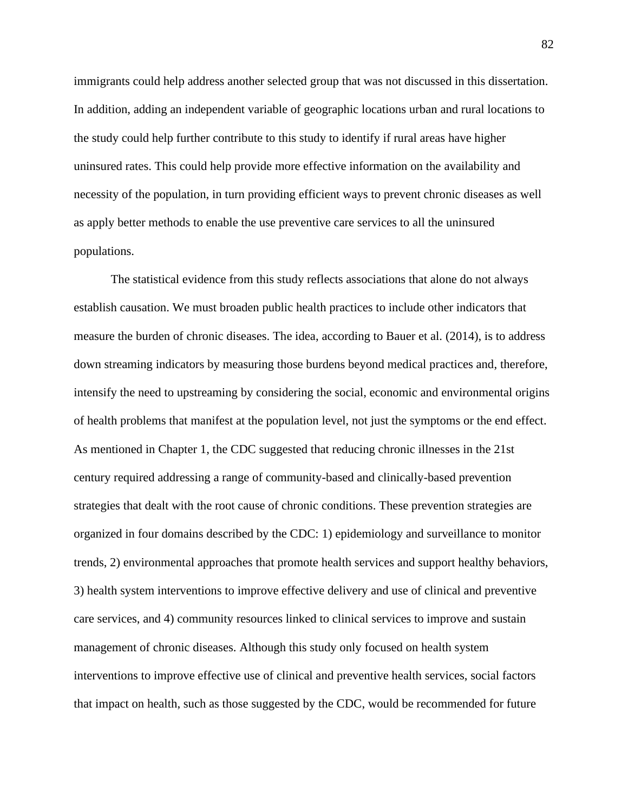immigrants could help address another selected group that was not discussed in this dissertation. In addition, adding an independent variable of geographic locations urban and rural locations to the study could help further contribute to this study to identify if rural areas have higher uninsured rates. This could help provide more effective information on the availability and necessity of the population, in turn providing efficient ways to prevent chronic diseases as well as apply better methods to enable the use preventive care services to all the uninsured populations.

The statistical evidence from this study reflects associations that alone do not always establish causation. We must broaden public health practices to include other indicators that measure the burden of chronic diseases. The idea, according to Bauer et al. (2014), is to address down streaming indicators by measuring those burdens beyond medical practices and, therefore, intensify the need to upstreaming by considering the social, economic and environmental origins of health problems that manifest at the population level, not just the symptoms or the end effect. As mentioned in Chapter 1, the CDC suggested that reducing chronic illnesses in the 21st century required addressing a range of community-based and clinically-based prevention strategies that dealt with the root cause of chronic conditions. These prevention strategies are organized in four domains described by the CDC: 1) epidemiology and surveillance to monitor trends, 2) environmental approaches that promote health services and support healthy behaviors, 3) health system interventions to improve effective delivery and use of clinical and preventive care services, and 4) community resources linked to clinical services to improve and sustain management of chronic diseases. Although this study only focused on health system interventions to improve effective use of clinical and preventive health services, social factors that impact on health, such as those suggested by the CDC, would be recommended for future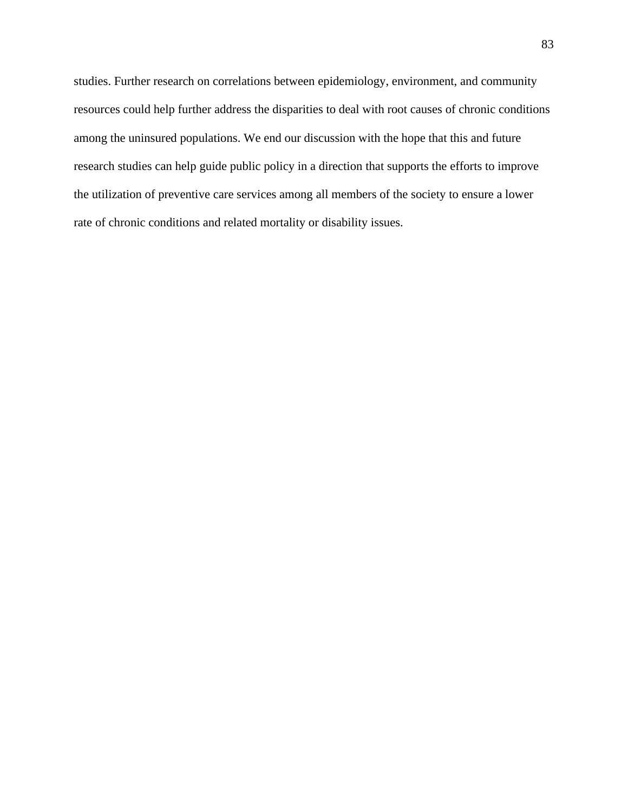studies. Further research on correlations between epidemiology, environment, and community resources could help further address the disparities to deal with root causes of chronic conditions among the uninsured populations. We end our discussion with the hope that this and future research studies can help guide public policy in a direction that supports the efforts to improve the utilization of preventive care services among all members of the society to ensure a lower rate of chronic conditions and related mortality or disability issues.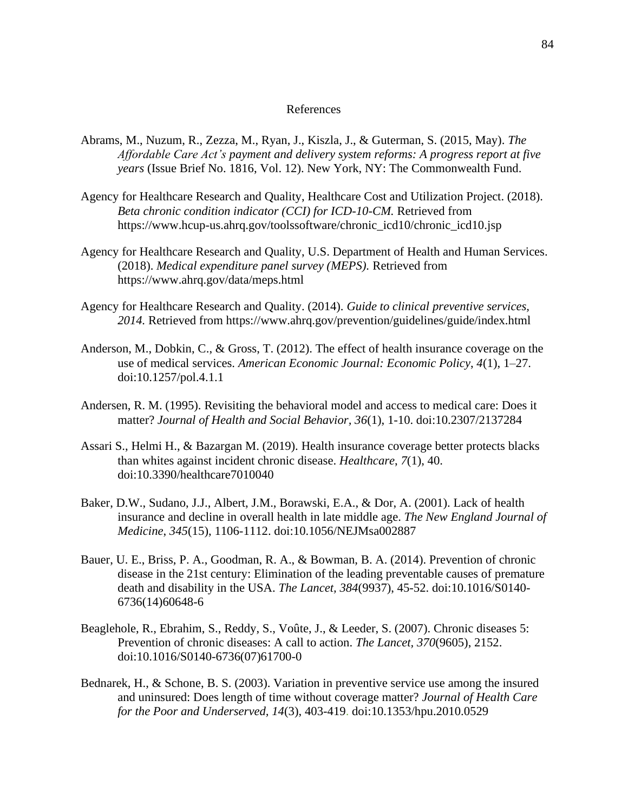# References

- Abrams, M., Nuzum, R., Zezza, M., Ryan, J., Kiszla, J., & Guterman, S. (2015, May). *The Affordable Care Act's payment and delivery system reforms: A progress report at five years* (Issue Brief No. 1816, Vol. 12). New York, NY: The Commonwealth Fund.
- Agency for Healthcare Research and Quality, Healthcare Cost and Utilization Project. (2018). *Beta chronic condition indicator (CCI) for ICD-10-CM.* Retrieved from https://www.hcup-us.ahrq.gov/toolssoftware/chronic\_icd10/chronic\_icd10.jsp
- Agency for Healthcare Research and Quality, U.S. Department of Health and Human Services. (2018). *Medical expenditure panel survey (MEPS).* Retrieved from https://www.ahrq.gov/data/meps.html
- Agency for Healthcare Research and Quality. (2014). *Guide to clinical preventive services, 2014.* Retrieved from https://www.ahrq.gov/prevention/guidelines/guide/index.html
- Anderson, M., Dobkin, C., & Gross, T. (2012). The effect of health insurance coverage on the use of medical services. *American Economic Journal: Economic Policy*, *4*(1), 1–27. doi:10.1257/pol.4.1.1
- Andersen, R. M. (1995). Revisiting the behavioral model and access to medical care: Does it matter? *Journal of Health and Social Behavior, 36*(1), 1-10. doi:10.2307/2137284
- Assari S., Helmi H., & Bazargan M. (2019). Health insurance coverage better protects blacks than whites against incident chronic disease. *Healthcare*, *7*(1), 40. doi:10.3390/healthcare7010040
- Baker, D.W., Sudano, J.J., Albert, J.M., Borawski, E.A., & Dor, A. (2001). Lack of health insurance and decline in overall health in late middle age. *The New England Journal of Medicine*, *345*(15), 1106-1112. doi:10.1056/NEJMsa002887
- Bauer, U. E., Briss, P. A., Goodman, R. A., & Bowman, B. A. (2014). Prevention of chronic disease in the 21st century: Elimination of the leading preventable causes of premature death and disability in the USA. *The Lancet, 384*(9937), 45-52. doi:10.1016/S0140- 6736(14)60648-6
- Beaglehole, R., Ebrahim, S., Reddy, S., Voûte, J., & Leeder, S. (2007). Chronic diseases 5: Prevention of chronic diseases: A call to action. *The Lancet, 370*(9605), 2152. doi:10.1016/S0140-6736(07)61700-0
- Bednarek, H., & Schone, B. S. (2003). Variation in preventive service use among the insured and uninsured: Does length of time without coverage matter? *Journal of Health Care for the Poor and Underserved, 14*(3), 403-419. doi:10.1353/hpu.2010.0529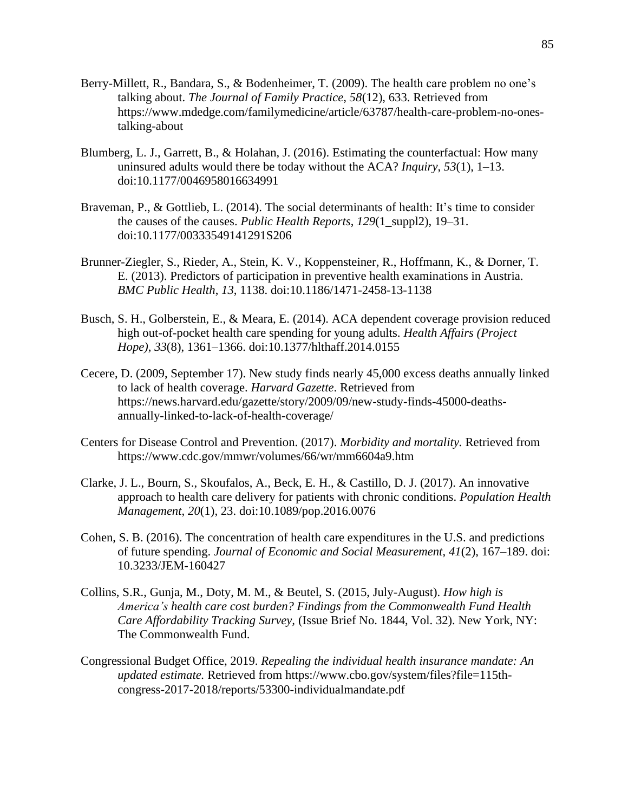- Berry-Millett, R., Bandara, S., & Bodenheimer, T. (2009). The health care problem no one's talking about. *The Journal of Family Practice, 58*(12), 633. Retrieved from https://www.mdedge.com/familymedicine/article/63787/health-care-problem-no-onestalking-about
- Blumberg, L. J., Garrett, B., & Holahan, J. (2016). Estimating the counterfactual: How many uninsured adults would there be today without the ACA? *Inquiry*, *53*(1), 1–13. doi:10.1177/0046958016634991
- Braveman, P., & Gottlieb, L. (2014). The social determinants of health: It's time to consider the causes of the causes. *Public Health Reports*, *129*(1\_suppl2), 19–31. doi:10.1177/00333549141291S206
- Brunner-Ziegler, S., Rieder, A., Stein, K. V., Koppensteiner, R., Hoffmann, K., & Dorner, T. E. (2013). Predictors of participation in preventive health examinations in Austria. *BMC Public Health*, *13*, 1138. doi:10.1186/1471-2458-13-1138
- Busch, S. H., Golberstein, E., & Meara, E. (2014). ACA dependent coverage provision reduced high out-of-pocket health care spending for young adults. *Health Affairs (Project Hope)*, *33*(8), 1361–1366. doi:10.1377/hlthaff.2014.0155
- Cecere, D. (2009, September 17). New study finds nearly 45,000 excess deaths annually linked to lack of health coverage. *Harvard Gazette*. Retrieved from https://news.harvard.edu/gazette/story/2009/09/new-study-finds-45000-deathsannually-linked-to-lack-of-health-coverage/
- Centers for Disease Control and Prevention. (2017). *Morbidity and mortality.* Retrieved from <https://www.cdc.gov/mmwr/volumes/66/wr/mm6604a9.htm>
- Clarke, J. L., Bourn, S., Skoufalos, A., Beck, E. H., & Castillo, D. J. (2017). An innovative approach to health care delivery for patients with chronic conditions. *Population Health Management*, *20*(1), 23. doi:10.1089/pop.2016.0076
- Cohen, S. B. (2016). The concentration of health care expenditures in the U.S. and predictions of future spending. *Journal of Economic and Social Measurement*, *41*(2), 167–189. doi: 10.3233/JEM-160427
- Collins, S.R., Gunja, M., Doty, M. M., & Beutel, S. (2015, July-August). *How high is America's health care cost burden? Findings from the Commonwealth Fund Health Care Affordability Tracking Survey,* (Issue Brief No. 1844, Vol. 32). New York, NY: The Commonwealth Fund.
- Congressional Budget Office, 2019. *Repealing the individual health insurance mandate: An updated estimate.* Retrieved from [https://www.cbo.gov/system/files?file=115th](https://www.cbo.gov/system/files?file=115th-congress-2017-2018/reports/53300-individualmandate.pdf)[congress-2017-2018/reports/53300-individualmandate.pdf](https://www.cbo.gov/system/files?file=115th-congress-2017-2018/reports/53300-individualmandate.pdf)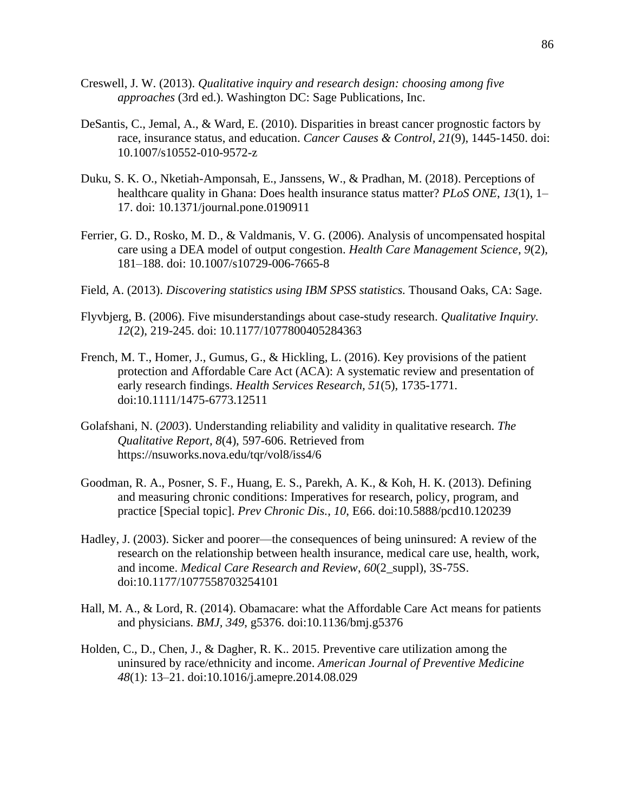- Creswell, J. W. (2013). *Qualitative inquiry and research design: choosing among five approaches* (3rd ed.). Washington DC: Sage Publications, Inc.
- DeSantis, C., Jemal, A., & Ward, E. (2010). Disparities in breast cancer prognostic factors by race, insurance status, and education. *Cancer Causes & Control, 21*(9), 1445-1450. doi: 10.1007/s10552-010-9572-z
- Duku, S. K. O., Nketiah-Amponsah, E., Janssens, W., & Pradhan, M. (2018). Perceptions of healthcare quality in Ghana: Does health insurance status matter? *PLoS ONE*, *13*(1), 1– 17. doi: 10.1371/journal.pone.0190911
- Ferrier, G. D., Rosko, M. D., & Valdmanis, V. G. (2006). Analysis of uncompensated hospital care using a DEA model of output congestion. *Health Care Management Science*, *9*(2), 181–188. doi: 10.1007/s10729-006-7665-8
- Field, A. (2013). *Discovering statistics using IBM SPSS statistics.* Thousand Oaks, CA: Sage.
- Flyvbjerg, B. (2006). Five misunderstandings about case-study research. *Qualitative Inquiry. 12*(2), 219-245. doi: 10.1177/1077800405284363
- French, M. T., Homer, J., Gumus, G., & Hickling, L. (2016). Key provisions of the patient protection and Affordable Care Act (ACA): A systematic review and presentation of early research findings. *Health Services Research, 51*(5), 1735-1771. doi:10.1111/1475-6773.12511
- Golafshani*,* N. (*2003*). Understanding reliability and validity in qualitative research. *The Qualitative Report, 8*(4), 597-606. Retrieved from https://nsuworks.nova.edu/tqr/vol8/iss4/6
- Goodman, R. A., Posner, S. F., Huang, E. S., Parekh, A. K., & Koh, H. K. (2013). Defining and measuring chronic conditions: Imperatives for research, policy, program, and practice [Special topic]. *Prev Chronic Dis.*, *10*, E66. doi:10.5888/pcd10.120239
- Hadley, J. (2003). Sicker and poorer—the consequences of being uninsured: A review of the research on the relationship between health insurance, medical care use, health, work, and income. *Medical Care Research and Review*, *60*(2\_suppl), 3S-75S. doi:10.1177/1077558703254101
- Hall, M. A., & Lord, R. (2014). Obamacare: what the Affordable Care Act means for patients and physicians. *BMJ, 349*, g5376. doi:10.1136/bmj.g5376
- Holden, C., D., Chen, J., & Dagher, R. K.. 2015. Preventive care utilization among the uninsured by race/ethnicity and income. *American Journal of Preventive Medicine 48*(1): 13–21. doi:10.1016/j.amepre.2014.08.029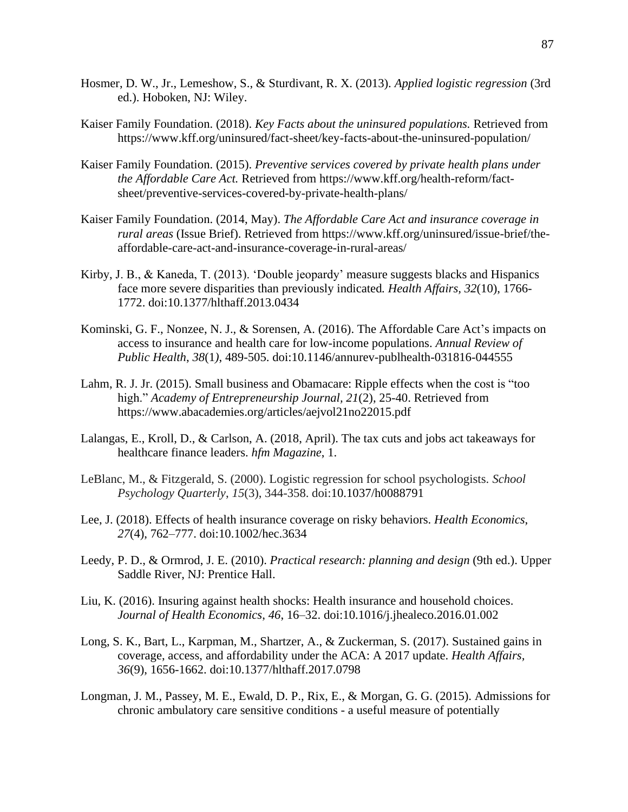- Hosmer, D. W., Jr., Lemeshow, S., & Sturdivant, R. X. (2013). *Applied logistic regression* (3rd ed.). Hoboken, NJ: Wiley.
- Kaiser Family Foundation. (2018). *Key Facts about the uninsured populations.* Retrieved from https://www.kff.org/uninsured/fact-sheet/key-facts-about-the-uninsured-population/
- Kaiser Family Foundation. (2015). *Preventive services covered by private health plans under the Affordable Care Act.* Retrieved from [https://www.kff.org/health-reform/fact](https://www.kff.org/health-reform/fact-sheet/preventive-services-covered-by-private-health-plans/)[sheet/preventive-services-covered-by-private-health-plans/](https://www.kff.org/health-reform/fact-sheet/preventive-services-covered-by-private-health-plans/)
- Kaiser Family Foundation. (2014, May). *The Affordable Care Act and insurance coverage in rural areas* (Issue Brief). Retrieved from https://www.kff.org/uninsured/issue-brief/theaffordable-care-act-and-insurance-coverage-in-rural-areas/
- Kirby, J. B., & Kaneda, T. (2013). 'Double jeopardy' measure suggests blacks and Hispanics face more severe disparities than previously indicated*. Health Affairs, 32*(10), 1766- 1772. doi:10.1377/hlthaff.2013.0434
- Kominski, G. F., Nonzee, N. J., & Sorensen, A. (2016). The Affordable Care Act's impacts on access to insurance and health care for low-income populations. *Annual Review of Public Health*, *38*(1*)*, 489-505. doi:10.1146/annurev-publhealth-031816-044555
- Lahm, R. J. Jr. (2015). Small business and Obamacare: Ripple effects when the cost is "too high." *Academy of Entrepreneurship Journal, 21*(2), 25-40. Retrieved from https://www.abacademies.org/articles/aejvol21no22015.pdf
- Lalangas, E., Kroll, D., & Carlson, A. (2018, April). The tax cuts and jobs act takeaways for healthcare finance leaders. *hfm Magazine*, 1.
- LeBlanc, M., & Fitzgerald, S. (2000). Logistic regression for school psychologists. *School Psychology Quarterly*, *15*(3), 344-358. doi:10.1037/h0088791
- Lee, J. (2018). Effects of health insurance coverage on risky behaviors. *Health Economics*, *27*(4), 762–777. doi:10.1002/hec.3634
- Leedy, P. D., & Ormrod, J. E. (2010). *Practical research: planning and design* (9th ed.). Upper Saddle River, NJ: Prentice Hall.
- Liu, K. (2016). Insuring against health shocks: Health insurance and household choices. *Journal of Health Economics*, *46*, 16–32. doi:10.1016/j.jhealeco.2016.01.002
- Long, S. K., Bart, L., Karpman, M., Shartzer, A., & Zuckerman, S. (2017). Sustained gains in coverage, access, and affordability under the ACA: A 2017 update. *Health Affairs, 36*(9), 1656-1662. doi:10.1377/hlthaff.2017.0798
- Longman, J. M., Passey, M. E., Ewald, D. P., Rix, E., & Morgan, G. G. (2015). Admissions for chronic ambulatory care sensitive conditions - a useful measure of potentially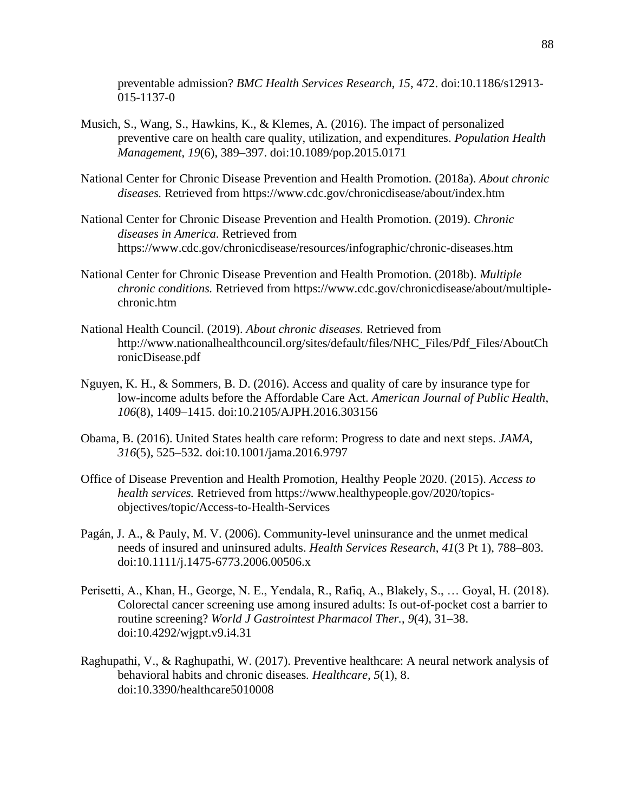preventable admission? *BMC Health Services Research*, *15*, 472. doi:10.1186/s12913- 015-1137-0

- Musich, S., Wang, S., Hawkins, K., & Klemes, A. (2016). The impact of personalized preventive care on health care quality, utilization, and expenditures. *Population Health Management*, *19*(6), 389–397. doi:10.1089/pop.2015.0171
- National Center for Chronic Disease Prevention and Health Promotion. (2018a). *About chronic diseases.* Retrieved from https://www.cdc.gov/chronicdisease/about/index.htm
- National Center for Chronic Disease Prevention and Health Promotion. (2019). *Chronic diseases in America*. Retrieved from https://www.cdc.gov/chronicdisease/resources/infographic/chronic-diseases.htm
- National Center for Chronic Disease Prevention and Health Promotion. (2018b). *Multiple chronic conditions.* Retrieved from [https://www.cdc.gov/chronicdisease/about/multiple](https://www.cdc.gov/chronicdisease/about/multiple-chronic.htm)[chronic.htm](https://www.cdc.gov/chronicdisease/about/multiple-chronic.htm)
- National Health Council. (2019). *About chronic diseases.* Retrieved from [http://www.nationalhealthcouncil.org/sites/default/files/NHC\\_Files/Pdf\\_Files/AboutCh](http://www.nationalhealthcouncil.org/sites/default/files/NHC_Files/Pdf_Files/AboutChronicDisease.pdf) [ronicDisease.pdf](http://www.nationalhealthcouncil.org/sites/default/files/NHC_Files/Pdf_Files/AboutChronicDisease.pdf)
- Nguyen, K. H., & Sommers, B. D. (2016). Access and quality of care by insurance type for low-income adults before the Affordable Care Act. *American Journal of Public Health*, *106*(8), 1409–1415. doi:10.2105/AJPH.2016.303156
- Obama, B. (2016). United States health care reform: Progress to date and next steps. *JAMA*, *316*(5), 525–532. doi:10.1001/jama.2016.9797
- Office of Disease Prevention and Health Promotion, Healthy People 2020. (2015). *Access to health services.* Retrieved from https://www.healthypeople.gov/2020/topicsobjectives/topic/Access-to-Health-Services
- Pagán, J. A., & Pauly, M. V. (2006). Community-level uninsurance and the unmet medical needs of insured and uninsured adults. *Health Services Research*, *41*(3 Pt 1), 788–803. doi:10.1111/j.1475-6773.2006.00506.x
- Perisetti, A., Khan, H., George, N. E., Yendala, R., Rafiq, A., Blakely, S., … Goyal, H. (2018). Colorectal cancer screening use among insured adults: Is out-of-pocket cost a barrier to routine screening? *World J Gastrointest Pharmacol Ther.*, *9*(4), 31–38. doi:10.4292/wjgpt.v9.i4.31
- Raghupathi, V., & Raghupathi, W. (2017). Preventive healthcare: A neural network analysis of behavioral habits and chronic diseases*. Healthcare, 5*(1), 8. doi:10.3390/healthcare5010008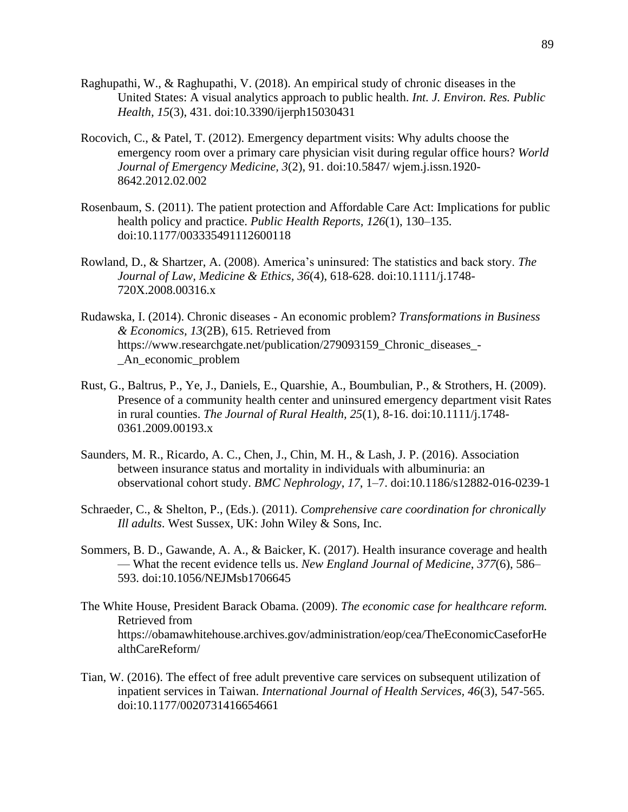- Raghupathi, W., & Raghupathi, V. (2018). An empirical study of chronic diseases in the United States: A visual analytics approach to public health. *Int. J. Environ. Res. Public Health, 15*(3), 431. doi:10.3390/ijerph15030431
- Rocovich, C., & Patel, T. (2012). Emergency department visits: Why adults choose the emergency room over a primary care physician visit during regular office hours? *World Journal of Emergency Medicine, 3*(2), 91. doi:10.5847/ wjem.j.issn.1920- 8642.2012.02.002
- Rosenbaum, S. (2011). The patient protection and Affordable Care Act: Implications for public health policy and practice. *Public Health Reports, 126*(1), 130–135. doi:10.1177/003335491112600118
- Rowland, D., & Shartzer, A. (2008). America's uninsured: The statistics and back story. *The Journal of Law, Medicine & Ethics, 36*(4), 618-628. doi:10.1111/j.1748- 720X.2008.00316.x
- Rudawska, I. (2014). Chronic diseases An economic problem? *Transformations in Business & Economics, 13*(2B), 615. Retrieved from https://www.researchgate.net/publication/279093159 Chronic diseases -\_An\_economic\_problem
- Rust, G., Baltrus, P., Ye, J., Daniels, E., Quarshie, A., Boumbulian, P., & Strothers, H. (2009). Presence of a community health center and uninsured emergency department visit Rates in rural counties. *The Journal of Rural Health, 25*(1), 8-16. doi:10.1111/j.1748- 0361.2009.00193.x
- Saunders, M. R., Ricardo, A. C., Chen, J., Chin, M. H., & Lash, J. P. (2016). Association between insurance status and mortality in individuals with albuminuria: an observational cohort study. *BMC Nephrology*, *17*, 1–7. doi:10.1186/s12882-016-0239-1
- Schraeder, C., & Shelton, P., (Eds.). (2011). *Comprehensive care coordination for chronically Ill adults*. West Sussex, UK: John Wiley & Sons, Inc.
- Sommers, B. D., Gawande, A. A., & Baicker, K. (2017). Health insurance coverage and health — What the recent evidence tells us. *New England Journal of Medicine*, *377*(6), 586– 593. doi:10.1056/NEJMsb1706645
- The White House, President Barack Obama. (2009). *The economic case for healthcare reform.* Retrieved from https://obamawhitehouse.archives.gov/administration/eop/cea/TheEconomicCaseforHe althCareReform/
- Tian, W. (2016). The effect of free adult preventive care services on subsequent utilization of inpatient services in Taiwan. *International Journal of Health Services, 46*(3), 547-565. doi:10.1177/0020731416654661